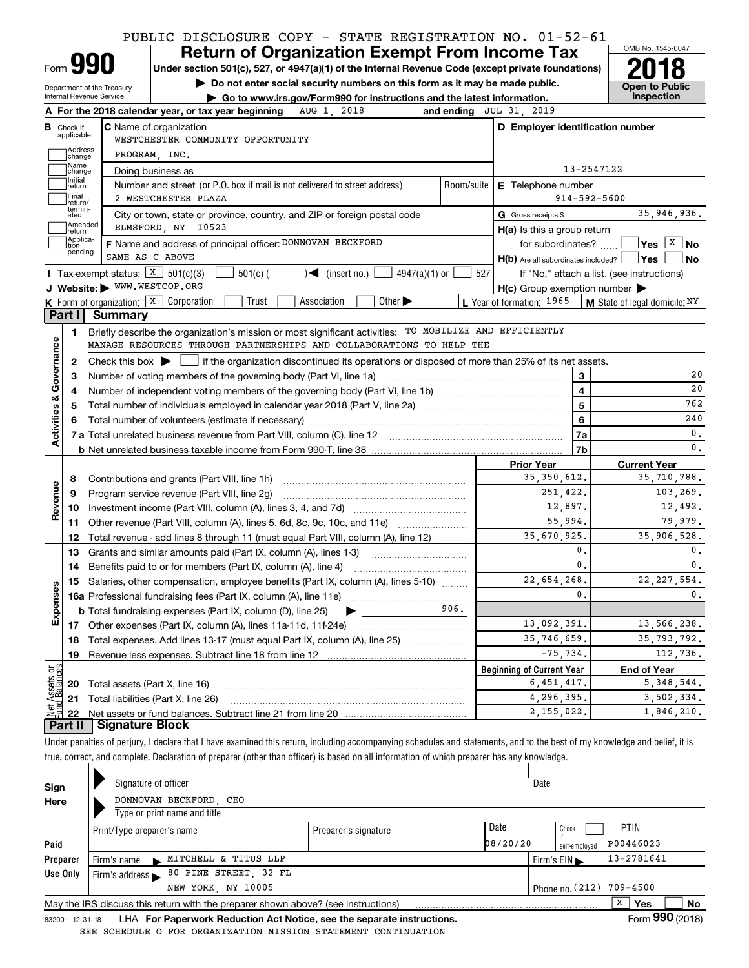# **Return of Organization Exempt From Income Tax** PUBLIC DISCLOSURE COPY - STATE REGISTRATION NO. 01-52-61

| orm |  |
|-----|--|

# Under section 501(c), 527, or 4947(a)(1) of the Internal Revenue Code (except private foundations) **2018**

**| Do not enter social security numbers on this form as it may be made public.**

Department of the Treasury Internal Revenue Service

|                                              |                    | $\blacktriangleright$ Go to www.irs.gov/Form990 for instructions and the latest information. | Inspection |
|----------------------------------------------|--------------------|----------------------------------------------------------------------------------------------|------------|
| الممالح والمستقط المستشر ووسط متساريح المنسا | <b>3110 1 0010</b> | $1000$ and $1000$ $1000$ $1000$ $1000$                                                       |            |



|                         | <b>B</b> Check if applicable: | <b>C</b> Name of organization<br>WESTCHESTER COMMUNITY OPPORTUNITY                                                                                                              |            | D Employer identification number                    |                                                    |
|-------------------------|-------------------------------|---------------------------------------------------------------------------------------------------------------------------------------------------------------------------------|------------|-----------------------------------------------------|----------------------------------------------------|
|                         | Address<br>]change            | PROGRAM, INC.                                                                                                                                                                   |            |                                                     |                                                    |
|                         | Name                          |                                                                                                                                                                                 |            | 13-2547122                                          |                                                    |
|                         | change<br>Initial             | Doing business as                                                                                                                                                               |            |                                                     |                                                    |
|                         | return<br>Final               | Number and street (or P.O. box if mail is not delivered to street address)<br>2 WESTCHESTER PLAZA                                                                               | Room/suite | E Telephone number<br>$914 - 592 - 5600$            |                                                    |
|                         | return/<br>termin-<br>ated    |                                                                                                                                                                                 |            |                                                     | 35,946,936.                                        |
|                         | Amended                       | City or town, state or province, country, and ZIP or foreign postal code<br>ELMSFORD, NY 10523                                                                                  |            | G Gross receipts \$                                 |                                                    |
|                         | return<br>Applica-<br> tion   | F Name and address of principal officer: DONNOVAN BECKFORD                                                                                                                      |            | $H(a)$ is this a group return                       | for subordinates? $\frac{1}{2}$ Yes $\boxed{X}$ No |
|                         | pending                       | SAME AS C ABOVE                                                                                                                                                                 |            |                                                     | ∣No                                                |
|                         |                               | Tax-exempt status: $X$ 501(c)(3)                                                                                                                                                |            | H(b) Are all subordinates included?   Yes           |                                                    |
|                         |                               | $501(c)$ (<br>$\sqrt{\bullet}$ (insert no.)<br>$4947(a)(1)$ or<br>J Website: WWW.WESTCOP.ORG                                                                                    | 527        | If "No," attach a list. (see instructions)          |                                                    |
|                         |                               | <b>K</b> Form of organization: $\boxed{\textbf{x}}$ Corporation<br>Trust<br>Other $\blacktriangleright$<br>Association                                                          |            | $H(c)$ Group exemption number $\blacktriangleright$ |                                                    |
|                         | Part I                        | <b>Summary</b>                                                                                                                                                                  |            | L Year of formation: 1965                           | $\vert$ M State of legal domicile; $N Y$           |
|                         |                               |                                                                                                                                                                                 |            |                                                     |                                                    |
|                         | 1.                            | Briefly describe the organization's mission or most significant activities: TO MOBILIZE AND EFFICIENTLY<br>MANAGE RESOURCES THROUGH PARTNERSHIPS AND COLLABORATIONS TO HELP THE |            |                                                     |                                                    |
|                         |                               |                                                                                                                                                                                 |            |                                                     |                                                    |
|                         | 2                             | Check this box $\blacktriangleright$   if the organization discontinued its operations or disposed of more than 25% of its net assets.                                          |            |                                                     |                                                    |
|                         | з                             |                                                                                                                                                                                 |            | 3                                                   | 20                                                 |
|                         | 4                             |                                                                                                                                                                                 |            | $\overline{\mathbf{4}}$                             | 20                                                 |
|                         | 5                             |                                                                                                                                                                                 |            | 5                                                   | 762                                                |
|                         |                               | Total number of volunteers (estimate if necessary) manufacture content content to a manufacture content of the                                                                  |            | 6                                                   | 240                                                |
| Activities & Governance |                               |                                                                                                                                                                                 |            | 7a                                                  | 0.                                                 |
|                         |                               |                                                                                                                                                                                 |            | 7b                                                  | 0.                                                 |
|                         |                               |                                                                                                                                                                                 |            | <b>Prior Year</b><br>35, 350, 612.                  | <b>Current Year</b><br>35,710,788.                 |
|                         | 8                             |                                                                                                                                                                                 |            |                                                     |                                                    |
| Revenue                 | 9                             | Program service revenue (Part VIII, line 2g) [11] manufacture in the service revenue of the service revenue of                                                                  |            | 251,422.<br>12,897.                                 | 103,269.                                           |
|                         | 10                            |                                                                                                                                                                                 |            |                                                     | 12,492.<br>79,979.                                 |
|                         | 11                            | Other revenue (Part VIII, column (A), lines 5, 6d, 8c, 9c, 10c, and 11e)                                                                                                        |            | 55,994.                                             |                                                    |
|                         | 12                            | Total revenue - add lines 8 through 11 (must equal Part VIII, column (A), line 12)                                                                                              |            | 35,670,925.<br>0.                                   | 35,906,528.                                        |
|                         | 13                            | Grants and similar amounts paid (Part IX, column (A), lines 1-3)                                                                                                                |            | 0.                                                  | 0.                                                 |
|                         | 14                            |                                                                                                                                                                                 |            |                                                     | 0.                                                 |
|                         | 15                            | Salaries, other compensation, employee benefits (Part IX, column (A), lines 5-10)                                                                                               |            | 22,654,268.                                         | 22, 227, 554.                                      |
|                         |                               |                                                                                                                                                                                 | 906.       | 0.                                                  | $\mathbf{0}$ .                                     |
| Expenses                |                               | <b>b</b> Total fundraising expenses (Part IX, column (D), line 25) $\rightarrow$                                                                                                |            |                                                     |                                                    |
|                         |                               |                                                                                                                                                                                 |            | 13,092,391.                                         | 13,566,238.                                        |
|                         |                               | 18 Total expenses. Add lines 13-17 (must equal Part IX, column (A), line 25)                                                                                                    |            | 35,746,659.                                         | 35,793,792.                                        |
|                         | <u>19</u>                     | Revenue less expenses. Subtract line 18 from line 12                                                                                                                            |            | $-75,734.$                                          | 112,736.                                           |
| et Assets or            |                               |                                                                                                                                                                                 |            | <b>Beginning of Current Year</b>                    | <b>End of Year</b>                                 |
|                         | 20                            | Total assets (Part X, line 16)                                                                                                                                                  |            | 6,451,417.                                          | 5, 348, 544.                                       |
|                         | 21                            | Total liabilities (Part X, line 26)                                                                                                                                             |            | 4,296,395.                                          | 3,502,334.                                         |
|                         |                               |                                                                                                                                                                                 |            | 2, 155, 022.                                        | 1,846,210.                                         |

true, correct, and complete. Declaration of preparer (other than officer) is based on all information of which preparer has any knowledge.

| Sign     |                                                                                                     | Signature of officer         |                      |                      |          | Date                     |             |                      |  |
|----------|-----------------------------------------------------------------------------------------------------|------------------------------|----------------------|----------------------|----------|--------------------------|-------------|----------------------|--|
| Here     |                                                                                                     | DONNOVAN BECKFORD CEO        |                      |                      |          |                          |             |                      |  |
|          |                                                                                                     | Type or print name and title |                      |                      |          |                          |             |                      |  |
|          |                                                                                                     | Print/Type preparer's name   |                      | Preparer's signature | Date     |                          | <b>PTIN</b> |                      |  |
| Paid     |                                                                                                     |                              |                      |                      | 08/20/20 | self-employed            | P00446023   |                      |  |
| Preparer |                                                                                                     | Firm's name                  | MITCHELL & TITUS LLP |                      |          | Firm's $EIN$             | 13-2781641  |                      |  |
| Use Only | Firm's address $\blacktriangleright$                                                                |                              |                      |                      |          |                          |             |                      |  |
|          |                                                                                                     |                              | NEW YORK NY 10005    |                      |          | Phone no. (212) 709-4500 |             |                      |  |
|          | x<br>Yes<br>No<br>May the IRS discuss this return with the preparer shown above? (see instructions) |                              |                      |                      |          |                          |             |                      |  |
|          |                                                                                                     |                              |                      |                      |          |                          | -           | $000 \times 10^{-1}$ |  |

832001\_12-31-18 LHA **For Paperwork Reduction Act Notice, see the separate instructions.** Form 990 (2018) SEE SCHEDULE O FOR ORGANIZATION MISSION STATEMENT CONTINUATION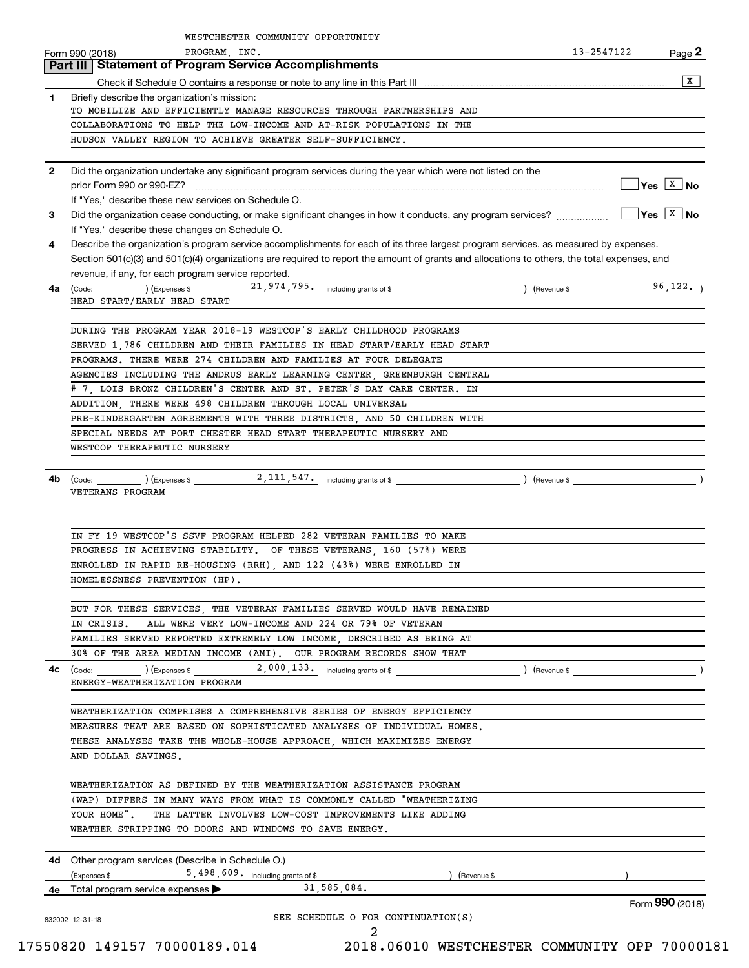|              | WESTCHESTER COMMUNITY OPPORTUNITY                                                                                                                                                                                                                            |            |                                                               |
|--------------|--------------------------------------------------------------------------------------------------------------------------------------------------------------------------------------------------------------------------------------------------------------|------------|---------------------------------------------------------------|
|              | PROGRAM, INC.<br>Form 990 (2018)                                                                                                                                                                                                                             | 13-2547122 | Page 2                                                        |
|              | <b>Part III   Statement of Program Service Accomplishments</b>                                                                                                                                                                                               |            | x                                                             |
| 1            | Briefly describe the organization's mission:                                                                                                                                                                                                                 |            |                                                               |
|              | TO MOBILIZE AND EFFICIENTLY MANAGE RESOURCES THROUGH PARTNERSHIPS AND                                                                                                                                                                                        |            |                                                               |
|              | COLLABORATIONS TO HELP THE LOW-INCOME AND AT-RISK POPULATIONS IN THE                                                                                                                                                                                         |            |                                                               |
|              | HUDSON VALLEY REGION TO ACHIEVE GREATER SELF-SUFFICIENCY.                                                                                                                                                                                                    |            |                                                               |
|              |                                                                                                                                                                                                                                                              |            |                                                               |
| $\mathbf{2}$ | Did the organization undertake any significant program services during the year which were not listed on the<br>prior Form 990 or 990-EZ?                                                                                                                    |            | $Yes \begin{array}{ c c } \hline X & \textbf{No} \end{array}$ |
|              | If "Yes," describe these new services on Schedule O.                                                                                                                                                                                                         |            |                                                               |
| 3            | Did the organization cease conducting, or make significant changes in how it conducts, any program services?                                                                                                                                                 |            | $\sqrt{Y}$ es $\sqrt{X}$ No                                   |
|              | If "Yes," describe these changes on Schedule O.                                                                                                                                                                                                              |            |                                                               |
| 4            | Describe the organization's program service accomplishments for each of its three largest program services, as measured by expenses.                                                                                                                         |            |                                                               |
|              | Section 501(c)(3) and 501(c)(4) organizations are required to report the amount of grants and allocations to others, the total expenses, and                                                                                                                 |            |                                                               |
|              | revenue, if any, for each program service reported.                                                                                                                                                                                                          |            |                                                               |
| 4a           | $\frac{1}{2}$ (Code: $\frac{1}{2}$ ) (Expenses \$ 21,974,795. including grants of \$<br>HEAD START/EARLY HEAD START                                                                                                                                          |            | 96, 122.                                                      |
|              |                                                                                                                                                                                                                                                              |            |                                                               |
|              | DURING THE PROGRAM YEAR 2018-19 WESTCOP'S EARLY CHILDHOOD PROGRAMS                                                                                                                                                                                           |            |                                                               |
|              | SERVED 1,786 CHILDREN AND THEIR FAMILIES IN HEAD START/EARLY HEAD START                                                                                                                                                                                      |            |                                                               |
|              | PROGRAMS. THERE WERE 274 CHILDREN AND FAMILIES AT FOUR DELEGATE                                                                                                                                                                                              |            |                                                               |
|              | AGENCIES INCLUDING THE ANDRUS EARLY LEARNING CENTER, GREENBURGH CENTRAL                                                                                                                                                                                      |            |                                                               |
|              | # 7, LOIS BRONZ CHILDREN'S CENTER AND ST. PETER'S DAY CARE CENTER. IN                                                                                                                                                                                        |            |                                                               |
|              | ADDITION, THERE WERE 498 CHILDREN THROUGH LOCAL UNIVERSAL<br>PRE-KINDERGARTEN AGREEMENTS WITH THREE DISTRICTS, AND 50 CHILDREN WITH                                                                                                                          |            |                                                               |
|              | SPECIAL NEEDS AT PORT CHESTER HEAD START THERAPEUTIC NURSERY AND                                                                                                                                                                                             |            |                                                               |
|              | WESTCOP THERAPEUTIC NURSERY                                                                                                                                                                                                                                  |            |                                                               |
|              |                                                                                                                                                                                                                                                              |            |                                                               |
| 4b           | (Code: (Code: ) (Expenses \$2, 111, 547, including grants of \$ ) (Revenue \$                                                                                                                                                                                |            | $\overline{\phantom{a}}$ )                                    |
|              | VETERANS PROGRAM                                                                                                                                                                                                                                             |            |                                                               |
|              |                                                                                                                                                                                                                                                              |            |                                                               |
|              |                                                                                                                                                                                                                                                              |            |                                                               |
|              | IN FY 19 WESTCOP'S SSVF PROGRAM HELPED 282 VETERAN FAMILIES TO MAKE<br>PROGRESS IN ACHIEVING STABILITY. OF THESE VETERANS, 160 (57%) WERE                                                                                                                    |            |                                                               |
|              | ENROLLED IN RAPID RE-HOUSING (RRH), AND 122 (43%) WERE ENROLLED IN                                                                                                                                                                                           |            |                                                               |
|              | HOMELESSNESS PREVENTION (HP).                                                                                                                                                                                                                                |            |                                                               |
|              |                                                                                                                                                                                                                                                              |            |                                                               |
|              | BUT FOR THESE SERVICES, THE VETERAN FAMILIES SERVED WOULD HAVE REMAINED                                                                                                                                                                                      |            |                                                               |
|              | ALL WERE VERY LOW-INCOME AND 224 OR 79% OF VETERAN<br>IN CRISIS.                                                                                                                                                                                             |            |                                                               |
|              | FAMILIES SERVED REPORTED EXTREMELY LOW INCOME, DESCRIBED AS BEING AT                                                                                                                                                                                         |            |                                                               |
|              | 30% OF THE AREA MEDIAN INCOME (AMI). OUR PROGRAM RECORDS SHOW THAT                                                                                                                                                                                           |            |                                                               |
| 4с           | $\left(\text{Code:}\begin{array}{c} \text{[Code]} \end{array}\right)$ $\left(\text{Expenses $}\begin{array}{c} \text{[Code]} \end{array}\right)$ $\left(\text{Expenses $}\begin{array}{c} \text{[Code]} \end{array}\right)$<br>ENERGY-WEATHERIZATION PROGRAM |            |                                                               |
|              |                                                                                                                                                                                                                                                              |            |                                                               |
|              | WEATHERIZATION COMPRISES A COMPREHENSIVE SERIES OF ENERGY EFFICIENCY                                                                                                                                                                                         |            |                                                               |
|              | MEASURES THAT ARE BASED ON SOPHISTICATED ANALYSES OF INDIVIDUAL HOMES.                                                                                                                                                                                       |            |                                                               |
|              | THESE ANALYSES TAKE THE WHOLE-HOUSE APPROACH, WHICH MAXIMIZES ENERGY                                                                                                                                                                                         |            |                                                               |
|              | AND DOLLAR SAVINGS.                                                                                                                                                                                                                                          |            |                                                               |
|              |                                                                                                                                                                                                                                                              |            |                                                               |
|              | WEATHERIZATION AS DEFINED BY THE WEATHERIZATION ASSISTANCE PROGRAM<br>(WAP) DIFFERS IN MANY WAYS FROM WHAT IS COMMONLY CALLED "WEATHERIZING                                                                                                                  |            |                                                               |
|              | YOUR HOME". THE LATTER INVOLVES LOW-COST IMPROVEMENTS LIKE ADDING                                                                                                                                                                                            |            |                                                               |
|              | WEATHER STRIPPING TO DOORS AND WINDOWS TO SAVE ENERGY.                                                                                                                                                                                                       |            |                                                               |
|              |                                                                                                                                                                                                                                                              |            |                                                               |
|              | 4d Other program services (Describe in Schedule O.)                                                                                                                                                                                                          |            |                                                               |
|              | 5,498,609. including grants of \$<br>(Expenses \$<br>) (Revenue \$                                                                                                                                                                                           |            |                                                               |
|              | 31,585,084.<br><b>4e</b> Total program service expenses $\blacktriangleright$                                                                                                                                                                                |            |                                                               |
|              | SEE SCHEDULE O FOR CONTINUATION(S)                                                                                                                                                                                                                           |            | Form 990 (2018)                                               |
|              | 832002 12-31-18<br>2                                                                                                                                                                                                                                         |            |                                                               |
|              |                                                                                                                                                                                                                                                              |            |                                                               |

 <sup>17550820 149157 70000189.014 2018.06010</sup> WESTCHESTER COMMUNITY OPP 70000181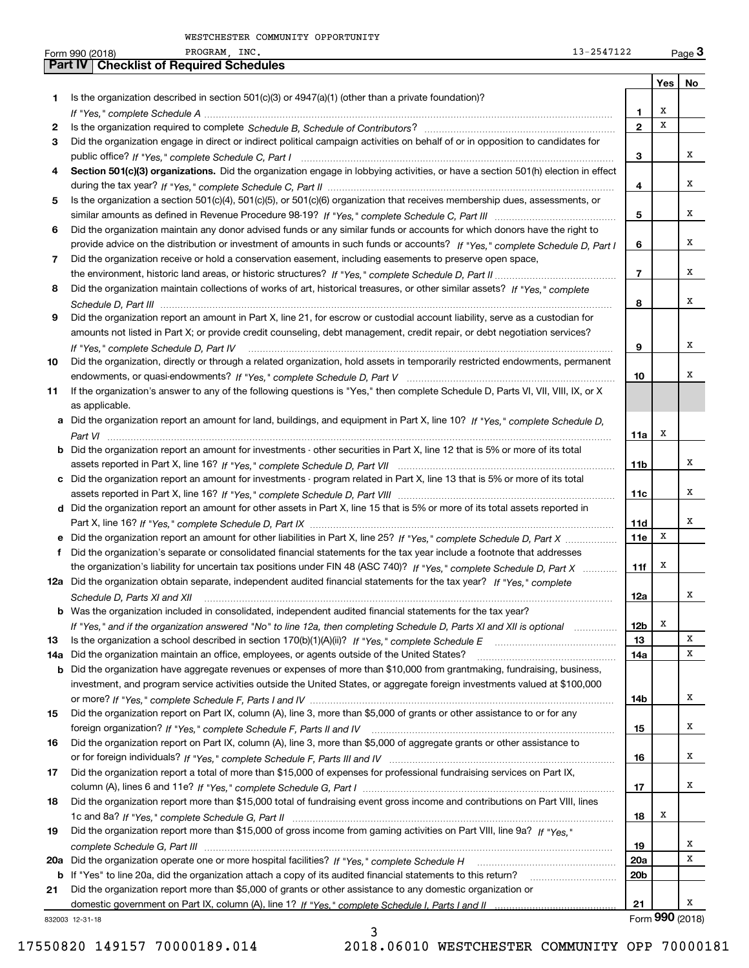|     | PROGRAM, INC.<br>13-2547122<br>Form 990 (2018)                                                                                       |                 |     | $_{\text{Page}}$ 3 |
|-----|--------------------------------------------------------------------------------------------------------------------------------------|-----------------|-----|--------------------|
|     | <b>Part IV   Checklist of Required Schedules</b>                                                                                     |                 |     |                    |
|     |                                                                                                                                      |                 | Yes | No                 |
| 1   | Is the organization described in section $501(c)(3)$ or $4947(a)(1)$ (other than a private foundation)?                              |                 |     |                    |
|     |                                                                                                                                      | 1               | х   |                    |
| 2   |                                                                                                                                      | $\mathbf{2}$    | х   |                    |
| З   | Did the organization engage in direct or indirect political campaign activities on behalf of or in opposition to candidates for      |                 |     |                    |
|     |                                                                                                                                      | з               |     | х                  |
| 4   | Section 501(c)(3) organizations. Did the organization engage in lobbying activities, or have a section 501(h) election in effect     |                 |     |                    |
|     |                                                                                                                                      | 4               |     | х                  |
| 5   | Is the organization a section 501(c)(4), 501(c)(5), or 501(c)(6) organization that receives membership dues, assessments, or         |                 |     |                    |
|     |                                                                                                                                      | 5               |     | х                  |
| 6   | Did the organization maintain any donor advised funds or any similar funds or accounts for which donors have the right to            |                 |     |                    |
|     | provide advice on the distribution or investment of amounts in such funds or accounts? If "Yes," complete Schedule D, Part I         | 6               |     | х                  |
| 7   | Did the organization receive or hold a conservation easement, including easements to preserve open space,                            |                 |     |                    |
|     |                                                                                                                                      | $\overline{7}$  |     | х                  |
| 8   | Did the organization maintain collections of works of art, historical treasures, or other similar assets? If "Yes," complete         |                 |     |                    |
|     |                                                                                                                                      |                 |     | х                  |
|     |                                                                                                                                      | 8               |     |                    |
| 9   | Did the organization report an amount in Part X, line 21, for escrow or custodial account liability, serve as a custodian for        |                 |     |                    |
|     | amounts not listed in Part X; or provide credit counseling, debt management, credit repair, or debt negotiation services?            |                 |     |                    |
|     | If "Yes," complete Schedule D, Part IV                                                                                               | 9               |     | х                  |
| 10  | Did the organization, directly or through a related organization, hold assets in temporarily restricted endowments, permanent        |                 |     |                    |
|     |                                                                                                                                      | 10              |     | х                  |
| 11  | If the organization's answer to any of the following questions is "Yes," then complete Schedule D, Parts VI, VII, VIII, IX, or X     |                 |     |                    |
|     | as applicable.                                                                                                                       |                 |     |                    |
|     | a Did the organization report an amount for land, buildings, and equipment in Part X, line 10? If "Yes," complete Schedule D.        |                 |     |                    |
|     |                                                                                                                                      | 11a             | х   |                    |
|     | <b>b</b> Did the organization report an amount for investments - other securities in Part X, line 12 that is 5% or more of its total |                 |     |                    |
|     |                                                                                                                                      | 11b             |     | х                  |
|     | c Did the organization report an amount for investments - program related in Part X, line 13 that is 5% or more of its total         |                 |     |                    |
|     |                                                                                                                                      | 11c             |     | х                  |
|     | d Did the organization report an amount for other assets in Part X, line 15 that is 5% or more of its total assets reported in       |                 |     |                    |
|     |                                                                                                                                      | 11d             |     | х                  |
|     |                                                                                                                                      | 11e             | X   |                    |
| f.  | Did the organization's separate or consolidated financial statements for the tax year include a footnote that addresses              |                 |     |                    |
|     | the organization's liability for uncertain tax positions under FIN 48 (ASC 740)? If "Yes," complete Schedule D, Part X               | 11f             | X   |                    |
|     | 12a Did the organization obtain separate, independent audited financial statements for the tax year? If "Yes," complete              |                 |     |                    |
|     |                                                                                                                                      | 12a             |     | х                  |
|     | b Was the organization included in consolidated, independent audited financial statements for the tax year?                          |                 |     |                    |
|     | If "Yes," and if the organization answered "No" to line 12a, then completing Schedule D, Parts XI and XII is optional                | 12b             | х   |                    |
| 13  |                                                                                                                                      | 13              |     | X                  |
| 14a | Did the organization maintain an office, employees, or agents outside of the United States?                                          | 14a             |     | х                  |
| b   | Did the organization have aggregate revenues or expenses of more than \$10,000 from grantmaking, fundraising, business,              |                 |     |                    |
|     | investment, and program service activities outside the United States, or aggregate foreign investments valued at \$100,000           |                 |     |                    |
|     |                                                                                                                                      | 14b             |     | х                  |
|     | Did the organization report on Part IX, column (A), line 3, more than \$5,000 of grants or other assistance to or for any            |                 |     |                    |
| 15  |                                                                                                                                      |                 |     | х                  |
|     |                                                                                                                                      | 15              |     |                    |
| 16  | Did the organization report on Part IX, column (A), line 3, more than \$5,000 of aggregate grants or other assistance to             |                 |     | х                  |
|     |                                                                                                                                      | 16              |     |                    |
| 17  | Did the organization report a total of more than \$15,000 of expenses for professional fundraising services on Part IX,              |                 |     |                    |
|     |                                                                                                                                      | 17              |     | х                  |
| 18  | Did the organization report more than \$15,000 total of fundraising event gross income and contributions on Part VIII, lines         |                 |     |                    |
|     |                                                                                                                                      | 18              | х   |                    |
| 19  | Did the organization report more than \$15,000 of gross income from gaming activities on Part VIII, line 9a? If "Yes."               |                 |     |                    |
|     |                                                                                                                                      | 19              |     | x                  |
|     | 20a Did the organization operate one or more hospital facilities? If "Yes," complete Schedule H                                      | 20a             |     | х                  |
|     | b If "Yes" to line 20a, did the organization attach a copy of its audited financial statements to this return?                       | 20 <sub>b</sub> |     |                    |
| 21  | Did the organization report more than \$5,000 of grants or other assistance to any domestic organization or                          |                 |     |                    |
|     |                                                                                                                                      | 21              |     | х                  |
|     | 832003 12-31-18                                                                                                                      |                 |     | Form 990 (2018)    |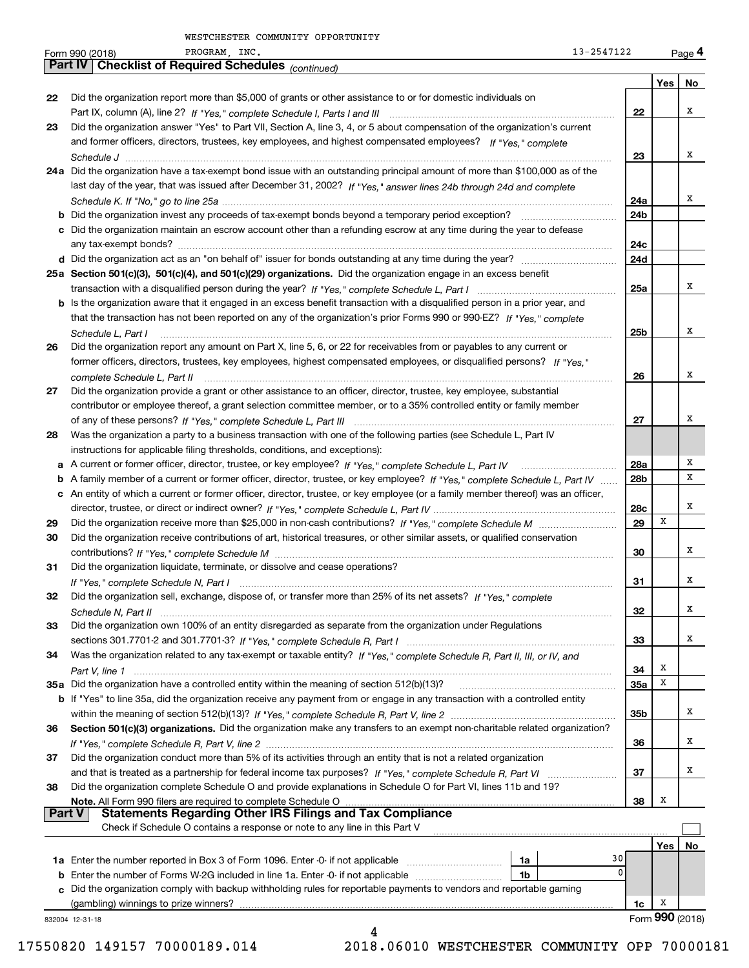|               | PROGRAM, INC.<br>13-2547122<br>Form 990 (2018)                                                                                                                                                                                                    |                 |                 | Page 4 |
|---------------|---------------------------------------------------------------------------------------------------------------------------------------------------------------------------------------------------------------------------------------------------|-----------------|-----------------|--------|
|               | Part IV   Checklist of Required Schedules (continued)                                                                                                                                                                                             |                 |                 |        |
|               |                                                                                                                                                                                                                                                   |                 | Yes             | No     |
| 22            | Did the organization report more than \$5,000 of grants or other assistance to or for domestic individuals on                                                                                                                                     |                 |                 |        |
|               |                                                                                                                                                                                                                                                   | 22              |                 | х      |
| 23            | Did the organization answer "Yes" to Part VII, Section A, line 3, 4, or 5 about compensation of the organization's current                                                                                                                        |                 |                 |        |
|               | and former officers, directors, trustees, key employees, and highest compensated employees? If "Yes," complete                                                                                                                                    |                 |                 | x      |
|               |                                                                                                                                                                                                                                                   | 23              |                 |        |
|               | 24a Did the organization have a tax-exempt bond issue with an outstanding principal amount of more than \$100,000 as of the<br>last day of the year, that was issued after December 31, 2002? If "Yes," answer lines 24b through 24d and complete |                 |                 |        |
|               |                                                                                                                                                                                                                                                   | 24a             |                 | x      |
|               |                                                                                                                                                                                                                                                   | 24 <sub>b</sub> |                 |        |
|               | c Did the organization maintain an escrow account other than a refunding escrow at any time during the year to defease                                                                                                                            |                 |                 |        |
|               |                                                                                                                                                                                                                                                   | 24c             |                 |        |
|               |                                                                                                                                                                                                                                                   | 24d             |                 |        |
|               | 25a Section 501(c)(3), 501(c)(4), and 501(c)(29) organizations. Did the organization engage in an excess benefit                                                                                                                                  |                 |                 |        |
|               |                                                                                                                                                                                                                                                   | 25a             |                 | х      |
|               | b Is the organization aware that it engaged in an excess benefit transaction with a disqualified person in a prior year, and                                                                                                                      |                 |                 |        |
|               | that the transaction has not been reported on any of the organization's prior Forms 990 or 990-EZ? If "Yes," complete                                                                                                                             |                 |                 |        |
|               | Schedule L. Part I                                                                                                                                                                                                                                | 25b             |                 | x      |
| 26            | Did the organization report any amount on Part X, line 5, 6, or 22 for receivables from or payables to any current or                                                                                                                             |                 |                 |        |
|               | former officers, directors, trustees, key employees, highest compensated employees, or disqualified persons? If "Yes."                                                                                                                            |                 |                 |        |
|               |                                                                                                                                                                                                                                                   | 26              |                 | x      |
| 27            | Did the organization provide a grant or other assistance to an officer, director, trustee, key employee, substantial                                                                                                                              |                 |                 |        |
|               | contributor or employee thereof, a grant selection committee member, or to a 35% controlled entity or family member                                                                                                                               |                 |                 |        |
|               |                                                                                                                                                                                                                                                   | 27              |                 | х      |
| 28            | Was the organization a party to a business transaction with one of the following parties (see Schedule L, Part IV                                                                                                                                 |                 |                 |        |
|               | instructions for applicable filing thresholds, conditions, and exceptions):                                                                                                                                                                       |                 |                 |        |
|               |                                                                                                                                                                                                                                                   | 28a             |                 | х      |
|               | b A family member of a current or former officer, director, trustee, or key employee? If "Yes," complete Schedule L, Part IV                                                                                                                      | 28 <sub>b</sub> |                 | х      |
|               | c An entity of which a current or former officer, director, trustee, or key employee (or a family member thereof) was an officer,                                                                                                                 |                 |                 | х      |
|               |                                                                                                                                                                                                                                                   | 28c             | х               |        |
| 29<br>30      | Did the organization receive contributions of art, historical treasures, or other similar assets, or qualified conservation                                                                                                                       | 29              |                 |        |
|               |                                                                                                                                                                                                                                                   | 30              |                 | х      |
| 31            | Did the organization liquidate, terminate, or dissolve and cease operations?                                                                                                                                                                      |                 |                 |        |
|               |                                                                                                                                                                                                                                                   | 31              |                 | x      |
| 32            | Did the organization sell, exchange, dispose of, or transfer more than 25% of its net assets? If "Yes," complete                                                                                                                                  |                 |                 |        |
|               |                                                                                                                                                                                                                                                   | 32              |                 | х      |
| 33            | Did the organization own 100% of an entity disregarded as separate from the organization under Regulations                                                                                                                                        |                 |                 |        |
|               |                                                                                                                                                                                                                                                   | 33              |                 | х      |
| 34            | Was the organization related to any tax-exempt or taxable entity? If "Yes," complete Schedule R, Part II, III, or IV, and                                                                                                                         |                 |                 |        |
|               |                                                                                                                                                                                                                                                   | 34              | х               |        |
|               | 35a Did the organization have a controlled entity within the meaning of section 512(b)(13)?                                                                                                                                                       | 35a             | x               |        |
|               | b If "Yes" to line 35a, did the organization receive any payment from or engage in any transaction with a controlled entity                                                                                                                       |                 |                 |        |
|               |                                                                                                                                                                                                                                                   | 35b             |                 | х      |
| 36            | Section 501(c)(3) organizations. Did the organization make any transfers to an exempt non-charitable related organization?                                                                                                                        |                 |                 |        |
|               |                                                                                                                                                                                                                                                   | 36              |                 | x      |
| 37            | Did the organization conduct more than 5% of its activities through an entity that is not a related organization                                                                                                                                  |                 |                 |        |
|               |                                                                                                                                                                                                                                                   | 37              |                 | x      |
| 38            | Did the organization complete Schedule O and provide explanations in Schedule O for Part VI, lines 11b and 19?                                                                                                                                    |                 | x               |        |
| <b>Part V</b> | Note. All Form 990 filers are required to complete Schedule O<br><b>Statements Regarding Other IRS Filings and Tax Compliance</b>                                                                                                                 | 38              |                 |        |
|               | Check if Schedule O contains a response or note to any line in this Part V                                                                                                                                                                        |                 |                 |        |
|               |                                                                                                                                                                                                                                                   |                 | Yes             | No     |
|               | 1a                                                                                                                                                                                                                                                | 30              |                 |        |
|               | <b>b</b> Enter the number of Forms W-2G included in line 1a. Enter -0- if not applicable<br>1b                                                                                                                                                    | 0               |                 |        |
|               | c Did the organization comply with backup withholding rules for reportable payments to vendors and reportable gaming                                                                                                                              |                 |                 |        |
|               | (gambling) winnings to prize winners?                                                                                                                                                                                                             | 1c              | X               |        |
|               | 832004 12-31-18                                                                                                                                                                                                                                   |                 | Form 990 (2018) |        |
|               | 4                                                                                                                                                                                                                                                 |                 |                 |        |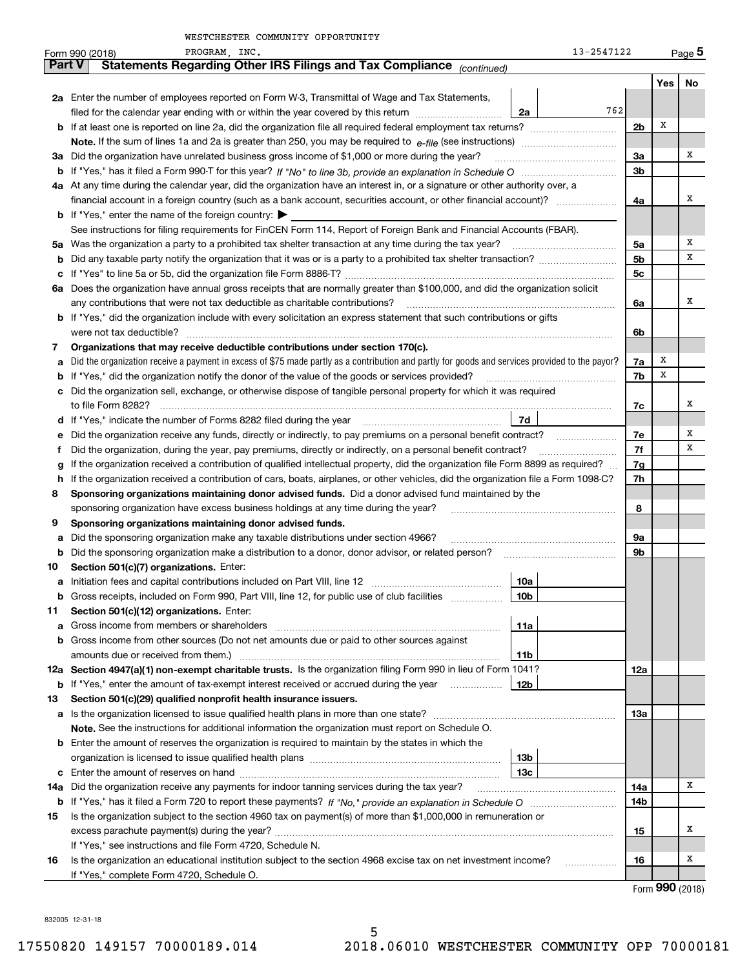|               | PROGRAM, INC.<br>Form 990 (2018)                                                                                                                | 13-2547122      |          |                                     | $_{\text{Page}}$ 5 |  |  |
|---------------|-------------------------------------------------------------------------------------------------------------------------------------------------|-----------------|----------|-------------------------------------|--------------------|--|--|
| <b>Part V</b> | Statements Regarding Other IRS Filings and Tax Compliance (continued)                                                                           |                 |          |                                     |                    |  |  |
|               |                                                                                                                                                 |                 |          | Yes                                 | No                 |  |  |
|               | 2a Enter the number of employees reported on Form W-3, Transmittal of Wage and Tax Statements,                                                  |                 |          |                                     |                    |  |  |
|               | filed for the calendar year ending with or within the year covered by this return <i>manumumumum</i>                                            | 762<br>2a       |          |                                     |                    |  |  |
|               |                                                                                                                                                 |                 | 2b       | х                                   |                    |  |  |
|               |                                                                                                                                                 |                 |          |                                     |                    |  |  |
| За            | Did the organization have unrelated business gross income of \$1,000 or more during the year?                                                   |                 | За       |                                     | х                  |  |  |
|               |                                                                                                                                                 |                 | 3b       |                                     |                    |  |  |
|               | 4a At any time during the calendar year, did the organization have an interest in, or a signature or other authority over, a                    |                 |          |                                     |                    |  |  |
|               |                                                                                                                                                 |                 | 4a       |                                     | Χ                  |  |  |
|               | <b>b</b> If "Yes," enter the name of the foreign country:                                                                                       |                 |          |                                     |                    |  |  |
|               | See instructions for filing requirements for FinCEN Form 114, Report of Foreign Bank and Financial Accounts (FBAR).                             |                 |          |                                     |                    |  |  |
| 5a            |                                                                                                                                                 |                 | 5a       |                                     | Χ                  |  |  |
| b             | Did any taxable party notify the organization that it was or is a party to a prohibited tax shelter transaction?                                |                 | 5b       |                                     | х                  |  |  |
| с             |                                                                                                                                                 |                 | 5c       |                                     |                    |  |  |
| 6а            | Does the organization have annual gross receipts that are normally greater than \$100,000, and did the organization solicit                     |                 |          |                                     |                    |  |  |
|               | any contributions that were not tax deductible as charitable contributions?                                                                     |                 | 6a       |                                     | Χ                  |  |  |
|               | b If "Yes," did the organization include with every solicitation an express statement that such contributions or gifts                          |                 |          |                                     |                    |  |  |
|               |                                                                                                                                                 |                 | 6b       |                                     |                    |  |  |
| 7             | Organizations that may receive deductible contributions under section 170(c).                                                                   |                 |          |                                     |                    |  |  |
| а             | Did the organization receive a payment in excess of \$75 made partly as a contribution and partly for goods and services provided to the payor? |                 | 7a       | X                                   |                    |  |  |
| b             | If "Yes," did the organization notify the donor of the value of the goods or services provided?                                                 |                 | 7b       | X                                   |                    |  |  |
|               | c Did the organization sell, exchange, or otherwise dispose of tangible personal property for which it was required                             |                 |          |                                     |                    |  |  |
|               |                                                                                                                                                 |                 | 7с       |                                     | х                  |  |  |
|               | d If "Yes," indicate the number of Forms 8282 filed during the year manufactured in the second of the New York                                  | 7d              |          |                                     |                    |  |  |
| е             | Did the organization receive any funds, directly or indirectly, to pay premiums on a personal benefit contract?                                 |                 | 7e<br>7f |                                     | Х<br>х             |  |  |
|               | Did the organization, during the year, pay premiums, directly or indirectly, on a personal benefit contract?<br>Ť.                              |                 |          |                                     |                    |  |  |
|               | If the organization received a contribution of qualified intellectual property, did the organization file Form 8899 as required?<br>g           |                 |          |                                     |                    |  |  |
|               | If the organization received a contribution of cars, boats, airplanes, or other vehicles, did the organization file a Form 1098-C?<br>h         |                 |          |                                     |                    |  |  |
| 8             | Sponsoring organizations maintaining donor advised funds. Did a donor advised fund maintained by the                                            |                 |          |                                     |                    |  |  |
|               | sponsoring organization have excess business holdings at any time during the year?                                                              |                 | 8        |                                     |                    |  |  |
| 9             | Sponsoring organizations maintaining donor advised funds.<br>Did the sponsoring organization make any taxable distributions under section 4966? |                 |          |                                     |                    |  |  |
| а             |                                                                                                                                                 |                 | 9a<br>9b |                                     |                    |  |  |
| b             | Did the sponsoring organization make a distribution to a donor, donor advisor, or related person?<br>Section 501(c)(7) organizations. Enter:    |                 |          |                                     |                    |  |  |
| 10<br>а       |                                                                                                                                                 | 10a             |          |                                     |                    |  |  |
| b             | Gross receipts, included on Form 990, Part VIII, line 12, for public use of club facilities                                                     | 10 <sub>b</sub> |          |                                     |                    |  |  |
| 11            | Section 501(c)(12) organizations. Enter:                                                                                                        |                 |          |                                     |                    |  |  |
| а             | Gross income from members or shareholders                                                                                                       | 11a             |          |                                     |                    |  |  |
|               | <b>b</b> Gross income from other sources (Do not net amounts due or paid to other sources against                                               |                 |          |                                     |                    |  |  |
|               | amounts due or received from them.)                                                                                                             | 11b             |          |                                     |                    |  |  |
|               | 12a Section 4947(a)(1) non-exempt charitable trusts. Is the organization filing Form 990 in lieu of Form 1041?                                  |                 | 12a      |                                     |                    |  |  |
|               | <b>b</b> If "Yes," enter the amount of tax-exempt interest received or accrued during the year <i>manument</i>                                  | 12b             |          |                                     |                    |  |  |
| 13            | Section 501(c)(29) qualified nonprofit health insurance issuers.                                                                                |                 |          |                                     |                    |  |  |
|               | a Is the organization licensed to issue qualified health plans in more than one state?                                                          |                 | 13а      |                                     |                    |  |  |
|               | Note. See the instructions for additional information the organization must report on Schedule O.                                               |                 |          |                                     |                    |  |  |
|               | <b>b</b> Enter the amount of reserves the organization is required to maintain by the states in which the                                       |                 |          |                                     |                    |  |  |
|               |                                                                                                                                                 | 13b             |          |                                     |                    |  |  |
| c             |                                                                                                                                                 | 13c             |          |                                     |                    |  |  |
|               | 14a Did the organization receive any payments for indoor tanning services during the tax year?                                                  |                 | 14a      |                                     | x                  |  |  |
|               |                                                                                                                                                 |                 | 14b      |                                     |                    |  |  |
| 15            | Is the organization subject to the section 4960 tax on payment(s) of more than \$1,000,000 in remuneration or                                   |                 |          |                                     |                    |  |  |
|               |                                                                                                                                                 |                 | 15       |                                     | х                  |  |  |
|               | If "Yes," see instructions and file Form 4720, Schedule N.                                                                                      |                 |          |                                     |                    |  |  |
| 16            | Is the organization an educational institution subject to the section 4968 excise tax on net investment income?                                 |                 | 16       |                                     | х                  |  |  |
|               | If "Yes," complete Form 4720, Schedule O.                                                                                                       |                 |          |                                     |                    |  |  |
|               |                                                                                                                                                 |                 |          | $T_{\text{arm}}$ QQ $\Omega$ (2010) |                    |  |  |

5

Form (2018) **990**

832005 12-31-18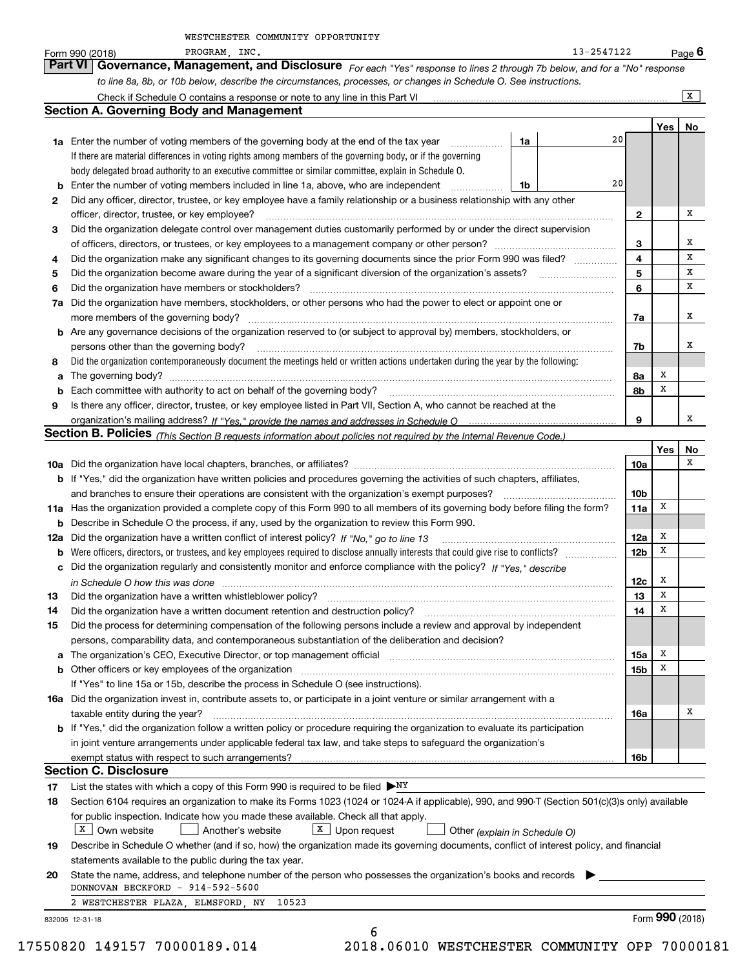|     | PROGRAM, INC.<br>13-2547122<br>Form 990 (2018)                                                                                                                                                                                                                                                                                                                                 |                 |        | <u>Page</u> 6   |
|-----|--------------------------------------------------------------------------------------------------------------------------------------------------------------------------------------------------------------------------------------------------------------------------------------------------------------------------------------------------------------------------------|-----------------|--------|-----------------|
|     | Part VI   Governance, Management, and Disclosure For each "Yes" response to lines 2 through 7b below, and for a "No" response                                                                                                                                                                                                                                                  |                 |        |                 |
|     | to line 8a, 8b, or 10b below, describe the circumstances, processes, or changes in Schedule O. See instructions.                                                                                                                                                                                                                                                               |                 |        |                 |
|     | Check if Schedule O contains a response or note to any line in this Part VI                                                                                                                                                                                                                                                                                                    |                 |        | $\overline{X}$  |
|     | <b>Section A. Governing Body and Management</b>                                                                                                                                                                                                                                                                                                                                |                 |        |                 |
|     |                                                                                                                                                                                                                                                                                                                                                                                |                 | Yes    | No              |
|     | 20<br><b>1a</b> Enter the number of voting members of the governing body at the end of the tax year<br>1a                                                                                                                                                                                                                                                                      |                 |        |                 |
|     | If there are material differences in voting rights among members of the governing body, or if the governing                                                                                                                                                                                                                                                                    |                 |        |                 |
|     | body delegated broad authority to an executive committee or similar committee, explain in Schedule O.                                                                                                                                                                                                                                                                          |                 |        |                 |
| b   | 20<br>Enter the number of voting members included in line 1a, above, who are independent<br>1b<br>.                                                                                                                                                                                                                                                                            |                 |        |                 |
| 2   | Did any officer, director, trustee, or key employee have a family relationship or a business relationship with any other                                                                                                                                                                                                                                                       |                 |        |                 |
|     | officer, director, trustee, or key employee?                                                                                                                                                                                                                                                                                                                                   | 2               |        | х               |
| З   | Did the organization delegate control over management duties customarily performed by or under the direct supervision                                                                                                                                                                                                                                                          |                 |        |                 |
|     |                                                                                                                                                                                                                                                                                                                                                                                | 3               |        | х               |
| 4   | Did the organization make any significant changes to its governing documents since the prior Form 990 was filed?                                                                                                                                                                                                                                                               | 4               |        | х               |
| 5   |                                                                                                                                                                                                                                                                                                                                                                                | 5               |        | х               |
| 6   | Did the organization have members or stockholders?                                                                                                                                                                                                                                                                                                                             | 6               |        | х               |
| 7a  | Did the organization have members, stockholders, or other persons who had the power to elect or appoint one or                                                                                                                                                                                                                                                                 |                 |        |                 |
|     | more members of the governing body?                                                                                                                                                                                                                                                                                                                                            | 7a              |        | х               |
|     | <b>b</b> Are any governance decisions of the organization reserved to (or subject to approval by) members, stockholders, or                                                                                                                                                                                                                                                    |                 |        |                 |
|     | $\begin{bmatrix} \begin{bmatrix} 0 & 0 & 0 & 0 \\ 0 & 0 & 0 & 0 \\ 0 & 0 & 0 & 0 \\ 0 & 0 & 0 & 0 \\ 0 & 0 & 0 & 0 \\ 0 & 0 & 0 & 0 & 0 \\ 0 & 0 & 0 & 0 & 0 \\ 0 & 0 & 0 & 0 & 0 \\ 0 & 0 & 0 & 0 & 0 \\ 0 & 0 & 0 & 0 & 0 \\ 0 & 0 & 0 & 0 & 0 \\ 0 & 0 & 0 & 0 & 0 \\ 0 & 0 & 0 & 0 & 0 & 0 \\ 0 & 0 & 0 & 0 & 0 & 0 \\ 0 & 0 & $<br>persons other than the governing body? | 7b              |        | х               |
| 8   | Did the organization contemporaneously document the meetings held or written actions undertaken during the year by the following:                                                                                                                                                                                                                                              |                 |        |                 |
| a   |                                                                                                                                                                                                                                                                                                                                                                                | 8a              | x      |                 |
| b   | Each committee with authority to act on behalf of the governing body?                                                                                                                                                                                                                                                                                                          | 8b              | X      |                 |
| 9   | Is there any officer, director, trustee, or key employee listed in Part VII, Section A, who cannot be reached at the                                                                                                                                                                                                                                                           |                 |        |                 |
|     |                                                                                                                                                                                                                                                                                                                                                                                | 9               |        | х               |
|     | Section B. Policies (This Section B requests information about policies not required by the Internal Revenue Code.)                                                                                                                                                                                                                                                            |                 |        |                 |
|     |                                                                                                                                                                                                                                                                                                                                                                                |                 | Yes    | No              |
|     |                                                                                                                                                                                                                                                                                                                                                                                | 10a             |        | х               |
|     | <b>b</b> If "Yes," did the organization have written policies and procedures governing the activities of such chapters, affiliates,                                                                                                                                                                                                                                            |                 |        |                 |
|     | and branches to ensure their operations are consistent with the organization's exempt purposes?                                                                                                                                                                                                                                                                                | 10 <sub>b</sub> |        |                 |
|     | 11a Has the organization provided a complete copy of this Form 990 to all members of its governing body before filing the form?                                                                                                                                                                                                                                                | 11a             | x      |                 |
| b   | Describe in Schedule O the process, if any, used by the organization to review this Form 990.                                                                                                                                                                                                                                                                                  |                 |        |                 |
| 12a | Did the organization have a written conflict of interest policy? If "No," go to line 13                                                                                                                                                                                                                                                                                        | 12a             | x      |                 |
| b   |                                                                                                                                                                                                                                                                                                                                                                                | 12 <sub>b</sub> | x      |                 |
|     | c Did the organization regularly and consistently monitor and enforce compliance with the policy? If "Yes," describe                                                                                                                                                                                                                                                           |                 |        |                 |
|     | in Schedule O how this was done measured and contained a state of the state of the state of the state of the s                                                                                                                                                                                                                                                                 | 12c             | x<br>X |                 |
|     |                                                                                                                                                                                                                                                                                                                                                                                | 13              |        |                 |
| 14  | Did the organization have a written document retention and destruction policy?                                                                                                                                                                                                                                                                                                 | 14              | х      |                 |
| 15  | Did the process for determining compensation of the following persons include a review and approval by independent                                                                                                                                                                                                                                                             |                 |        |                 |
|     | persons, comparability data, and contemporaneous substantiation of the deliberation and decision?                                                                                                                                                                                                                                                                              |                 |        |                 |
|     | The organization's CEO, Executive Director, or top management official manufactured content of the organization's CEO, Executive Director, or top management official                                                                                                                                                                                                          | 15a             | x      |                 |
|     | <b>b</b> Other officers or key employees of the organization                                                                                                                                                                                                                                                                                                                   | 15 <sub>b</sub> | x      |                 |
|     | If "Yes" to line 15a or 15b, describe the process in Schedule O (see instructions).                                                                                                                                                                                                                                                                                            |                 |        |                 |
|     | 16a Did the organization invest in, contribute assets to, or participate in a joint venture or similar arrangement with a                                                                                                                                                                                                                                                      |                 |        | х               |
|     | taxable entity during the year?                                                                                                                                                                                                                                                                                                                                                | 16a             |        |                 |
|     | b If "Yes," did the organization follow a written policy or procedure requiring the organization to evaluate its participation                                                                                                                                                                                                                                                 |                 |        |                 |
|     | in joint venture arrangements under applicable federal tax law, and take steps to safeguard the organization's                                                                                                                                                                                                                                                                 |                 |        |                 |
|     | exempt status with respect to such arrangements?<br><b>Section C. Disclosure</b>                                                                                                                                                                                                                                                                                               | 16b             |        |                 |
| 17  | List the states with which a copy of this Form 990 is required to be filed $\triangleright_{\text{NY}}$                                                                                                                                                                                                                                                                        |                 |        |                 |
| 18  | Section 6104 requires an organization to make its Forms 1023 (1024 or 1024-A if applicable), 990, and 990-T (Section 501(c)(3)s only) available                                                                                                                                                                                                                                |                 |        |                 |
|     | for public inspection. Indicate how you made these available. Check all that apply.                                                                                                                                                                                                                                                                                            |                 |        |                 |
|     | $\mathsf{X}$   Own website<br>$X$ Upon request<br>Another's website<br>Other (explain in Schedule O)                                                                                                                                                                                                                                                                           |                 |        |                 |
| 19  | Describe in Schedule O whether (and if so, how) the organization made its governing documents, conflict of interest policy, and financial                                                                                                                                                                                                                                      |                 |        |                 |
|     | statements available to the public during the tax year.                                                                                                                                                                                                                                                                                                                        |                 |        |                 |
| 20  | State the name, address, and telephone number of the person who possesses the organization's books and records                                                                                                                                                                                                                                                                 |                 |        |                 |
|     | DONNOVAN BECKFORD - 914-592-5600                                                                                                                                                                                                                                                                                                                                               |                 |        |                 |
|     | 2 WESTCHESTER PLAZA, ELMSFORD, NY<br>10523                                                                                                                                                                                                                                                                                                                                     |                 |        |                 |
|     | 832006 12-31-18                                                                                                                                                                                                                                                                                                                                                                |                 |        | Form 990 (2018) |
|     | 6                                                                                                                                                                                                                                                                                                                                                                              |                 |        |                 |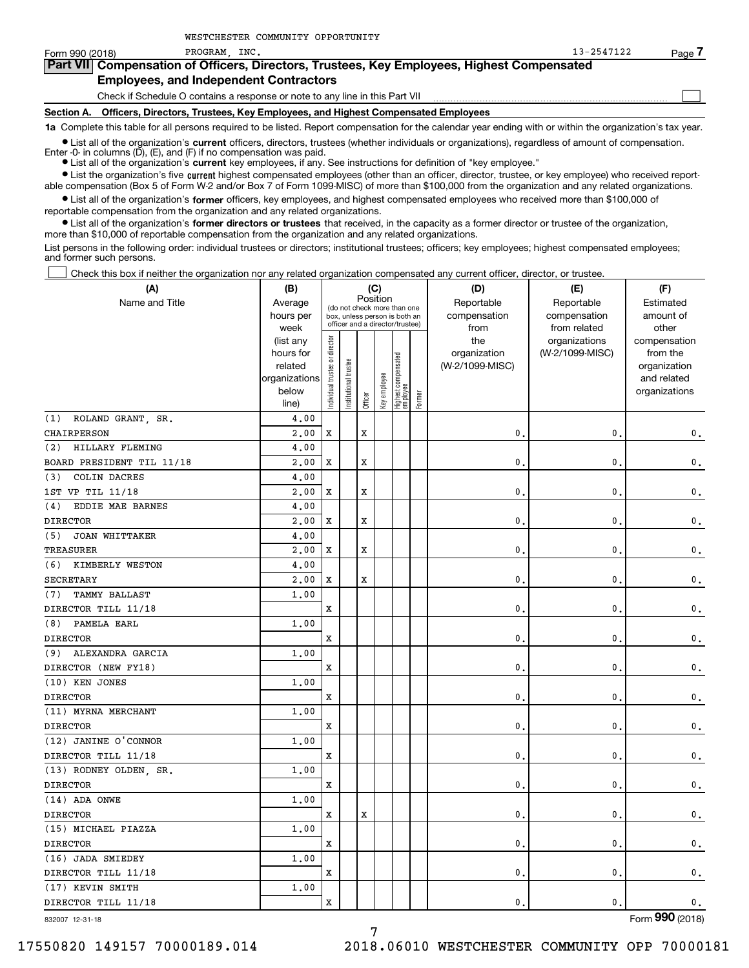| Form 990 (2018)   | PROGRAM INC.                                                                                                                                               | 13-2547122 | Page / |  |  |  |  |  |  |
|-------------------|------------------------------------------------------------------------------------------------------------------------------------------------------------|------------|--------|--|--|--|--|--|--|
|                   | <b>Part VII</b> Compensation of Officers, Directors, Trustees, Key Employees, Highest Compensated                                                          |            |        |  |  |  |  |  |  |
|                   | <b>Employees, and Independent Contractors</b>                                                                                                              |            |        |  |  |  |  |  |  |
|                   | Check if Schedule O contains a response or note to any line in this Part VII                                                                               |            |        |  |  |  |  |  |  |
| <b>Section A.</b> | Officers, Directors, Trustees, Key Employees, and Highest Compensated Employees                                                                            |            |        |  |  |  |  |  |  |
|                   | 1a Complete this table for all persons required to be listed. Report compensation for the calendar year ending with or within the organization's tax year. |            |        |  |  |  |  |  |  |

**•** List all of the organization's current officers, directors, trustees (whether individuals or organizations), regardless of amount of compensation.

Enter -0- in columns (D), (E), and (F) if no compensation was paid.

● List all of the organization's **current** key employees, if any. See instructions for definition of "key employee."

WESTCHESTER COMMUNITY OPPORTUNITY

**•** List the organization's five current highest compensated employees (other than an officer, director, trustee, or key employee) who received reportable compensation (Box 5 of Form W-2 and/or Box 7 of Form 1099-MISC) of more than \$100,000 from the organization and any related organizations.

 $\bullet$  List all of the organization's **former** officers, key employees, and highest compensated employees who received more than \$100,000 of reportable compensation from the organization and any related organizations.

**•** List all of the organization's former directors or trustees that received, in the capacity as a former director or trustee of the organization, more than \$10,000 of reportable compensation from the organization and any related organizations.

List persons in the following order: individual trustees or directors; institutional trustees; officers; key employees; highest compensated employees; and former such persons.

Check this box if neither the organization nor any related organization compensated any current officer, director, or trustee.

| (A)                          | (C)<br>(B)             |                                         |                                                                  |         |              |                                 |            | (D)             | (E)                              | (F)                      |
|------------------------------|------------------------|-----------------------------------------|------------------------------------------------------------------|---------|--------------|---------------------------------|------------|-----------------|----------------------------------|--------------------------|
| Name and Title               | Average                | Position<br>(do not check more than one |                                                                  |         |              |                                 | Reportable | Reportable      | Estimated                        |                          |
|                              | hours per              |                                         | box, unless person is both an<br>officer and a director/trustee) |         |              |                                 |            | compensation    | compensation                     | amount of                |
|                              | week                   |                                         |                                                                  |         |              |                                 |            | from<br>the     | from related                     | other                    |
|                              | (list any<br>hours for |                                         |                                                                  |         |              |                                 |            | organization    | organizations<br>(W-2/1099-MISC) | compensation<br>from the |
|                              | related                |                                         | trustee                                                          |         |              |                                 |            | (W-2/1099-MISC) |                                  | organization             |
|                              | organizations          |                                         |                                                                  |         |              |                                 |            |                 |                                  | and related              |
|                              | below                  | Individual trustee or director          | Institutional t                                                  |         | Key employee | Highest compensated<br>employee |            |                 |                                  | organizations            |
|                              | line)                  |                                         |                                                                  | Officer |              |                                 | Former     |                 |                                  |                          |
| ROLAND GRANT, SR.<br>(1)     | 4.00                   |                                         |                                                                  |         |              |                                 |            |                 |                                  |                          |
| CHAIRPERSON                  | 2,00                   | x                                       |                                                                  | X       |              |                                 |            | $\mathbf{0}$    | $\mathbf{0}$                     | $\mathbf 0$ .            |
| HILLARY FLEMING<br>(2)       | 4.00                   |                                         |                                                                  |         |              |                                 |            |                 |                                  |                          |
| BOARD PRESIDENT TIL 11/18    | 2,00                   | x                                       |                                                                  | x       |              |                                 |            | 0               | 0                                | $\mathbf 0$ .            |
| COLIN DACRES<br>(3)          | 4,00                   |                                         |                                                                  |         |              |                                 |            |                 |                                  |                          |
| 1ST VP TIL 11/18             | 2,00                   | x                                       |                                                                  | x       |              |                                 |            | $\mathbf{0}$    | 0                                | $\mathbf 0$ .            |
| EDDIE MAE BARNES<br>(4)      | 4,00                   |                                         |                                                                  |         |              |                                 |            |                 |                                  |                          |
| <b>DIRECTOR</b>              | 2,00                   | X                                       |                                                                  | X       |              |                                 |            | $\mathbf{0}$ .  | $\mathbf{0}$                     | $\mathbf{0}$ .           |
| (5)<br><b>JOAN WHITTAKER</b> | 4.00                   |                                         |                                                                  |         |              |                                 |            |                 |                                  |                          |
| TREASURER                    | 2,00                   | x                                       |                                                                  | X       |              |                                 |            | $\mathbf{0}$ .  | 0                                | $\mathfrak o$ .          |
| KIMBERLY WESTON<br>(6)       | 4,00                   |                                         |                                                                  |         |              |                                 |            |                 |                                  |                          |
| <b>SECRETARY</b>             | 2,00                   | x                                       |                                                                  | X       |              |                                 |            | $\mathbf{0}$    | 0                                | 0.                       |
| TAMMY BALLAST<br>(7)         | 1.00                   |                                         |                                                                  |         |              |                                 |            |                 |                                  |                          |
| DIRECTOR TILL 11/18          |                        | x                                       |                                                                  |         |              |                                 |            | 0.              | 0                                | $\mathsf{0}\,.$          |
| PAMELA EARL<br>(8)           | 1,00                   |                                         |                                                                  |         |              |                                 |            |                 |                                  |                          |
| <b>DIRECTOR</b>              |                        | x                                       |                                                                  |         |              |                                 |            | $\mathbf{0}$ .  | $\mathbf{0}$                     | $\mathbf{0}$ .           |
| ALEXANDRA GARCIA<br>(9)      | 1.00                   |                                         |                                                                  |         |              |                                 |            |                 |                                  |                          |
| DIRECTOR (NEW FY18)          |                        | x                                       |                                                                  |         |              |                                 |            | 0.              | 0                                | $\mathbf{0}$ .           |
| (10) KEN JONES               | 1.00                   |                                         |                                                                  |         |              |                                 |            |                 |                                  |                          |
| <b>DIRECTOR</b>              |                        | x                                       |                                                                  |         |              |                                 |            | 0               | 0                                | $\mathsf{0}\,.$          |
| (11) MYRNA MERCHANT          | 1.00                   |                                         |                                                                  |         |              |                                 |            |                 |                                  |                          |
| <b>DIRECTOR</b>              |                        | x                                       |                                                                  |         |              |                                 |            | $\mathbf{0}$    | $\mathbf{0}$                     | $\mathsf{0}\,.$          |
| (12) JANINE O'CONNOR         | 1.00                   |                                         |                                                                  |         |              |                                 |            |                 |                                  |                          |
| DIRECTOR TILL 11/18          |                        | x                                       |                                                                  |         |              |                                 |            | $\mathbf{0}$    | $\mathbf{0}$                     | $\mathbf{0}$ .           |
| (13) RODNEY OLDEN, SR.       | 1.00                   |                                         |                                                                  |         |              |                                 |            |                 |                                  |                          |
| <b>DIRECTOR</b>              |                        | x                                       |                                                                  |         |              |                                 |            | 0.              | $\mathbf{0}$                     | $\mathbf{0}$ .           |
| (14) ADA ONWE                | 1.00                   |                                         |                                                                  |         |              |                                 |            |                 |                                  |                          |
| <b>DIRECTOR</b>              |                        | x                                       |                                                                  | X       |              |                                 |            | $\mathbf{0}$    | 0                                | $\mathsf{0}\,.$          |
| (15) MICHAEL PIAZZA          | 1.00                   |                                         |                                                                  |         |              |                                 |            |                 |                                  |                          |
| <b>DIRECTOR</b>              |                        | x                                       |                                                                  |         |              |                                 |            | 0.              | $\mathbf 0$                      | $\mathbf{0}$ .           |
| (16) JADA SMIEDEY            | 1.00                   |                                         |                                                                  |         |              |                                 |            |                 |                                  |                          |
| DIRECTOR TILL 11/18          |                        | x                                       |                                                                  |         |              |                                 |            | 0.              | $\mathbf{0}$                     | $\mathbf{0}$ .           |
| (17) KEVIN SMITH             | 1,00                   |                                         |                                                                  |         |              |                                 |            |                 |                                  |                          |
| DIRECTOR TILL 11/18          |                        | X                                       |                                                                  |         |              |                                 |            | 0.              | $\mathbf 0$                      | $\mathbf{0}$ .           |
| 832007 12-31-18              |                        |                                         |                                                                  |         |              |                                 |            |                 |                                  | Form 990 (2018)          |

7

832007 12-31-18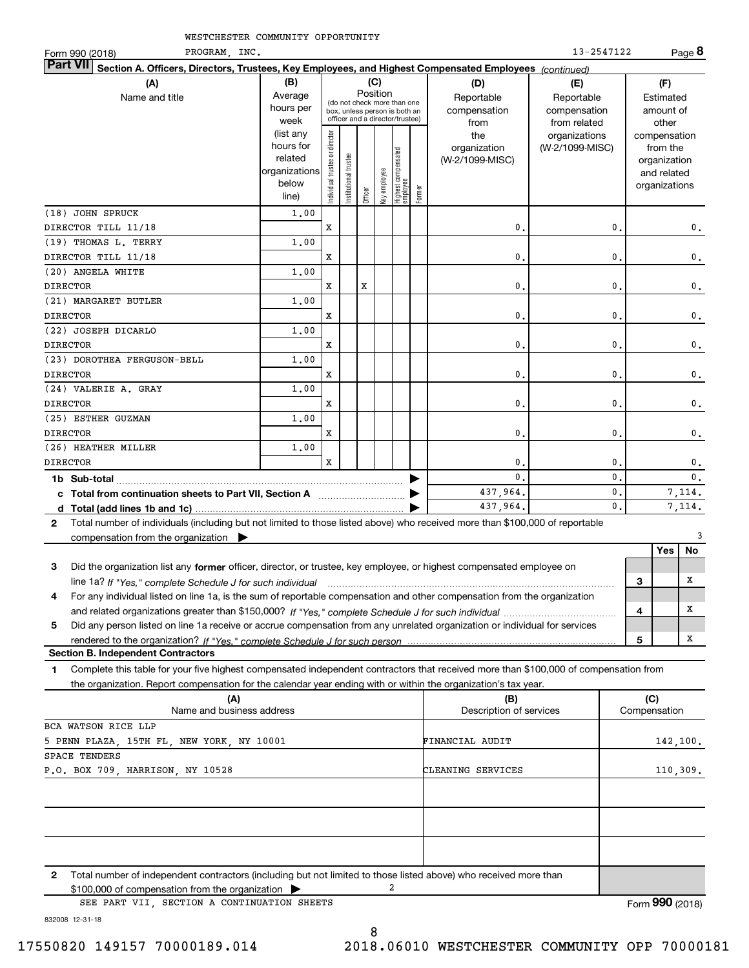| PROGRAM, INC.<br>Form 990 (2018)                                                                                                             |                                                                      |                                |                                                                                                             |         |              |                                 |        |                                        | 13-2547122                                 |   |                                                                          | Page 8         |
|----------------------------------------------------------------------------------------------------------------------------------------------|----------------------------------------------------------------------|--------------------------------|-------------------------------------------------------------------------------------------------------------|---------|--------------|---------------------------------|--------|----------------------------------------|--------------------------------------------|---|--------------------------------------------------------------------------|----------------|
| <b>Part VII</b><br>Section A. Officers, Directors, Trustees, Key Employees, and Highest Compensated Employees (continued)                    |                                                                      |                                |                                                                                                             |         |              |                                 |        |                                        |                                            |   |                                                                          |                |
| (A)                                                                                                                                          | (B)                                                                  |                                |                                                                                                             |         | (C)          |                                 |        | (D)                                    | (E)                                        |   | (F)                                                                      |                |
| Name and title                                                                                                                               | Average<br>hours per<br>week                                         |                                | Position<br>(do not check more than one<br>box, unless person is both an<br>officer and a director/trustee) |         |              |                                 |        | Reportable<br>compensation<br>from     | Reportable<br>compensation<br>from related |   | Estimated<br>amount of<br>other                                          |                |
|                                                                                                                                              | (list any<br>hours for<br>related<br>organizations<br>below<br>line) | Individual trustee or director | nstitutional trustee                                                                                        | Officer | key employee | Highest compensated<br>employee | Former | the<br>organization<br>(W-2/1099-MISC) | organizations<br>(W-2/1099-MISC)           |   | compensation<br>from the<br>organization<br>and related<br>organizations |                |
| (18) JOHN SPRUCK                                                                                                                             | 1,00                                                                 |                                |                                                                                                             |         |              |                                 |        |                                        |                                            |   |                                                                          |                |
| DIRECTOR TILL 11/18                                                                                                                          |                                                                      | x                              |                                                                                                             |         |              |                                 |        | $\mathbf{0}$ .                         | $\mathbf{0}$                               |   |                                                                          | $\mathbf 0$ .  |
| (19) THOMAS L. TERRY                                                                                                                         | 1.00                                                                 |                                |                                                                                                             |         |              |                                 |        |                                        |                                            |   |                                                                          |                |
| DIRECTOR TILL 11/18                                                                                                                          |                                                                      | x                              |                                                                                                             |         |              |                                 |        | $\mathbf{0}$                           | 0                                          |   |                                                                          | 0.             |
| (20) ANGELA WHITE                                                                                                                            | 1.00                                                                 |                                |                                                                                                             |         |              |                                 |        |                                        |                                            |   |                                                                          |                |
| <b>DIRECTOR</b>                                                                                                                              |                                                                      | x                              |                                                                                                             | X       |              |                                 |        | $\mathbf{0}$ .                         | $\mathbf{0}$                               |   |                                                                          | 0.             |
| (21) MARGARET BUTLER                                                                                                                         | 1,00                                                                 |                                |                                                                                                             |         |              |                                 |        |                                        |                                            |   |                                                                          |                |
| <b>DIRECTOR</b>                                                                                                                              |                                                                      | x                              |                                                                                                             |         |              |                                 |        | 0                                      | 0                                          |   |                                                                          | 0.             |
| (22) JOSEPH DICARLO                                                                                                                          | 1.00                                                                 |                                |                                                                                                             |         |              |                                 |        |                                        |                                            |   |                                                                          |                |
| <b>DIRECTOR</b>                                                                                                                              |                                                                      | x                              |                                                                                                             |         |              |                                 |        | $\mathbf 0$ .                          | 0.                                         |   |                                                                          | 0.             |
| (23) DOROTHEA FERGUSON-BELL                                                                                                                  | 1.00                                                                 |                                |                                                                                                             |         |              |                                 |        |                                        |                                            |   |                                                                          |                |
| <b>DIRECTOR</b>                                                                                                                              |                                                                      | x                              |                                                                                                             |         |              |                                 |        | $\mathbf{0}$ .                         | 0                                          |   |                                                                          | 0.             |
| (24) VALERIE A. GRAY                                                                                                                         | 1,00                                                                 |                                |                                                                                                             |         |              |                                 |        |                                        |                                            |   |                                                                          |                |
| <b>DIRECTOR</b>                                                                                                                              |                                                                      | x                              |                                                                                                             |         |              |                                 |        | $\mathbf{0}$                           | $\mathbf{0}$                               |   |                                                                          | 0.             |
| (25) ESTHER GUZMAN                                                                                                                           | 1.00                                                                 |                                |                                                                                                             |         |              |                                 |        |                                        |                                            |   |                                                                          |                |
| <b>DIRECTOR</b>                                                                                                                              |                                                                      | x                              |                                                                                                             |         |              |                                 |        | $\mathbf{0}$ .                         | $\mathbf 0$ .                              |   |                                                                          | 0.             |
| (26) HEATHER MILLER                                                                                                                          | 1.00                                                                 |                                |                                                                                                             |         |              |                                 |        |                                        |                                            |   |                                                                          |                |
| <b>DIRECTOR</b>                                                                                                                              |                                                                      | $\mathbf x$                    |                                                                                                             |         |              |                                 |        | 0                                      | 0                                          |   |                                                                          | 0.             |
|                                                                                                                                              |                                                                      |                                |                                                                                                             |         |              |                                 |        | $\Omega$                               | 0                                          |   |                                                                          | $\mathbf{0}$ . |
| c Total from continuation sheets to Part VII, Section A                                                                                      |                                                                      |                                |                                                                                                             |         |              |                                 |        | 437,964.                               | 0.                                         |   |                                                                          | 7.114.         |
|                                                                                                                                              |                                                                      |                                |                                                                                                             |         |              |                                 |        | 437,964.                               | 0.                                         |   |                                                                          | 7,114.         |
| Total number of individuals (including but not limited to those listed above) who received more than \$100,000 of reportable<br>$\mathbf{2}$ |                                                                      |                                |                                                                                                             |         |              |                                 |        |                                        |                                            |   |                                                                          |                |
| compensation from the organization $\blacktriangleright$                                                                                     |                                                                      |                                |                                                                                                             |         |              |                                 |        |                                        |                                            |   |                                                                          | 3              |
|                                                                                                                                              |                                                                      |                                |                                                                                                             |         |              |                                 |        |                                        |                                            |   | Yes                                                                      | No             |
| 3<br>Did the organization list any former officer, director, or trustee, key employee, or highest compensated employee on                    |                                                                      |                                |                                                                                                             |         |              |                                 |        |                                        |                                            |   |                                                                          |                |
| line 1a? If "Yes," complete Schedule J for such individual manufactured contained and the Ves," complete Schedule J for such individual      |                                                                      |                                |                                                                                                             |         |              |                                 |        |                                        |                                            | 3 |                                                                          | х              |
| For any individual listed on line 1a, is the sum of reportable compensation and other compensation from the organization<br>4                |                                                                      |                                |                                                                                                             |         |              |                                 |        |                                        |                                            |   |                                                                          |                |
|                                                                                                                                              |                                                                      |                                |                                                                                                             |         |              |                                 |        |                                        |                                            | 4 |                                                                          | х              |
| 5<br>Did any person listed on line 1a receive or accrue compensation from any unrelated organization or individual for services              |                                                                      |                                |                                                                                                             |         |              |                                 |        |                                        |                                            |   |                                                                          |                |
|                                                                                                                                              |                                                                      |                                |                                                                                                             |         |              |                                 |        |                                        |                                            | 5 |                                                                          | X              |

**Section B. Independent Contractors**

**1**Complete this table for your five highest compensated independent contractors that received more than \$100,000 of compensation from the organization. Report compensation for the calendar year ending with or within the organization's tax year.

| (A)                                                                                                                   | (B)                     | (C)             |
|-----------------------------------------------------------------------------------------------------------------------|-------------------------|-----------------|
| Name and business address                                                                                             | Description of services | Compensation    |
| BCA WATSON RICE LLP                                                                                                   |                         |                 |
| 5 PENN PLAZA, 15TH FL, NEW YORK, NY 10001                                                                             | FINANCIAL AUDIT         | 142,100.        |
| SPACE TENDERS                                                                                                         |                         |                 |
| P.O. BOX 709, HARRISON, NY 10528                                                                                      | CLEANING SERVICES       | 110,309.        |
|                                                                                                                       |                         |                 |
|                                                                                                                       |                         |                 |
|                                                                                                                       |                         |                 |
|                                                                                                                       |                         |                 |
|                                                                                                                       |                         |                 |
|                                                                                                                       |                         |                 |
| Total number of independent contractors (including but not limited to those listed above) who received more than<br>2 |                         |                 |
| 2<br>$$100,000$ of compensation from the organization $\triangleright$                                                |                         |                 |
| SEE PART VII, SECTION A CONTINUATION SHEETS                                                                           |                         | Form 990 (2018) |
|                                                                                                                       |                         |                 |

832008 12-31-18

17550820 149157 70000189.014 2018.06010 WESTCHESTER COMMUNITY OPP 70000181

8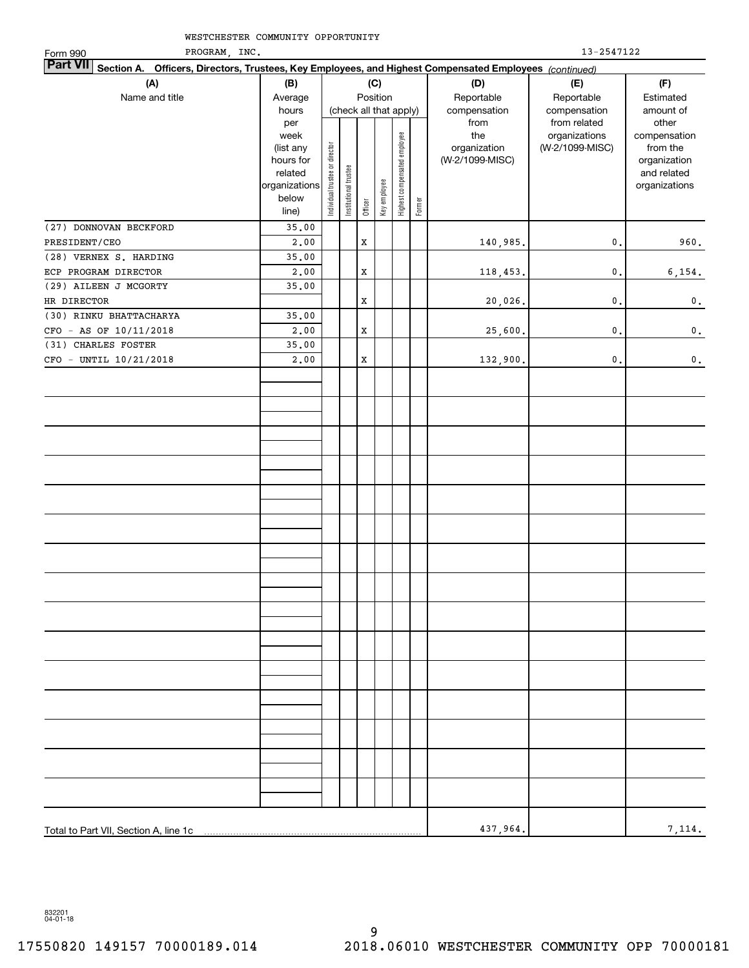| PROGRAM, INC.<br>Form 990                                                                                                 |                        | 13-2547122                     |                       |             |                        |                              |        |                                 |                 |                          |  |
|---------------------------------------------------------------------------------------------------------------------------|------------------------|--------------------------------|-----------------------|-------------|------------------------|------------------------------|--------|---------------------------------|-----------------|--------------------------|--|
| <b>Part VII</b><br>Section A. Officers, Directors, Trustees, Key Employees, and Highest Compensated Employees (continued) |                        |                                |                       |             |                        |                              |        |                                 |                 |                          |  |
| (A)                                                                                                                       | (B)                    |                                |                       |             | (C)                    |                              |        | (D)                             | (E)             | (F)                      |  |
| Name and title                                                                                                            | Average                |                                |                       |             | Position               |                              |        | Reportable                      | Reportable      | Estimated                |  |
|                                                                                                                           | hours                  |                                |                       |             | (check all that apply) |                              |        | compensation                    | compensation    | amount of                |  |
|                                                                                                                           | per                    |                                |                       |             |                        |                              |        | from                            | from related    | other                    |  |
|                                                                                                                           | week                   |                                |                       |             |                        |                              |        | the                             | organizations   | compensation             |  |
|                                                                                                                           | (list any<br>hours for |                                |                       |             |                        |                              |        | organization<br>(W-2/1099-MISC) | (W-2/1099-MISC) | from the<br>organization |  |
|                                                                                                                           | related                |                                |                       |             |                        |                              |        |                                 |                 | and related              |  |
|                                                                                                                           | organizations          | Individual trustee or director | Institutional trustee |             |                        | Highest compensated employee |        |                                 |                 | organizations            |  |
|                                                                                                                           | below                  |                                |                       |             | Key employee           |                              |        |                                 |                 |                          |  |
|                                                                                                                           | line)                  |                                |                       | Officer     |                        |                              | Former |                                 |                 |                          |  |
| (27) DONNOVAN BECKFORD                                                                                                    | 35.00                  |                                |                       |             |                        |                              |        |                                 |                 |                          |  |
| PRESIDENT/CEO                                                                                                             | 2,00                   |                                |                       | $\mathbf X$ |                        |                              |        | 140,985.                        | $\mathsf{0}$ .  | 960.                     |  |
| (28) VERNEX S. HARDING                                                                                                    | 35.00                  |                                |                       |             |                        |                              |        |                                 |                 |                          |  |
| ECP PROGRAM DIRECTOR                                                                                                      | 2.00                   |                                |                       | $\mathbf X$ |                        |                              |        | 118,453.                        | $\mathsf{0}$ .  | 6,154.                   |  |
| (29) AILEEN J MCGORTY                                                                                                     | 35.00                  |                                |                       |             |                        |                              |        |                                 |                 |                          |  |
| HR DIRECTOR                                                                                                               |                        |                                |                       | $\mathbf X$ |                        |                              |        | 20,026.                         | $\mathsf{0}$ .  | $\mathbf 0$ .            |  |
| (30) RINKU BHATTACHARYA                                                                                                   | 35.00                  |                                |                       |             |                        |                              |        |                                 |                 |                          |  |
| CFO - AS OF 10/11/2018                                                                                                    | 2.00                   |                                |                       | $\mathbf X$ |                        |                              |        | 25,600.                         | $\mathsf{0}$ .  | $\mathbf 0$ .            |  |
| (31) CHARLES FOSTER                                                                                                       | 35.00                  |                                |                       |             |                        |                              |        |                                 |                 |                          |  |
| CFO - UNTIL 10/21/2018                                                                                                    | 2,00                   |                                |                       | $\mathbf X$ |                        |                              |        | 132,900.                        | $\mathsf{0}$ .  | $\mathbf 0$ .            |  |
|                                                                                                                           |                        |                                |                       |             |                        |                              |        |                                 |                 |                          |  |
|                                                                                                                           |                        |                                |                       |             |                        |                              |        |                                 |                 |                          |  |
|                                                                                                                           |                        |                                |                       |             |                        |                              |        |                                 |                 |                          |  |
|                                                                                                                           |                        |                                |                       |             |                        |                              |        |                                 |                 |                          |  |
|                                                                                                                           |                        |                                |                       |             |                        |                              |        |                                 |                 |                          |  |
|                                                                                                                           |                        |                                |                       |             |                        |                              |        |                                 |                 |                          |  |
|                                                                                                                           |                        |                                |                       |             |                        |                              |        |                                 |                 |                          |  |
|                                                                                                                           |                        |                                |                       |             |                        |                              |        |                                 |                 |                          |  |
|                                                                                                                           |                        |                                |                       |             |                        |                              |        |                                 |                 |                          |  |
|                                                                                                                           |                        |                                |                       |             |                        |                              |        |                                 |                 |                          |  |
|                                                                                                                           |                        |                                |                       |             |                        |                              |        |                                 |                 |                          |  |
|                                                                                                                           |                        |                                |                       |             |                        |                              |        |                                 |                 |                          |  |
|                                                                                                                           |                        |                                |                       |             |                        |                              |        |                                 |                 |                          |  |
|                                                                                                                           |                        |                                |                       |             |                        |                              |        |                                 |                 |                          |  |
|                                                                                                                           |                        |                                |                       |             |                        |                              |        |                                 |                 |                          |  |
|                                                                                                                           |                        |                                |                       |             |                        |                              |        |                                 |                 |                          |  |
|                                                                                                                           |                        |                                |                       |             |                        |                              |        |                                 |                 |                          |  |
|                                                                                                                           |                        |                                |                       |             |                        |                              |        |                                 |                 |                          |  |
|                                                                                                                           |                        |                                |                       |             |                        |                              |        |                                 |                 |                          |  |
|                                                                                                                           |                        |                                |                       |             |                        |                              |        |                                 |                 |                          |  |
|                                                                                                                           |                        |                                |                       |             |                        |                              |        |                                 |                 |                          |  |
|                                                                                                                           |                        |                                |                       |             |                        |                              |        |                                 |                 |                          |  |
|                                                                                                                           |                        |                                |                       |             |                        |                              |        |                                 |                 |                          |  |
|                                                                                                                           |                        |                                |                       |             |                        |                              |        |                                 |                 |                          |  |
|                                                                                                                           |                        |                                |                       |             |                        |                              |        |                                 |                 |                          |  |
|                                                                                                                           |                        |                                |                       |             |                        |                              |        |                                 |                 |                          |  |
|                                                                                                                           |                        |                                |                       |             |                        |                              |        |                                 |                 |                          |  |
|                                                                                                                           |                        |                                |                       |             |                        |                              |        |                                 |                 |                          |  |
|                                                                                                                           |                        |                                |                       |             |                        |                              |        |                                 |                 |                          |  |
|                                                                                                                           |                        |                                |                       |             |                        |                              |        |                                 |                 |                          |  |
|                                                                                                                           |                        |                                |                       |             |                        |                              |        |                                 |                 |                          |  |
| Total to Part VII, Section A, line 1c                                                                                     |                        |                                |                       |             |                        |                              |        | 437,964.                        |                 | 7,114.                   |  |
|                                                                                                                           |                        |                                |                       |             |                        |                              |        |                                 |                 |                          |  |

832201 04-01-18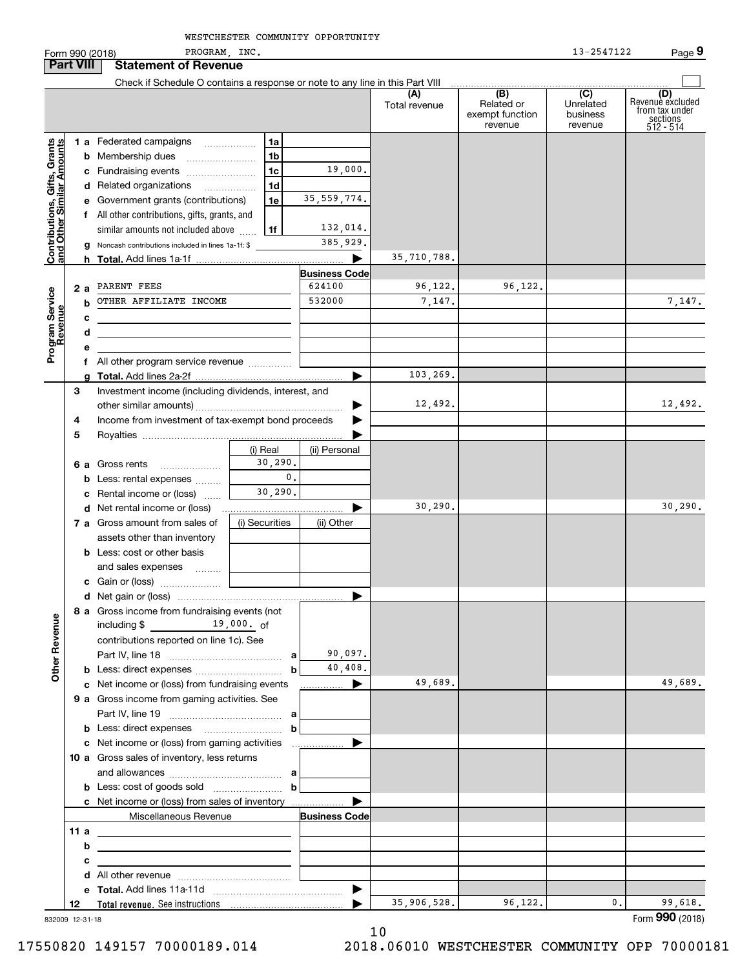PROGRAM, INC. 13-2547122 Form 990 (2018) PROGRAM,INC. 13-2547122 Page **Part VIII Statement of Revenue** Check if Schedule O contains a response or note to any line in this Part VIII **(A)(B) (C) (D)**<br> **(C)** Revenue excluded or **the under the conduct vecture from tax under**<br> **husiness** from tax under Total revenue | Related or Unrelatedexempt function businesssections 512 - 514 revenuerevenue**Contributions, Gifts, Grants**<br>and Other Similar Amounts **1 a** Federated campaigns **and Other Similar Amounts 1ab**Membership dues ~~~~~~~~ **1b**19,000. **c** Fundraising events ....................... **1cd** Related organizations ................. **1d**35,559,774. **e** Government grants (contributions) **1ef** All other contributions, gifts, grants, and 132,014.  $\mathop{\mathsf{similar}}\nolimits$  amounts not included above  $\,\,\ldots\,$ **1f**385,929. Noncash contributions included in lines 1a-1f: \$ **g**35,710,788. **hTotal.**  Add lines 1a-1f | **Business Code** 96,122. **2 a** PARENT FEES **624100**  $\vert$  **624100** 96,122. Program Service<br>Revenue OTHER AFFILIATE INCOME 532000 7.147. 7,147. **bcdef** All other program service revenue .............. 103,269. **gTotal.**  Add lines 2a-2f | Investment income (including dividends, interest, and **3**12,492. 12,492. other similar amounts) ~~~~~~~~~~~~~~~~~ | Income from investment of tax-exempt bond proceeds **4** $\blacksquare$ **5**Royalties ............................... (i) Real (ii) Personal 30,290. **6 a** Gross rents ~~~~~~~0.**b** Less: rental expenses  $_{\dots\dots\dots}$ 30,290. **c** Rental income or (loss) 30,290. 30,290.  $\blacksquare$ **d** Net rental income or (loss) (i) Securities (ii) Other **a** Gross amount from sales of assets other than inventory **b** Less: cost or other basis and sales expenses **c**Gain or (loss) ~~~~~~~ **d**Net gain or (loss) | **8 a** Gross income from fundraising events (not including \$ 19 , 000 . <sub>O</sub>f contributions reported on line 1c). See 90,097. Part IV, line 18 <sub>………………</sub>…………………… a 40,408. **b** Less: direct expenses  $~~\dots~~\dots~~\dots~~\dots~~\dots~~$ **b**49,689. 49,689. **c** Net income or (loss) from fundraising events **............... 9 a** Gross income from gaming activities. See Part IV, line 19 <sub>……………</sub>…………………… a **b** Less: direct expenses \_\_\_\_\_\_\_\_\_\_\_\_\_\_\_\_\_\_\_\_ **b** $\blacktriangleright$ **c** Net income or (loss) from gaming activities . . . . . . . . . . . . . . . . . . **10 a** Gross sales of inventory, less returns and allowances ~~~~~~~~~~~~~ **abb**Less: cost of goods sold ~~~~~~~~  $\blacksquare$ **c** Net income or (loss) from sales of inventory . . . . . . . . . . . . . . . . . .

**Total revenue.**  See instructions

**d** All other revenue  $\ldots$   $\ldots$   $\ldots$   $\ldots$   $\ldots$   $\ldots$   $\ldots$   $\ldots$ 

Miscellaneous Revenue

**e Total.**  Add lines 11a-11d ~~~~~~~~~~~~~~~ |

832009 12-31-18

**12**

**11 a bc**

**Other Revenue**

**Other Revenue** 

**Contributions, Gifts, Grants**

**Program Service Revenue**

10

**Business Code**

…… ▶

17550820 149157 70000189.014 2018.06010 WESTCHESTER COMMUNITY OPP 70000181

35,906,528. 96,122. 0. 99,618.

Form (2018) **990**

 $\mathbf{r}$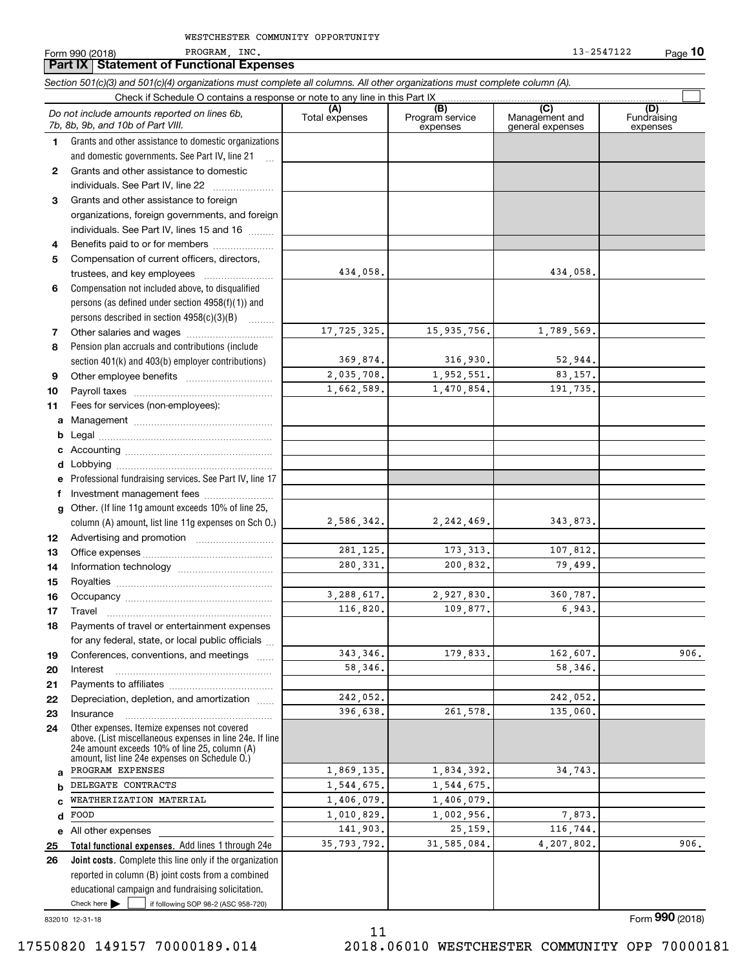|              | Section 501(c)(3) and 501(c)(4) organizations must complete all columns. All other organizations must complete column (A).<br>Check if Schedule O contains a response or note to any line in this Part IX   |                        |                                    |                                           |                                |
|--------------|-------------------------------------------------------------------------------------------------------------------------------------------------------------------------------------------------------------|------------------------|------------------------------------|-------------------------------------------|--------------------------------|
|              | Do not include amounts reported on lines 6b,<br>7b, 8b, 9b, and 10b of Part VIII.                                                                                                                           | (A)<br>Total expenses  | (B)<br>Program service<br>expenses | (C)<br>Management and<br>general expenses | (D)<br>Fundraising<br>expenses |
| 1            | Grants and other assistance to domestic organizations                                                                                                                                                       |                        |                                    |                                           |                                |
|              | and domestic governments. See Part IV, line 21                                                                                                                                                              |                        |                                    |                                           |                                |
| $\mathbf{2}$ | Grants and other assistance to domestic                                                                                                                                                                     |                        |                                    |                                           |                                |
|              | individuals. See Part IV, line 22                                                                                                                                                                           |                        |                                    |                                           |                                |
| 3            | Grants and other assistance to foreign                                                                                                                                                                      |                        |                                    |                                           |                                |
|              | organizations, foreign governments, and foreign                                                                                                                                                             |                        |                                    |                                           |                                |
|              | individuals. See Part IV, lines 15 and 16                                                                                                                                                                   |                        |                                    |                                           |                                |
| 4            | Benefits paid to or for members                                                                                                                                                                             |                        |                                    |                                           |                                |
| 5            | Compensation of current officers, directors,                                                                                                                                                                |                        |                                    |                                           |                                |
|              | trustees, and key employees                                                                                                                                                                                 | 434,058.               |                                    | 434,058.                                  |                                |
| 6            | Compensation not included above, to disqualified                                                                                                                                                            |                        |                                    |                                           |                                |
|              | persons (as defined under section 4958(f)(1)) and                                                                                                                                                           |                        |                                    |                                           |                                |
|              | persons described in section 4958(c)(3)(B)                                                                                                                                                                  | 17,725,325.            | 15,935,756.                        | 1,789,569.                                |                                |
| 7<br>8       | Pension plan accruals and contributions (include                                                                                                                                                            |                        |                                    |                                           |                                |
|              | section 401(k) and 403(b) employer contributions)                                                                                                                                                           | 369,874.               | 316,930.                           | 52,944.                                   |                                |
| 9            |                                                                                                                                                                                                             | 2,035,708.             | 1,952,551.                         | 83,157.                                   |                                |
| 10           |                                                                                                                                                                                                             | 1,662,589.             | 1,470,854.                         | 191,735.                                  |                                |
| 11           | Fees for services (non-employees):                                                                                                                                                                          |                        |                                    |                                           |                                |
| a            |                                                                                                                                                                                                             |                        |                                    |                                           |                                |
| b            |                                                                                                                                                                                                             |                        |                                    |                                           |                                |
|              |                                                                                                                                                                                                             |                        |                                    |                                           |                                |
| d            |                                                                                                                                                                                                             |                        |                                    |                                           |                                |
| e            | Professional fundraising services. See Part IV, line 17                                                                                                                                                     |                        |                                    |                                           |                                |
| f            | Investment management fees                                                                                                                                                                                  |                        |                                    |                                           |                                |
| $\mathbf{q}$ | Other. (If line 11g amount exceeds 10% of line 25,                                                                                                                                                          |                        |                                    |                                           |                                |
|              | column (A) amount, list line 11g expenses on Sch O.)                                                                                                                                                        | 2,586,342.             | 2, 242, 469.                       | 343,873.                                  |                                |
| 12           |                                                                                                                                                                                                             |                        |                                    |                                           |                                |
| 13           |                                                                                                                                                                                                             | 281, 125.              | 173, 313.                          | 107,812.                                  |                                |
| 14           |                                                                                                                                                                                                             | 280, 331.              | 200,832.                           | 79,499.                                   |                                |
| 15           |                                                                                                                                                                                                             |                        |                                    |                                           |                                |
| 16           |                                                                                                                                                                                                             | 3,288,617.<br>116,820. | 2,927,830.<br>109,877.             | 360,787.<br>6,943.                        |                                |
| 17           |                                                                                                                                                                                                             |                        |                                    |                                           |                                |
| 18           | Payments of travel or entertainment expenses                                                                                                                                                                |                        |                                    |                                           |                                |
| 19           | for any federal, state, or local public officials<br>Conferences, conventions, and meetings                                                                                                                 | 343.346.               | 179,833.                           | 162,607.                                  | 906.                           |
| 20           | Interest                                                                                                                                                                                                    | 58,346.                |                                    | 58,346.                                   |                                |
| 21           |                                                                                                                                                                                                             |                        |                                    |                                           |                                |
| 22           | Depreciation, depletion, and amortization                                                                                                                                                                   | 242,052.               |                                    | 242,052.                                  |                                |
| 23           | Insurance                                                                                                                                                                                                   | 396,638.               | 261,578.                           | 135,060.                                  |                                |
| 24           | Other expenses. Itemize expenses not covered<br>above. (List miscellaneous expenses in line 24e. If line<br>24e amount exceeds 10% of line 25, column (A)<br>amount, list line 24e expenses on Schedule O.) |                        |                                    |                                           |                                |
| a            | PROGRAM EXPENSES                                                                                                                                                                                            | 1,869,135.             | 1,834,392.                         | 34,743.                                   |                                |
| b            | DELEGATE CONTRACTS                                                                                                                                                                                          | 1,544,675.             | 1,544,675.                         |                                           |                                |
| c            | WEATHERIZATION MATERIAL                                                                                                                                                                                     | 1,406,079.             | 1,406,079.                         |                                           |                                |
| d            | FOOD                                                                                                                                                                                                        | 1,010,829.             | 1,002,956.                         | 7,873.                                    |                                |
| е            | All other expenses                                                                                                                                                                                          | 141,903.               | 25,159.                            | 116,744.                                  |                                |
| 25           | Total functional expenses. Add lines 1 through 24e                                                                                                                                                          | 35,793,792.            | 31,585,084.                        | 4,207,802.                                | 906.                           |
| 26           | Joint costs. Complete this line only if the organization<br>reported in column (B) joint costs from a combined                                                                                              |                        |                                    |                                           |                                |
|              | educational campaign and fundraising solicitation.                                                                                                                                                          |                        |                                    |                                           |                                |
|              | Check here $\blacktriangleright$<br>if following SOP 98-2 (ASC 958-720)                                                                                                                                     |                        |                                    |                                           |                                |

11

832010 12-31-18

Form (2018) **990**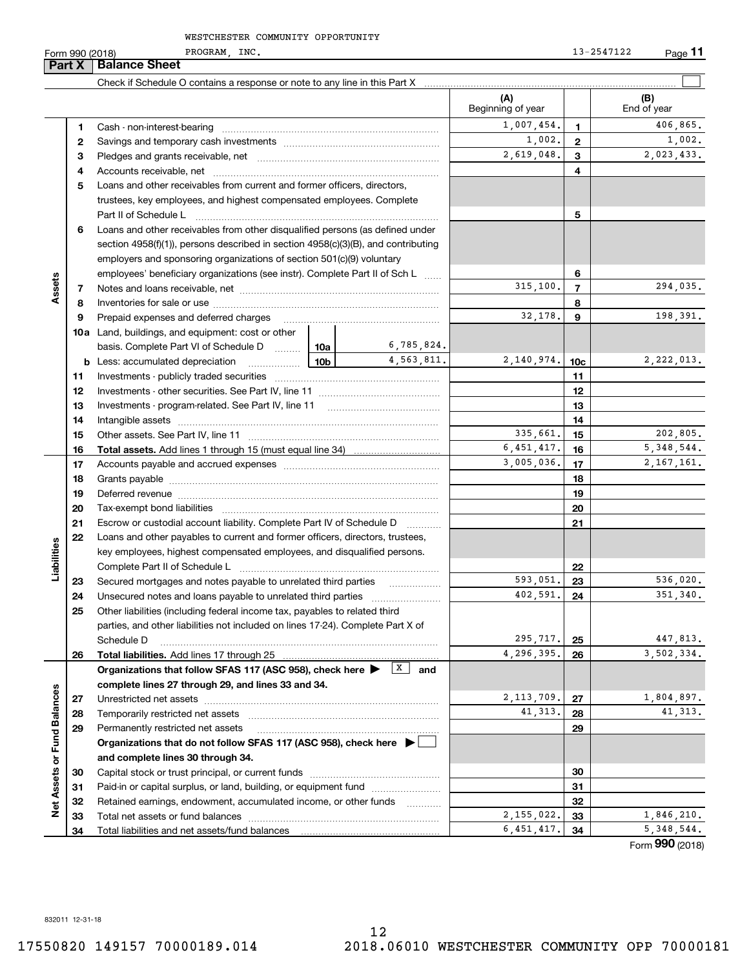PROGRAM, INC. 13-2547122

**11**

|                             | Part X   | <b>Balance Sheet</b>                                                                                                                             |                 |            |                          |                 |                        |
|-----------------------------|----------|--------------------------------------------------------------------------------------------------------------------------------------------------|-----------------|------------|--------------------------|-----------------|------------------------|
|                             |          |                                                                                                                                                  |                 |            |                          |                 |                        |
|                             |          |                                                                                                                                                  |                 |            | (A)<br>Beginning of year |                 | (B)<br>End of year     |
|                             | 1        |                                                                                                                                                  |                 |            | 1,007,454.               | 1.              | 406,865.               |
|                             | 2        |                                                                                                                                                  |                 |            | 1,002.                   | $\mathbf{2}$    | 1,002.                 |
|                             | з        |                                                                                                                                                  |                 |            | 2,619,048.               | 3               | 2,023,433.             |
|                             | 4        |                                                                                                                                                  |                 |            |                          | 4               |                        |
|                             | 5        | Loans and other receivables from current and former officers, directors,                                                                         |                 |            |                          |                 |                        |
|                             |          | trustees, key employees, and highest compensated employees. Complete                                                                             |                 |            |                          |                 |                        |
|                             |          | Part II of Schedule L                                                                                                                            |                 | 5          |                          |                 |                        |
|                             | 6        | Loans and other receivables from other disqualified persons (as defined under                                                                    |                 |            |                          |                 |                        |
|                             |          | section $4958(f)(1)$ , persons described in section $4958(c)(3)(B)$ , and contributing                                                           |                 |            |                          |                 |                        |
|                             |          | employers and sponsoring organizations of section 501(c)(9) voluntary                                                                            |                 |            |                          |                 |                        |
|                             |          | employees' beneficiary organizations (see instr). Complete Part II of Sch L                                                                      |                 |            |                          | 6               |                        |
| Assets                      | 7        |                                                                                                                                                  |                 |            | 315,100.                 | $\overline{7}$  | 294,035.               |
|                             | 8        |                                                                                                                                                  |                 |            |                          | 8               |                        |
|                             | 9        | Prepaid expenses and deferred charges                                                                                                            |                 |            | 32,178.                  | 9               | 198,391.               |
|                             |          | <b>10a</b> Land, buildings, and equipment: cost or other                                                                                         |                 |            |                          |                 |                        |
|                             |          | basis. Complete Part VI of Schedule D    10a                                                                                                     |                 | 6,785,824. |                          |                 |                        |
|                             |          | <b>b</b> Less: accumulated depreciation                                                                                                          | 10 <sub>b</sub> | 4,563,811. | 2,140,974.               | 10 <sub>c</sub> | 2,222,013.             |
|                             | 11       |                                                                                                                                                  |                 |            |                          | 11              |                        |
|                             | 12       |                                                                                                                                                  |                 |            | 12                       |                 |                        |
|                             | 13       |                                                                                                                                                  |                 |            | 13                       |                 |                        |
|                             | 14       |                                                                                                                                                  |                 |            | 14                       |                 |                        |
|                             | 15       |                                                                                                                                                  |                 |            | 335,661.                 | 15              | 202,805.               |
|                             | 16       | <b>Total assets.</b> Add lines 1 through 15 (must equal line 34) <i></i>                                                                         |                 |            | 6,451,417.               | 16              | 5, 348, 544.           |
|                             | 17       |                                                                                                                                                  | 3,005,036.      | 17         | 2, 167, 161.             |                 |                        |
|                             | 18       |                                                                                                                                                  |                 |            |                          | 18              |                        |
|                             | 19       |                                                                                                                                                  |                 |            |                          | 19              |                        |
|                             | 20       |                                                                                                                                                  |                 |            |                          | 20              |                        |
|                             | 21       | Escrow or custodial account liability. Complete Part IV of Schedule D                                                                            |                 |            |                          | 21              |                        |
|                             | 22       | Loans and other payables to current and former officers, directors, trustees,                                                                    |                 |            |                          |                 |                        |
| Liabilities                 |          | key employees, highest compensated employees, and disqualified persons.                                                                          |                 |            |                          |                 |                        |
|                             |          |                                                                                                                                                  |                 |            |                          | 22              |                        |
|                             | 23       | Secured mortgages and notes payable to unrelated third parties                                                                                   |                 | .          | 593,051.                 | 23              | 536,020.               |
|                             | 24       |                                                                                                                                                  |                 |            | 402,591.                 | 24              | 351,340.               |
|                             | 25       | Other liabilities (including federal income tax, payables to related third                                                                       |                 |            |                          |                 |                        |
|                             |          | parties, and other liabilities not included on lines 17-24). Complete Part X of                                                                  |                 |            |                          |                 |                        |
|                             |          | Schedule D                                                                                                                                       |                 |            | 295,717.<br>4,296,395.   | 25              | 447,813.<br>3,502,334. |
|                             | 26       | Total liabilities. Add lines 17 through 25                                                                                                       |                 |            |                          | 26              |                        |
|                             |          | Organizations that follow SFAS 117 (ASC 958), check here $\blacktriangleright$ $\boxed{X}$<br>complete lines 27 through 29, and lines 33 and 34. |                 | and        |                          |                 |                        |
|                             |          |                                                                                                                                                  |                 |            | 2, 113, 709.             | 27              | 1,804,897.             |
|                             | 27       | Temporarily restricted net assets                                                                                                                |                 |            | 41, 313.                 | 28              | 41, 313.               |
|                             | 28<br>29 | Permanently restricted net assets                                                                                                                |                 |            |                          | 29              |                        |
|                             |          | Organizations that do not follow SFAS 117 (ASC 958), check here ▶ │                                                                              |                 |            |                          |                 |                        |
|                             |          | and complete lines 30 through 34.                                                                                                                |                 |            |                          |                 |                        |
|                             |          |                                                                                                                                                  |                 |            |                          |                 |                        |
| Net Assets or Fund Balances | 30<br>31 | Paid-in or capital surplus, or land, building, or equipment fund                                                                                 |                 |            |                          | 30<br>31        |                        |
|                             | 32       | Retained earnings, endowment, accumulated income, or other funds                                                                                 |                 |            |                          | 32              |                        |
|                             | 33       | Total net assets or fund balances                                                                                                                |                 | .          | 2,155,022.               | 33              | 1,846,210.             |
|                             | 34       |                                                                                                                                                  |                 |            | 6,451,417.               | 34              | 5, 348, 544.           |
|                             |          |                                                                                                                                                  |                 |            |                          |                 | Form 990 (2018)        |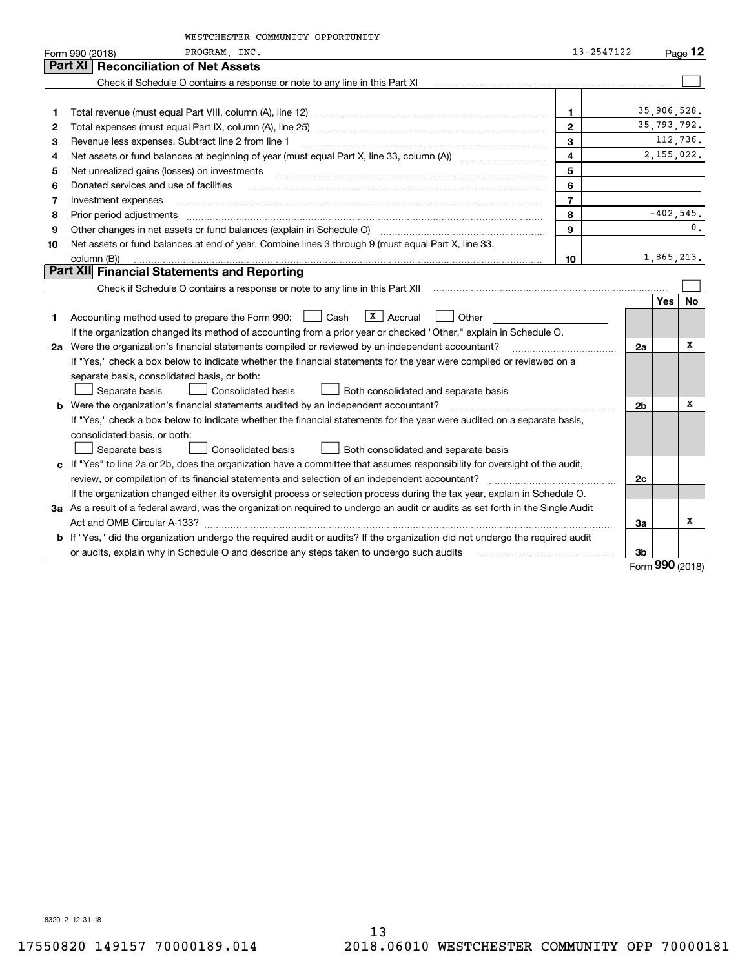|    | WESTCHESTER COMMUNITY OPPORTUNITY                                                                                                    |                         |                |               |           |
|----|--------------------------------------------------------------------------------------------------------------------------------------|-------------------------|----------------|---------------|-----------|
|    | PROGRAM, INC.<br>Form 990 (2018)                                                                                                     | 13-2547122              |                |               | Page $12$ |
|    | <b>Part XI   Reconciliation of Net Assets</b>                                                                                        |                         |                |               |           |
|    | Check if Schedule O contains a response or note to any line in this Part XI                                                          |                         |                |               |           |
|    |                                                                                                                                      |                         |                |               |           |
| 1  |                                                                                                                                      | 1                       |                | 35,906,528.   |           |
| 2  |                                                                                                                                      | $\mathbf{2}$            |                | 35,793,792.   |           |
| з  | Revenue less expenses. Subtract line 2 from line 1                                                                                   | 3                       |                |               | 112,736.  |
| 4  |                                                                                                                                      | $\overline{\mathbf{4}}$ |                | 2, 155, 022.  |           |
| 5  | Net unrealized gains (losses) on investments                                                                                         | 5                       |                |               |           |
| 6  | Donated services and use of facilities                                                                                               | 6                       |                |               |           |
| 7  | Investment expenses                                                                                                                  | $\overline{7}$          |                |               |           |
| 8  | Prior period adjustments                                                                                                             | 8                       |                | $-402,545.$   |           |
| 9  | Other changes in net assets or fund balances (explain in Schedule O)                                                                 | 9                       |                |               | 0.        |
| 10 | Net assets or fund balances at end of year. Combine lines 3 through 9 (must equal Part X, line 33,                                   |                         |                |               |           |
|    | column (B))                                                                                                                          | 10                      |                | 1,865,213.    |           |
|    | Part XII Financial Statements and Reporting                                                                                          |                         |                |               |           |
|    |                                                                                                                                      |                         |                |               |           |
|    |                                                                                                                                      |                         |                | Yes           | <b>No</b> |
| 1. | $\overline{X}$ Accrual<br>Accounting method used to prepare the Form 990: <u>[16</u> ] Cash<br>Other                                 |                         |                |               |           |
|    | If the organization changed its method of accounting from a prior year or checked "Other," explain in Schedule O.                    |                         |                |               |           |
|    | 2a Were the organization's financial statements compiled or reviewed by an independent accountant?                                   |                         | 2a             |               | х         |
|    | If "Yes," check a box below to indicate whether the financial statements for the year were compiled or reviewed on a                 |                         |                |               |           |
|    | separate basis, consolidated basis, or both:                                                                                         |                         |                |               |           |
|    | <b>Consolidated basis</b><br>Separate basis<br>Both consolidated and separate basis                                                  |                         |                |               |           |
|    | <b>b</b> Were the organization's financial statements audited by an independent accountant?                                          |                         | 2 <sub>b</sub> |               | х         |
|    | If "Yes," check a box below to indicate whether the financial statements for the year were audited on a separate basis,              |                         |                |               |           |
|    | consolidated basis, or both:                                                                                                         |                         |                |               |           |
|    | <b>Consolidated basis</b><br>Separate basis<br>Both consolidated and separate basis                                                  |                         |                |               |           |
|    | c If "Yes" to line 2a or 2b, does the organization have a committee that assumes responsibility for oversight of the audit,          |                         |                |               |           |
|    |                                                                                                                                      |                         | 2c             |               |           |
|    | If the organization changed either its oversight process or selection process during the tax year, explain in Schedule O.            |                         |                |               |           |
|    | 3a As a result of a federal award, was the organization required to undergo an audit or audits as set forth in the Single Audit      |                         |                |               |           |
|    |                                                                                                                                      |                         | За             |               | х         |
|    | <b>b</b> If "Yes," did the organization undergo the required audit or audits? If the organization did not undergo the required audit |                         |                |               |           |
|    |                                                                                                                                      |                         | 3b             |               |           |
|    |                                                                                                                                      |                         |                | $000 \approx$ |           |

Form (2018) **990**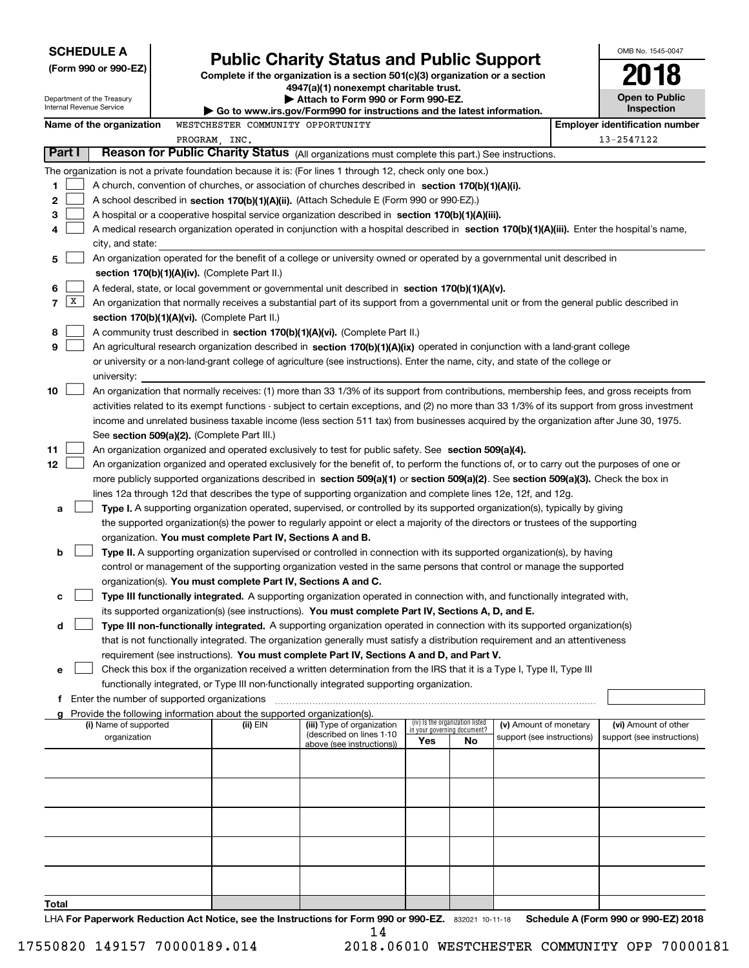| <b>SCHEDULE A</b>          |                                                                                                                           |                                             |  |                                                                        |                                                                                                                                                                                                                                                                |                             |                                 |                            |  | OMB No. 1545-0047                     |  |
|----------------------------|---------------------------------------------------------------------------------------------------------------------------|---------------------------------------------|--|------------------------------------------------------------------------|----------------------------------------------------------------------------------------------------------------------------------------------------------------------------------------------------------------------------------------------------------------|-----------------------------|---------------------------------|----------------------------|--|---------------------------------------|--|
|                            |                                                                                                                           | (Form 990 or 990-EZ)                        |  |                                                                        | <b>Public Charity Status and Public Support</b>                                                                                                                                                                                                                |                             |                                 |                            |  |                                       |  |
|                            |                                                                                                                           |                                             |  |                                                                        | Complete if the organization is a section 501(c)(3) organization or a section<br>4947(a)(1) nonexempt charitable trust.                                                                                                                                        |                             |                                 |                            |  |                                       |  |
| Department of the Treasury |                                                                                                                           |                                             |  | Attach to Form 990 or Form 990-EZ.                                     |                                                                                                                                                                                                                                                                |                             |                                 |                            |  | <b>Open to Public</b><br>Inspection   |  |
|                            |                                                                                                                           | Internal Revenue Service                    |  |                                                                        | $\blacktriangleright$ Go to www.irs.gov/Form990 for instructions and the latest information.                                                                                                                                                                   |                             |                                 |                            |  |                                       |  |
|                            |                                                                                                                           | Name of the organization                    |  | WESTCHESTER COMMUNITY OPPORTUNITY                                      |                                                                                                                                                                                                                                                                |                             |                                 |                            |  | <b>Employer identification number</b> |  |
|                            | Part I                                                                                                                    |                                             |  | PROGRAM, INC.                                                          | Reason for Public Charity Status (All organizations must complete this part.) See instructions.                                                                                                                                                                |                             |                                 |                            |  | 13-2547122                            |  |
|                            |                                                                                                                           |                                             |  |                                                                        | The organization is not a private foundation because it is: (For lines 1 through 12, check only one box.)                                                                                                                                                      |                             |                                 |                            |  |                                       |  |
| 1                          |                                                                                                                           |                                             |  |                                                                        | A church, convention of churches, or association of churches described in section 170(b)(1)(A)(i).                                                                                                                                                             |                             |                                 |                            |  |                                       |  |
| 2                          |                                                                                                                           |                                             |  |                                                                        | A school described in section 170(b)(1)(A)(ii). (Attach Schedule E (Form 990 or 990-EZ).)                                                                                                                                                                      |                             |                                 |                            |  |                                       |  |
| 3                          |                                                                                                                           |                                             |  |                                                                        | A hospital or a cooperative hospital service organization described in section $170(b)(1)(A)(iii)$ .                                                                                                                                                           |                             |                                 |                            |  |                                       |  |
| 4                          |                                                                                                                           |                                             |  |                                                                        | A medical research organization operated in conjunction with a hospital described in section 170(b)(1)(A)(iii). Enter the hospital's name,                                                                                                                     |                             |                                 |                            |  |                                       |  |
|                            | city, and state:                                                                                                          |                                             |  |                                                                        |                                                                                                                                                                                                                                                                |                             |                                 |                            |  |                                       |  |
| 5                          | An organization operated for the benefit of a college or university owned or operated by a governmental unit described in |                                             |  |                                                                        |                                                                                                                                                                                                                                                                |                             |                                 |                            |  |                                       |  |
|                            |                                                                                                                           |                                             |  | section 170(b)(1)(A)(iv). (Complete Part II.)                          |                                                                                                                                                                                                                                                                |                             |                                 |                            |  |                                       |  |
| 6                          |                                                                                                                           |                                             |  |                                                                        | A federal, state, or local government or governmental unit described in section 170(b)(1)(A)(v).                                                                                                                                                               |                             |                                 |                            |  |                                       |  |
| 7                          | x                                                                                                                         |                                             |  |                                                                        | An organization that normally receives a substantial part of its support from a governmental unit or from the general public described in                                                                                                                      |                             |                                 |                            |  |                                       |  |
|                            |                                                                                                                           |                                             |  | section 170(b)(1)(A)(vi). (Complete Part II.)                          |                                                                                                                                                                                                                                                                |                             |                                 |                            |  |                                       |  |
| 8<br>9                     |                                                                                                                           |                                             |  |                                                                        | A community trust described in section 170(b)(1)(A)(vi). (Complete Part II.)<br>An agricultural research organization described in section 170(b)(1)(A)(ix) operated in conjunction with a land-grant college                                                  |                             |                                 |                            |  |                                       |  |
|                            |                                                                                                                           |                                             |  |                                                                        | or university or a non-land-grant college of agriculture (see instructions). Enter the name, city, and state of the college or                                                                                                                                 |                             |                                 |                            |  |                                       |  |
|                            |                                                                                                                           | university:                                 |  |                                                                        |                                                                                                                                                                                                                                                                |                             |                                 |                            |  |                                       |  |
| 10                         |                                                                                                                           |                                             |  |                                                                        | An organization that normally receives: (1) more than 33 1/3% of its support from contributions, membership fees, and gross receipts from                                                                                                                      |                             |                                 |                            |  |                                       |  |
|                            |                                                                                                                           |                                             |  |                                                                        | activities related to its exempt functions - subject to certain exceptions, and (2) no more than 33 1/3% of its support from gross investment                                                                                                                  |                             |                                 |                            |  |                                       |  |
|                            |                                                                                                                           |                                             |  |                                                                        | income and unrelated business taxable income (less section 511 tax) from businesses acquired by the organization after June 30, 1975.                                                                                                                          |                             |                                 |                            |  |                                       |  |
|                            |                                                                                                                           |                                             |  | See section 509(a)(2). (Complete Part III.)                            |                                                                                                                                                                                                                                                                |                             |                                 |                            |  |                                       |  |
| 11                         |                                                                                                                           |                                             |  |                                                                        | An organization organized and operated exclusively to test for public safety. See section 509(a)(4).                                                                                                                                                           |                             |                                 |                            |  |                                       |  |
| 12                         |                                                                                                                           |                                             |  |                                                                        | An organization organized and operated exclusively for the benefit of, to perform the functions of, or to carry out the purposes of one or                                                                                                                     |                             |                                 |                            |  |                                       |  |
|                            |                                                                                                                           |                                             |  |                                                                        | more publicly supported organizations described in section 509(a)(1) or section 509(a)(2). See section 509(a)(3). Check the box in                                                                                                                             |                             |                                 |                            |  |                                       |  |
|                            |                                                                                                                           |                                             |  |                                                                        | lines 12a through 12d that describes the type of supporting organization and complete lines 12e, 12f, and 12g.                                                                                                                                                 |                             |                                 |                            |  |                                       |  |
| a                          |                                                                                                                           |                                             |  |                                                                        | Type I. A supporting organization operated, supervised, or controlled by its supported organization(s), typically by giving<br>the supported organization(s) the power to regularly appoint or elect a majority of the directors or trustees of the supporting |                             |                                 |                            |  |                                       |  |
|                            |                                                                                                                           |                                             |  | organization. You must complete Part IV, Sections A and B.             |                                                                                                                                                                                                                                                                |                             |                                 |                            |  |                                       |  |
| b                          |                                                                                                                           |                                             |  |                                                                        | Type II. A supporting organization supervised or controlled in connection with its supported organization(s), by having                                                                                                                                        |                             |                                 |                            |  |                                       |  |
|                            |                                                                                                                           |                                             |  |                                                                        | control or management of the supporting organization vested in the same persons that control or manage the supported                                                                                                                                           |                             |                                 |                            |  |                                       |  |
|                            |                                                                                                                           |                                             |  | organization(s). You must complete Part IV, Sections A and C.          |                                                                                                                                                                                                                                                                |                             |                                 |                            |  |                                       |  |
| с                          |                                                                                                                           |                                             |  |                                                                        | Type III functionally integrated. A supporting organization operated in connection with, and functionally integrated with,                                                                                                                                     |                             |                                 |                            |  |                                       |  |
|                            |                                                                                                                           |                                             |  |                                                                        | its supported organization(s) (see instructions). You must complete Part IV, Sections A, D, and E.                                                                                                                                                             |                             |                                 |                            |  |                                       |  |
| d                          |                                                                                                                           |                                             |  |                                                                        | Type III non-functionally integrated. A supporting organization operated in connection with its supported organization(s)                                                                                                                                      |                             |                                 |                            |  |                                       |  |
|                            |                                                                                                                           |                                             |  |                                                                        | that is not functionally integrated. The organization generally must satisfy a distribution requirement and an attentiveness                                                                                                                                   |                             |                                 |                            |  |                                       |  |
| е                          |                                                                                                                           |                                             |  |                                                                        | requirement (see instructions). You must complete Part IV, Sections A and D, and Part V.<br>Check this box if the organization received a written determination from the IRS that it is a Type I, Type II, Type III                                            |                             |                                 |                            |  |                                       |  |
|                            |                                                                                                                           |                                             |  |                                                                        | functionally integrated, or Type III non-functionally integrated supporting organization.                                                                                                                                                                      |                             |                                 |                            |  |                                       |  |
| f                          |                                                                                                                           | Enter the number of supported organizations |  |                                                                        |                                                                                                                                                                                                                                                                |                             |                                 |                            |  |                                       |  |
|                            |                                                                                                                           |                                             |  | Provide the following information about the supported organization(s). |                                                                                                                                                                                                                                                                |                             |                                 |                            |  |                                       |  |
|                            |                                                                                                                           | (i) Name of supported                       |  | (ii) EIN                                                               | (iii) Type of organization<br>(described on lines 1-10)                                                                                                                                                                                                        | in your governing document? | (iv) Is the organization listed | (v) Amount of monetary     |  | (vi) Amount of other                  |  |
|                            |                                                                                                                           | organization                                |  |                                                                        | above (see instructions))                                                                                                                                                                                                                                      | Yes                         | No                              | support (see instructions) |  | support (see instructions)            |  |
|                            |                                                                                                                           |                                             |  |                                                                        |                                                                                                                                                                                                                                                                |                             |                                 |                            |  |                                       |  |
|                            |                                                                                                                           |                                             |  |                                                                        |                                                                                                                                                                                                                                                                |                             |                                 |                            |  |                                       |  |
|                            |                                                                                                                           |                                             |  |                                                                        |                                                                                                                                                                                                                                                                |                             |                                 |                            |  |                                       |  |
|                            |                                                                                                                           |                                             |  |                                                                        |                                                                                                                                                                                                                                                                |                             |                                 |                            |  |                                       |  |
|                            |                                                                                                                           |                                             |  |                                                                        |                                                                                                                                                                                                                                                                |                             |                                 |                            |  |                                       |  |
|                            |                                                                                                                           |                                             |  |                                                                        |                                                                                                                                                                                                                                                                |                             |                                 |                            |  |                                       |  |
|                            |                                                                                                                           |                                             |  |                                                                        |                                                                                                                                                                                                                                                                |                             |                                 |                            |  |                                       |  |
|                            |                                                                                                                           |                                             |  |                                                                        |                                                                                                                                                                                                                                                                |                             |                                 |                            |  |                                       |  |
|                            |                                                                                                                           |                                             |  |                                                                        |                                                                                                                                                                                                                                                                |                             |                                 |                            |  |                                       |  |
| Total                      |                                                                                                                           |                                             |  |                                                                        |                                                                                                                                                                                                                                                                |                             |                                 |                            |  |                                       |  |

LHA For Paperwork Reduction Act Notice, see the Instructions for Form 990 or 990-EZ. 832021 10-11-18 Schedule A (Form 990 or 990-EZ) 2018 14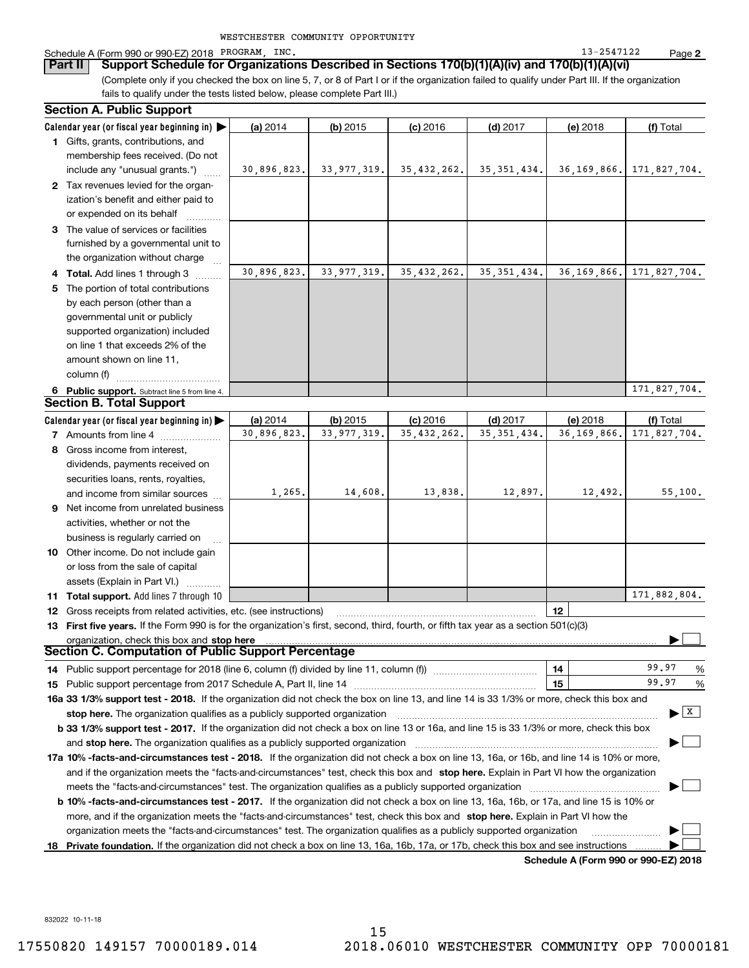| WESTCHESTER COMMUNITY OPPORTUNITY |  |  |
|-----------------------------------|--|--|
|-----------------------------------|--|--|

### Schedule A (Form 990 or 990-EZ) 2018 PROGRAM, INC. Noticed the control of the control of the control of the control of the control of the control of the control of the control of the control of the control of the control o

(Complete only if you checked the box on line 5, 7, or 8 of Part I or if the organization failed to qualify under Part III. If the organization **Part II Support Schedule for Organizations Described in Sections 170(b)(1)(A)(iv) and 170(b)(1)(A)(vi)**

fails to qualify under the tests listed below, please complete Part III.)

|    | <b>Section A. Public Support</b>                                                                                                               |             |               |               |               |               |                                       |
|----|------------------------------------------------------------------------------------------------------------------------------------------------|-------------|---------------|---------------|---------------|---------------|---------------------------------------|
|    | Calendar year (or fiscal year beginning in) $\blacktriangleright$                                                                              | (a) 2014    | $(b)$ 2015    | $(c)$ 2016    | $(d)$ 2017    | (e) 2018      | (f) Total                             |
|    | <b>1</b> Gifts, grants, contributions, and                                                                                                     |             |               |               |               |               |                                       |
|    | membership fees received. (Do not                                                                                                              |             |               |               |               |               |                                       |
|    | include any "unusual grants.")                                                                                                                 | 30,896,823. | 33, 977, 319. | 35, 432, 262. | 35, 351, 434. | 36,169,866.   | 171,827,704.                          |
|    | 2 Tax revenues levied for the organ-                                                                                                           |             |               |               |               |               |                                       |
|    | ization's benefit and either paid to                                                                                                           |             |               |               |               |               |                                       |
|    | or expended on its behalf                                                                                                                      |             |               |               |               |               |                                       |
|    | 3 The value of services or facilities                                                                                                          |             |               |               |               |               |                                       |
|    | furnished by a governmental unit to                                                                                                            |             |               |               |               |               |                                       |
|    | the organization without charge                                                                                                                |             |               |               |               |               |                                       |
|    | 4 Total. Add lines 1 through 3                                                                                                                 | 30,896,823. | 33, 977, 319. | 35, 432, 262. | 35, 351, 434. | 36, 169, 866. | 171,827,704.                          |
| 5  | The portion of total contributions                                                                                                             |             |               |               |               |               |                                       |
|    | by each person (other than a                                                                                                                   |             |               |               |               |               |                                       |
|    | governmental unit or publicly                                                                                                                  |             |               |               |               |               |                                       |
|    | supported organization) included                                                                                                               |             |               |               |               |               |                                       |
|    | on line 1 that exceeds 2% of the                                                                                                               |             |               |               |               |               |                                       |
|    | amount shown on line 11,                                                                                                                       |             |               |               |               |               |                                       |
|    | column (f)                                                                                                                                     |             |               |               |               |               |                                       |
|    | 6 Public support. Subtract line 5 from line 4.                                                                                                 |             |               |               |               |               | 171,827,704.                          |
|    | <b>Section B. Total Support</b>                                                                                                                |             |               |               |               |               |                                       |
|    | Calendar year (or fiscal year beginning in) $\blacktriangleright$                                                                              | (a) 2014    | $(b)$ 2015    | $(c)$ 2016    | $(d)$ 2017    | (e) 2018      | (f) Total                             |
|    | <b>7</b> Amounts from line 4                                                                                                                   | 30,896,823. | 33, 977, 319. | 35, 432, 262. | 35, 351, 434. | 36, 169, 866. | 171,827,704.                          |
| 8  | Gross income from interest,                                                                                                                    |             |               |               |               |               |                                       |
|    | dividends, payments received on                                                                                                                |             |               |               |               |               |                                       |
|    | securities loans, rents, royalties,                                                                                                            |             |               |               |               |               |                                       |
|    | and income from similar sources                                                                                                                | 1,265.      | 14,608.       | 13,838.       | 12,897.       | 12,492.       | 55,100.                               |
| 9  | Net income from unrelated business                                                                                                             |             |               |               |               |               |                                       |
|    | activities, whether or not the                                                                                                                 |             |               |               |               |               |                                       |
|    | business is regularly carried on                                                                                                               |             |               |               |               |               |                                       |
|    | <b>10</b> Other income. Do not include gain                                                                                                    |             |               |               |               |               |                                       |
|    | or loss from the sale of capital                                                                                                               |             |               |               |               |               |                                       |
|    | assets (Explain in Part VI.)                                                                                                                   |             |               |               |               |               |                                       |
|    | 11 Total support. Add lines 7 through 10                                                                                                       |             |               |               |               |               | 171,882,804.                          |
| 12 | Gross receipts from related activities, etc. (see instructions)                                                                                |             |               |               |               | 12            |                                       |
|    | 13 First five years. If the Form 990 is for the organization's first, second, third, fourth, or fifth tax year as a section 501(c)(3)          |             |               |               |               |               |                                       |
|    | organization, check this box and stop here                                                                                                     |             |               |               |               |               |                                       |
|    | <b>Section C. Computation of Public Support Percentage</b>                                                                                     |             |               |               |               |               |                                       |
|    | 14 Public support percentage for 2018 (line 6, column (f) divided by line 11, column (f) <i>mummumumum</i>                                     |             |               |               |               | 14            | 99.97<br>%                            |
|    |                                                                                                                                                |             |               |               |               | 15            | 99.97<br>%                            |
|    | 16a 33 1/3% support test - 2018. If the organization did not check the box on line 13, and line 14 is 33 1/3% or more, check this box and      |             |               |               |               |               |                                       |
|    | stop here. The organization qualifies as a publicly supported organization                                                                     |             |               |               |               |               | $\blacktriangleright$ $\mid$ X $\mid$ |
|    | b 33 1/3% support test - 2017. If the organization did not check a box on line 13 or 16a, and line 15 is 33 1/3% or more, check this box       |             |               |               |               |               |                                       |
|    | and stop here. The organization qualifies as a publicly supported organization                                                                 |             |               |               |               |               |                                       |
|    | 17a 10% -facts-and-circumstances test - 2018. If the organization did not check a box on line 13, 16a, or 16b, and line 14 is 10% or more,     |             |               |               |               |               |                                       |
|    | and if the organization meets the "facts-and-circumstances" test, check this box and stop here. Explain in Part VI how the organization        |             |               |               |               |               |                                       |
|    | meets the "facts-and-circumstances" test. The organization qualifies as a publicly supported organization                                      |             |               |               |               |               |                                       |
|    | <b>b 10% -facts-and-circumstances test - 2017.</b> If the organization did not check a box on line 13, 16a, 16b, or 17a, and line 15 is 10% or |             |               |               |               |               |                                       |
|    | more, and if the organization meets the "facts-and-circumstances" test, check this box and stop here. Explain in Part VI how the               |             |               |               |               |               |                                       |
|    | organization meets the "facts-and-circumstances" test. The organization qualifies as a publicly supported organization                         |             |               |               |               |               |                                       |
| 18 | Private foundation. If the organization did not check a box on line 13, 16a, 16b, 17a, or 17b, check this box and see instructions             |             |               |               |               |               |                                       |
|    |                                                                                                                                                |             |               |               |               |               |                                       |

**Schedule A (Form 990 or 990-EZ) 2018**

832022 10-11-18

**2**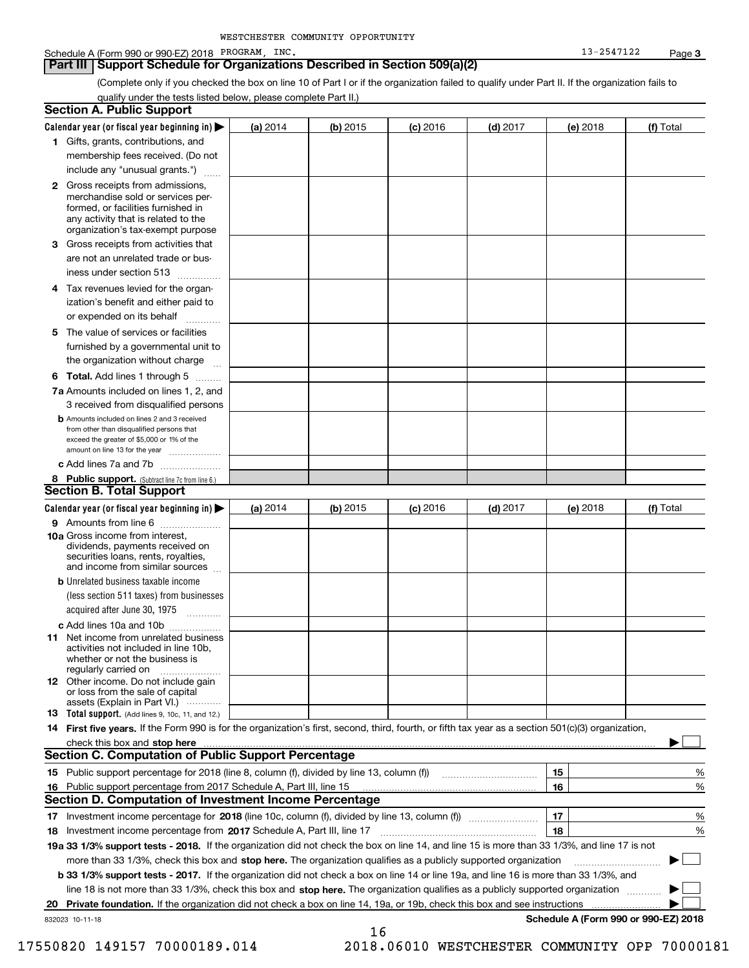### Schedule A (Form 990 or 990-EZ) 2018 PROGRAM, INC. Noticed the control of the control of the control of the control of the control of the control of the control of the control of the control of the control of the control o

### **Part III Support Schedule for Organizations Described in Section 509(a)(2)**

(Complete only if you checked the box on line 10 of Part I or if the organization failed to qualify under Part II. If the organization fails to qualify under the tests listed below, please complete Part II.)

| <b>Section A. Public Support</b>                                                                                                                                                                |          |          |            |            |          |                                      |
|-------------------------------------------------------------------------------------------------------------------------------------------------------------------------------------------------|----------|----------|------------|------------|----------|--------------------------------------|
| Calendar year (or fiscal year beginning in) $\blacktriangleright$                                                                                                                               | (a) 2014 | (b) 2015 | $(c)$ 2016 | $(d)$ 2017 | (e) 2018 | (f) Total                            |
| 1 Gifts, grants, contributions, and                                                                                                                                                             |          |          |            |            |          |                                      |
| membership fees received. (Do not                                                                                                                                                               |          |          |            |            |          |                                      |
| include any "unusual grants.")                                                                                                                                                                  |          |          |            |            |          |                                      |
| <b>2</b> Gross receipts from admissions,<br>merchandise sold or services per-<br>formed, or facilities furnished in<br>any activity that is related to the<br>organization's tax-exempt purpose |          |          |            |            |          |                                      |
| 3 Gross receipts from activities that<br>are not an unrelated trade or bus-                                                                                                                     |          |          |            |            |          |                                      |
| iness under section 513                                                                                                                                                                         |          |          |            |            |          |                                      |
| 4 Tax revenues levied for the organ-<br>ization's benefit and either paid to                                                                                                                    |          |          |            |            |          |                                      |
| or expended on its behalf<br>.                                                                                                                                                                  |          |          |            |            |          |                                      |
| 5 The value of services or facilities<br>furnished by a governmental unit to                                                                                                                    |          |          |            |            |          |                                      |
| the organization without charge                                                                                                                                                                 |          |          |            |            |          |                                      |
| <b>6 Total.</b> Add lines 1 through 5                                                                                                                                                           |          |          |            |            |          |                                      |
| 7a Amounts included on lines 1, 2, and<br>3 received from disqualified persons                                                                                                                  |          |          |            |            |          |                                      |
| <b>b</b> Amounts included on lines 2 and 3 received<br>from other than disqualified persons that<br>exceed the greater of \$5,000 or 1% of the<br>amount on line 13 for the year                |          |          |            |            |          |                                      |
| c Add lines 7a and 7b                                                                                                                                                                           |          |          |            |            |          |                                      |
| 8 Public support. (Subtract line 7c from line 6.)<br><b>Section B. Total Support</b>                                                                                                            |          |          |            |            |          |                                      |
| Calendar year (or fiscal year beginning in)                                                                                                                                                     | (a) 2014 | (b) 2015 | $(c)$ 2016 | $(d)$ 2017 | (e) 2018 | (f) Total                            |
| 9 Amounts from line 6                                                                                                                                                                           |          |          |            |            |          |                                      |
| 10a Gross income from interest,<br>dividends, payments received on<br>securities loans, rents, royalties,<br>and income from similar sources                                                    |          |          |            |            |          |                                      |
| <b>b</b> Unrelated business taxable income<br>(less section 511 taxes) from businesses<br>acquired after June 30, 1975                                                                          |          |          |            |            |          |                                      |
| c Add lines 10a and 10b                                                                                                                                                                         |          |          |            |            |          |                                      |
| 11 Net income from unrelated business<br>activities not included in line 10b,<br>whether or not the business is<br>regularly carried on                                                         |          |          |            |            |          |                                      |
| <b>12</b> Other income. Do not include gain<br>or loss from the sale of capital<br>assets (Explain in Part VI.)                                                                                 |          |          |            |            |          |                                      |
| <b>13</b> Total support. (Add lines 9, 10c, 11, and 12.)                                                                                                                                        |          |          |            |            |          |                                      |
| 14 First five years. If the Form 990 is for the organization's first, second, third, fourth, or fifth tax year as a section 501(c)(3) organization,                                             |          |          |            |            |          |                                      |
| check this box and stop here measurements are constructed as the state of the state of the state and stop here                                                                                  |          |          |            |            |          |                                      |
| <b>Section C. Computation of Public Support Percentage</b>                                                                                                                                      |          |          |            |            |          |                                      |
| 15 Public support percentage for 2018 (line 8, column (f), divided by line 13, column (f))                                                                                                      |          |          |            |            | 15       | %                                    |
| 16 Public support percentage from 2017 Schedule A, Part III, line 15                                                                                                                            |          |          |            |            | 16       | %                                    |
| Section D. Computation of Investment Income Percentage                                                                                                                                          |          |          |            |            |          |                                      |
| 17 Investment income percentage for 2018 (line 10c, column (f), divided by line 13, column (f))<br>18 Investment income percentage from 2017 Schedule A, Part III, line 17                      |          |          |            |            | 17<br>18 | %<br>%                               |
| 19a 33 1/3% support tests - 2018. If the organization did not check the box on line 14, and line 15 is more than 33 1/3%, and line 17 is not                                                    |          |          |            |            |          |                                      |
| more than 33 1/3%, check this box and stop here. The organization qualifies as a publicly supported organization                                                                                |          |          |            |            |          |                                      |
| b 33 1/3% support tests - 2017. If the organization did not check a box on line 14 or line 19a, and line 16 is more than 33 1/3%, and                                                           |          |          |            |            |          |                                      |
| line 18 is not more than 33 1/3%, check this box and stop here. The organization qualifies as a publicly supported organization                                                                 |          |          |            |            |          |                                      |
| 20 Private foundation. If the organization did not check a box on line 14, 19a, or 19b, check this box and see instructions                                                                     |          |          |            |            |          |                                      |
| 832023 10-11-18                                                                                                                                                                                 |          |          |            |            |          | Schedule A (Form 990 or 990-EZ) 2018 |
|                                                                                                                                                                                                 |          | 16       |            |            |          |                                      |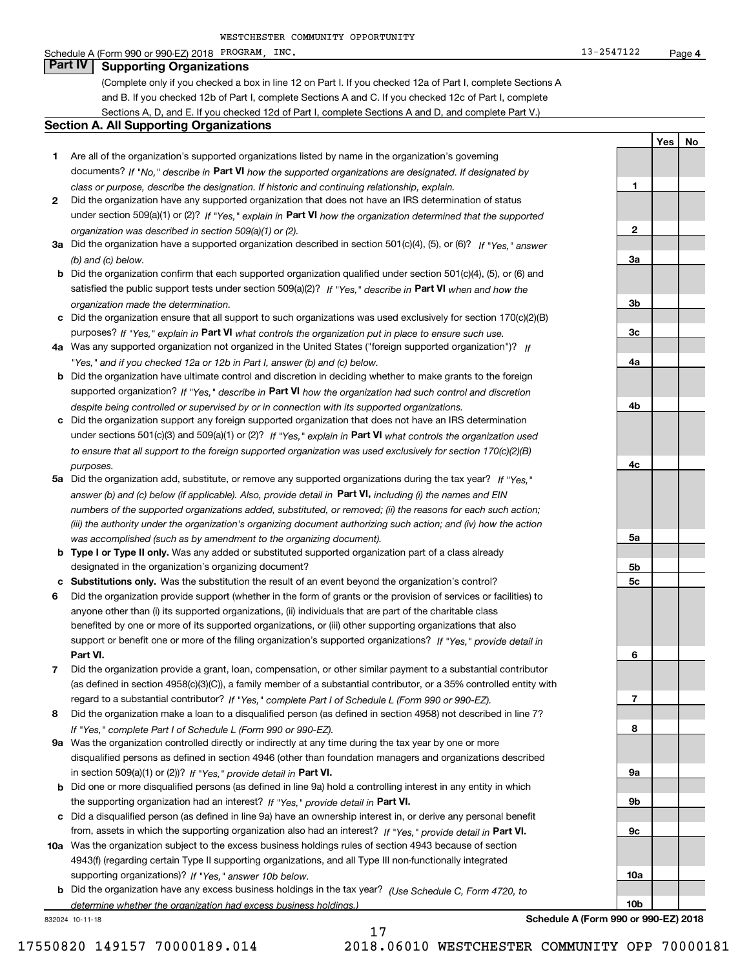### Schedule A (Form 990 or 990-EZ) 2018 PROGRAM, INC. Noticed the control of the control of the control of the control of the control of the control of the control of the control of the control of the control of the control o

# **Part IV Supporting Organizations**

(Complete only if you checked a box in line 12 on Part I. If you checked 12a of Part I, complete Sections A and B. If you checked 12b of Part I, complete Sections A and C. If you checked 12c of Part I, complete Sections A, D, and E. If you checked 12d of Part I, complete Sections A and D, and complete Part V.)

### **Section A. All Supporting Organizations**

- **1** Are all of the organization's supported organizations listed by name in the organization's governing documents? If "No," describe in **Part VI** how the supported organizations are designated. If designated by *class or purpose, describe the designation. If historic and continuing relationship, explain.*
- **2** Did the organization have any supported organization that does not have an IRS determination of status under section 509(a)(1) or (2)? If "Yes," explain in Part VI how the organization determined that the supported *organization was described in section 509(a)(1) or (2).*
- **3a** Did the organization have a supported organization described in section 501(c)(4), (5), or (6)? If "Yes," answer *(b) and (c) below.*
- **b** Did the organization confirm that each supported organization qualified under section 501(c)(4), (5), or (6) and satisfied the public support tests under section 509(a)(2)? If "Yes," describe in **Part VI** when and how the *organization made the determination.*
- **c**Did the organization ensure that all support to such organizations was used exclusively for section 170(c)(2)(B) purposes? If "Yes," explain in **Part VI** what controls the organization put in place to ensure such use.
- **4a***If* Was any supported organization not organized in the United States ("foreign supported organization")? *"Yes," and if you checked 12a or 12b in Part I, answer (b) and (c) below.*
- **b** Did the organization have ultimate control and discretion in deciding whether to make grants to the foreign supported organization? If "Yes," describe in **Part VI** how the organization had such control and discretion *despite being controlled or supervised by or in connection with its supported organizations.*
- **c** Did the organization support any foreign supported organization that does not have an IRS determination under sections 501(c)(3) and 509(a)(1) or (2)? If "Yes," explain in **Part VI** what controls the organization used *to ensure that all support to the foreign supported organization was used exclusively for section 170(c)(2)(B) purposes.*
- **5a** Did the organization add, substitute, or remove any supported organizations during the tax year? If "Yes," answer (b) and (c) below (if applicable). Also, provide detail in **Part VI,** including (i) the names and EIN *numbers of the supported organizations added, substituted, or removed; (ii) the reasons for each such action; (iii) the authority under the organization's organizing document authorizing such action; and (iv) how the action was accomplished (such as by amendment to the organizing document).*
- **b** Type I or Type II only. Was any added or substituted supported organization part of a class already designated in the organization's organizing document?
- **cSubstitutions only.**  Was the substitution the result of an event beyond the organization's control?
- **6** Did the organization provide support (whether in the form of grants or the provision of services or facilities) to **Part VI.** *If "Yes," provide detail in* support or benefit one or more of the filing organization's supported organizations? anyone other than (i) its supported organizations, (ii) individuals that are part of the charitable class benefited by one or more of its supported organizations, or (iii) other supporting organizations that also
- **7**Did the organization provide a grant, loan, compensation, or other similar payment to a substantial contributor *If "Yes," complete Part I of Schedule L (Form 990 or 990-EZ).* regard to a substantial contributor? (as defined in section 4958(c)(3)(C)), a family member of a substantial contributor, or a 35% controlled entity with
- **8** Did the organization make a loan to a disqualified person (as defined in section 4958) not described in line 7? *If "Yes," complete Part I of Schedule L (Form 990 or 990-EZ).*
- **9a** Was the organization controlled directly or indirectly at any time during the tax year by one or more in section 509(a)(1) or (2))? If "Yes," *provide detail in* <code>Part VI.</code> disqualified persons as defined in section 4946 (other than foundation managers and organizations described
- **b** Did one or more disqualified persons (as defined in line 9a) hold a controlling interest in any entity in which the supporting organization had an interest? If "Yes," provide detail in P**art VI**.
- **c**Did a disqualified person (as defined in line 9a) have an ownership interest in, or derive any personal benefit from, assets in which the supporting organization also had an interest? If "Yes," provide detail in P**art VI.**
- **10a** Was the organization subject to the excess business holdings rules of section 4943 because of section supporting organizations)? If "Yes," answer 10b below. 4943(f) (regarding certain Type II supporting organizations, and all Type III non-functionally integrated
- **b** Did the organization have any excess business holdings in the tax year? (Use Schedule C, Form 4720, to *determine whether the organization had excess business holdings.)*

832024 10-11-18

**Schedule A (Form 990 or 990-EZ) 2018**

**YesNo**

**123a3b3c4a4b4c5a 5b5c6789a 9b9c10a10b**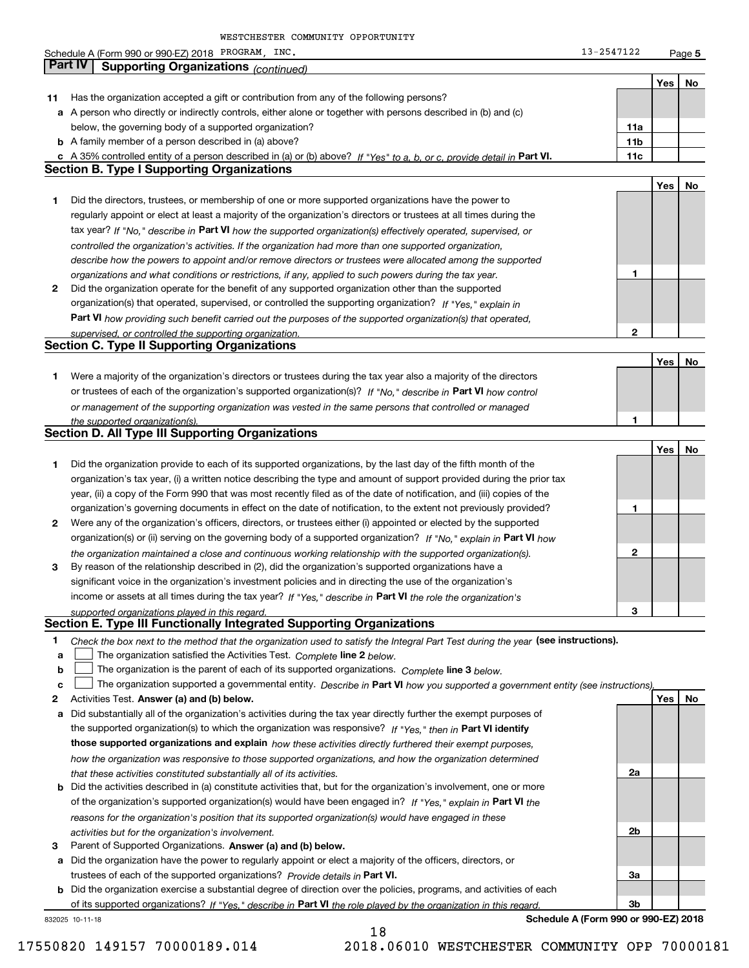|        | Schedule A (Form 990 or 990-EZ) 2018 PROGRAM, INC.                                                                                                                                                                               | 13-2547122 |     | Page 5 |
|--------|----------------------------------------------------------------------------------------------------------------------------------------------------------------------------------------------------------------------------------|------------|-----|--------|
|        | <b>Part IV</b><br><b>Supporting Organizations (continued)</b>                                                                                                                                                                    |            |     |        |
|        |                                                                                                                                                                                                                                  |            | Yes | No     |
| 11     | Has the organization accepted a gift or contribution from any of the following persons?                                                                                                                                          |            |     |        |
|        | a A person who directly or indirectly controls, either alone or together with persons described in (b) and (c)                                                                                                                   |            |     |        |
|        | below, the governing body of a supported organization?                                                                                                                                                                           | 11a        |     |        |
|        | <b>b</b> A family member of a person described in (a) above?                                                                                                                                                                     | 11b        |     |        |
|        | c A 35% controlled entity of a person described in (a) or (b) above? If "Yes" to a, b, or c, provide detail in Part VI.                                                                                                          | 11c        |     |        |
|        | <b>Section B. Type I Supporting Organizations</b>                                                                                                                                                                                |            |     |        |
|        |                                                                                                                                                                                                                                  |            | Yes | No     |
| 1      | Did the directors, trustees, or membership of one or more supported organizations have the power to                                                                                                                              |            |     |        |
|        | regularly appoint or elect at least a majority of the organization's directors or trustees at all times during the                                                                                                               |            |     |        |
|        | tax year? If "No," describe in Part VI how the supported organization(s) effectively operated, supervised, or                                                                                                                    |            |     |        |
|        | controlled the organization's activities. If the organization had more than one supported organization,                                                                                                                          |            |     |        |
|        | describe how the powers to appoint and/or remove directors or trustees were allocated among the supported                                                                                                                        |            |     |        |
|        | organizations and what conditions or restrictions, if any, applied to such powers during the tax year.                                                                                                                           | 1          |     |        |
| 2      | Did the organization operate for the benefit of any supported organization other than the supported                                                                                                                              |            |     |        |
|        | organization(s) that operated, supervised, or controlled the supporting organization? If "Yes," explain in                                                                                                                       |            |     |        |
|        | Part VI how providing such benefit carried out the purposes of the supported organization(s) that operated,                                                                                                                      |            |     |        |
|        | supervised, or controlled the supporting organization.                                                                                                                                                                           | 2          |     |        |
|        | <b>Section C. Type II Supporting Organizations</b>                                                                                                                                                                               |            |     |        |
|        |                                                                                                                                                                                                                                  |            | Yes | No     |
| 1      | Were a majority of the organization's directors or trustees during the tax year also a majority of the directors                                                                                                                 |            |     |        |
|        | or trustees of each of the organization's supported organization(s)? If "No," describe in Part VI how control                                                                                                                    |            |     |        |
|        | or management of the supporting organization was vested in the same persons that controlled or managed                                                                                                                           |            |     |        |
|        | the supported organization(s).                                                                                                                                                                                                   | 1          |     |        |
|        | <b>Section D. All Type III Supporting Organizations</b>                                                                                                                                                                          |            |     |        |
|        |                                                                                                                                                                                                                                  |            | Yes | No     |
| 1      | Did the organization provide to each of its supported organizations, by the last day of the fifth month of the                                                                                                                   |            |     |        |
|        | organization's tax year, (i) a written notice describing the type and amount of support provided during the prior tax                                                                                                            |            |     |        |
|        | year, (ii) a copy of the Form 990 that was most recently filed as of the date of notification, and (iii) copies of the                                                                                                           |            |     |        |
|        | organization's governing documents in effect on the date of notification, to the extent not previously provided?                                                                                                                 | 1          |     |        |
| 2      | Were any of the organization's officers, directors, or trustees either (i) appointed or elected by the supported                                                                                                                 |            |     |        |
|        | organization(s) or (ii) serving on the governing body of a supported organization? If "No," explain in Part VI how                                                                                                               |            |     |        |
|        | the organization maintained a close and continuous working relationship with the supported organization(s).                                                                                                                      | 2          |     |        |
| 3      | By reason of the relationship described in (2), did the organization's supported organizations have a                                                                                                                            |            |     |        |
|        | significant voice in the organization's investment policies and in directing the use of the organization's                                                                                                                       |            |     |        |
|        | income or assets at all times during the tax year? If "Yes," describe in Part VI the role the organization's                                                                                                                     |            |     |        |
|        | supported organizations played in this regard.<br>Section E. Type III Functionally Integrated Supporting Organizations                                                                                                           | З          |     |        |
|        |                                                                                                                                                                                                                                  |            |     |        |
| 1      | Check the box next to the method that the organization used to satisfy the Integral Part Test during the year (see instructions).                                                                                                |            |     |        |
| a      | The organization satisfied the Activities Test. Complete line 2 below.                                                                                                                                                           |            |     |        |
| b<br>c | The organization is the parent of each of its supported organizations. Complete line 3 below.<br>The organization supported a governmental entity. Describe in Part VI how you supported a government entity (see instructions)  |            |     |        |
| 2      | Activities Test. Answer (a) and (b) below.                                                                                                                                                                                       |            | Yes | No     |
|        |                                                                                                                                                                                                                                  |            |     |        |
| а      | Did substantially all of the organization's activities during the tax year directly further the exempt purposes of<br>the supported organization(s) to which the organization was responsive? If "Yes," then in Part VI identify |            |     |        |
|        | those supported organizations and explain how these activities directly furthered their exempt purposes,                                                                                                                         |            |     |        |
|        |                                                                                                                                                                                                                                  |            |     |        |
|        | how the organization was responsive to those supported organizations, and how the organization determined                                                                                                                        | 2a         |     |        |
|        | that these activities constituted substantially all of its activities.<br><b>b</b> Did the activities described in (a) constitute activities that, but for the organization's involvement, one or more                           |            |     |        |
|        | of the organization's supported organization(s) would have been engaged in? If "Yes," explain in Part VI the                                                                                                                     |            |     |        |
|        | reasons for the organization's position that its supported organization(s) would have engaged in these                                                                                                                           |            |     |        |
|        | activities but for the organization's involvement.                                                                                                                                                                               | 2b         |     |        |
| 3      | Parent of Supported Organizations. Answer (a) and (b) below.                                                                                                                                                                     |            |     |        |
|        | a Did the organization have the power to regularly appoint or elect a majority of the officers, directors, or                                                                                                                    |            |     |        |
|        | trustees of each of the supported organizations? Provide details in Part VI.                                                                                                                                                     | За         |     |        |
|        | <b>b</b> Did the organization exercise a substantial degree of direction over the policies, programs, and activities of each                                                                                                     |            |     |        |
|        | of its supported organizations? If "Yes." describe in Part VI the role played by the organization in this regard.                                                                                                                | 3b         |     |        |

18

832025 10-11-18

**Schedule A (Form 990 or 990-EZ) 2018**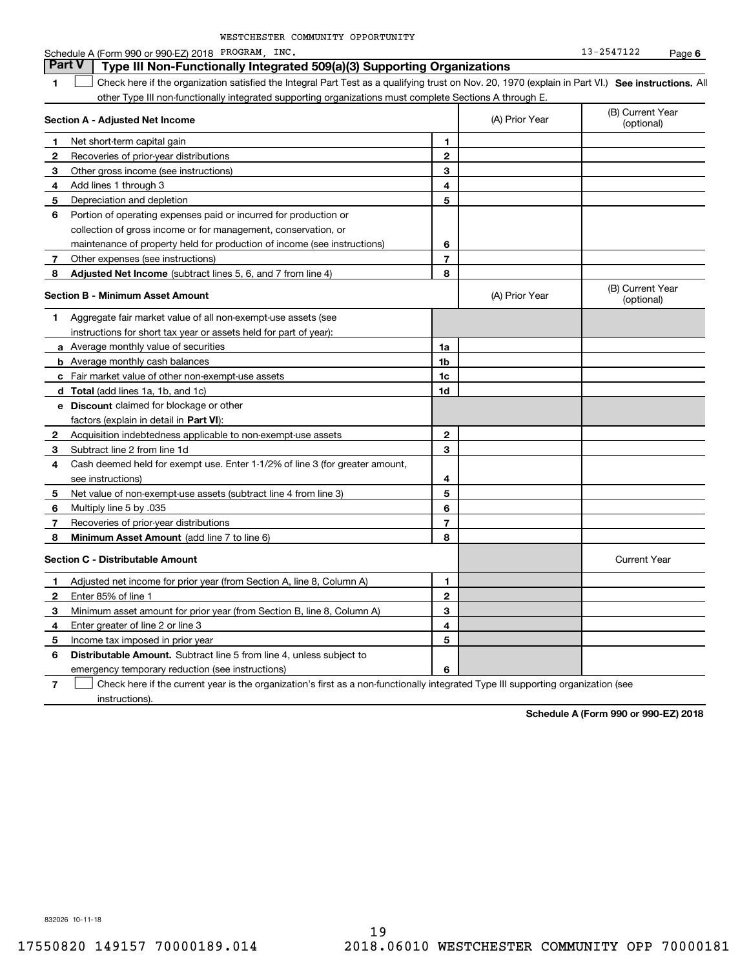|              | Schedule A (Form 990 or 990-EZ) 2018 PROGRAM, INC.                                                                                                |                |                | 13-2547122                     | Page 6 |
|--------------|---------------------------------------------------------------------------------------------------------------------------------------------------|----------------|----------------|--------------------------------|--------|
|              | <b>Part V</b><br>Type III Non-Functionally Integrated 509(a)(3) Supporting Organizations                                                          |                |                |                                |        |
| 1            | Check here if the organization satisfied the Integral Part Test as a qualifying trust on Nov. 20, 1970 (explain in Part VI.) See instructions. Al |                |                |                                |        |
|              | other Type III non-functionally integrated supporting organizations must complete Sections A through E.                                           |                |                |                                |        |
|              | Section A - Adjusted Net Income                                                                                                                   |                | (A) Prior Year | (B) Current Year<br>(optional) |        |
| 1            | Net short-term capital gain                                                                                                                       | 1              |                |                                |        |
| 2            | Recoveries of prior-year distributions                                                                                                            | $\mathbf 2$    |                |                                |        |
| 3            | Other gross income (see instructions)                                                                                                             | 3              |                |                                |        |
| 4            | Add lines 1 through 3                                                                                                                             | 4              |                |                                |        |
| 5            | Depreciation and depletion                                                                                                                        | 5              |                |                                |        |
| 6            | Portion of operating expenses paid or incurred for production or                                                                                  |                |                |                                |        |
|              | collection of gross income or for management, conservation, or                                                                                    |                |                |                                |        |
|              | maintenance of property held for production of income (see instructions)                                                                          | 6              |                |                                |        |
| 7            | Other expenses (see instructions)                                                                                                                 | 7              |                |                                |        |
| 8            | <b>Adjusted Net Income</b> (subtract lines 5, 6, and 7 from line 4)                                                                               | 8              |                |                                |        |
|              | <b>Section B - Minimum Asset Amount</b>                                                                                                           |                | (A) Prior Year | (B) Current Year<br>(optional) |        |
| 1            | Aggregate fair market value of all non-exempt-use assets (see                                                                                     |                |                |                                |        |
|              | instructions for short tax year or assets held for part of year):                                                                                 |                |                |                                |        |
|              | <b>a</b> Average monthly value of securities                                                                                                      | 1a             |                |                                |        |
|              | <b>b</b> Average monthly cash balances                                                                                                            | 1b             |                |                                |        |
|              | c Fair market value of other non-exempt-use assets                                                                                                | 1 <sub>c</sub> |                |                                |        |
|              | d Total (add lines 1a, 1b, and 1c)                                                                                                                | 1d             |                |                                |        |
|              | e Discount claimed for blockage or other                                                                                                          |                |                |                                |        |
|              | factors (explain in detail in Part VI):                                                                                                           |                |                |                                |        |
| 2            | Acquisition indebtedness applicable to non-exempt-use assets                                                                                      | $\mathbf{2}$   |                |                                |        |
| 3            | Subtract line 2 from line 1d                                                                                                                      | 3              |                |                                |        |
| 4            | Cash deemed held for exempt use. Enter 1-1/2% of line 3 (for greater amount,                                                                      |                |                |                                |        |
|              | see instructions)                                                                                                                                 | 4              |                |                                |        |
| 5            | Net value of non-exempt-use assets (subtract line 4 from line 3)                                                                                  | 5              |                |                                |        |
| 6            | Multiply line 5 by .035                                                                                                                           | 6              |                |                                |        |
| 7            | Recoveries of prior-year distributions                                                                                                            | 7              |                |                                |        |
| 8            | Minimum Asset Amount (add line 7 to line 6)                                                                                                       | 8              |                |                                |        |
|              | <b>Section C - Distributable Amount</b>                                                                                                           |                |                | <b>Current Year</b>            |        |
| 1            | Adjusted net income for prior year (from Section A, line 8, Column A)                                                                             | 1              |                |                                |        |
| $\mathbf{2}$ | Enter 85% of line 1                                                                                                                               | $\mathbf{2}$   |                |                                |        |
| 3            | Minimum asset amount for prior year (from Section B, line 8, Column A)                                                                            | 3              |                |                                |        |
| 4            | Enter greater of line 2 or line 3                                                                                                                 | 4              |                |                                |        |
| 5            | Income tax imposed in prior year                                                                                                                  | 5              |                |                                |        |
| 6            | <b>Distributable Amount.</b> Subtract line 5 from line 4, unless subject to                                                                       |                |                |                                |        |
|              | emergency temporary reduction (see instructions)                                                                                                  | 6              |                |                                |        |

**7**Check here if the current year is the organization's first as a non-functionally integrated Type III supporting organization (see instructions).

**Schedule A (Form 990 or 990-EZ) 2018**

832026 10-11-18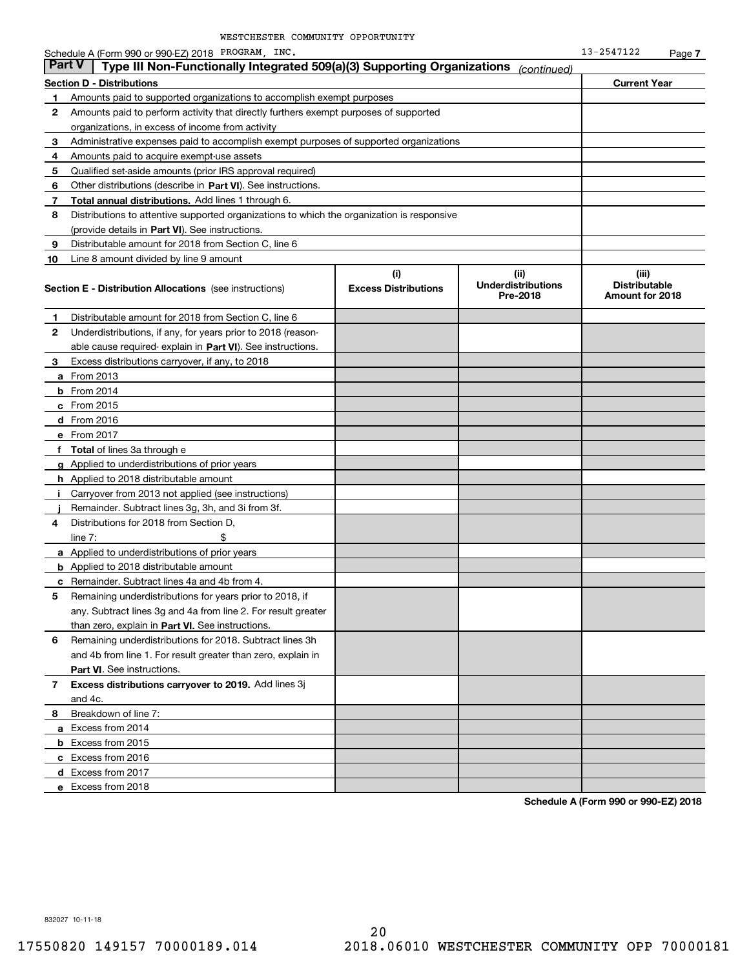|    | Schedule A (Form 990 or 990-EZ) 2018 PROGRAM, INC.                                         |                                    |                                               |                                                  |        |  |  |
|----|--------------------------------------------------------------------------------------------|------------------------------------|-----------------------------------------------|--------------------------------------------------|--------|--|--|
|    | <b>Part V</b><br>Type III Non-Functionally Integrated 509(a)(3) Supporting Organizations   |                                    | (continued)                                   |                                                  | Page 7 |  |  |
|    | <b>Section D - Distributions</b>                                                           |                                    |                                               | <b>Current Year</b>                              |        |  |  |
| 1  | Amounts paid to supported organizations to accomplish exempt purposes                      |                                    |                                               |                                                  |        |  |  |
| 2  | Amounts paid to perform activity that directly furthers exempt purposes of supported       |                                    |                                               |                                                  |        |  |  |
|    | organizations, in excess of income from activity                                           |                                    |                                               |                                                  |        |  |  |
| 3  | Administrative expenses paid to accomplish exempt purposes of supported organizations      |                                    |                                               |                                                  |        |  |  |
| 4  | Amounts paid to acquire exempt-use assets                                                  |                                    |                                               |                                                  |        |  |  |
| 5  | Qualified set aside amounts (prior IRS approval required)                                  |                                    |                                               |                                                  |        |  |  |
| 6  | Other distributions (describe in Part VI). See instructions.                               |                                    |                                               |                                                  |        |  |  |
| 7  | Total annual distributions. Add lines 1 through 6.                                         |                                    |                                               |                                                  |        |  |  |
| 8  | Distributions to attentive supported organizations to which the organization is responsive |                                    |                                               |                                                  |        |  |  |
|    | (provide details in Part VI). See instructions.                                            |                                    |                                               |                                                  |        |  |  |
| 9  | Distributable amount for 2018 from Section C, line 6                                       |                                    |                                               |                                                  |        |  |  |
| 10 | Line 8 amount divided by line 9 amount                                                     |                                    |                                               |                                                  |        |  |  |
|    | <b>Section E - Distribution Allocations</b> (see instructions)                             | (i)<br><b>Excess Distributions</b> | (ii)<br><b>Underdistributions</b><br>Pre-2018 | (iii)<br><b>Distributable</b><br>Amount for 2018 |        |  |  |
| 1  | Distributable amount for 2018 from Section C, line 6                                       |                                    |                                               |                                                  |        |  |  |
| 2  | Underdistributions, if any, for years prior to 2018 (reason-                               |                                    |                                               |                                                  |        |  |  |
|    | able cause required-explain in Part VI). See instructions.                                 |                                    |                                               |                                                  |        |  |  |
| 3  | Excess distributions carryover, if any, to 2018                                            |                                    |                                               |                                                  |        |  |  |
|    | <b>a</b> From 2013                                                                         |                                    |                                               |                                                  |        |  |  |
|    | $b$ From 2014                                                                              |                                    |                                               |                                                  |        |  |  |
|    | c From 2015                                                                                |                                    |                                               |                                                  |        |  |  |
|    | d From 2016                                                                                |                                    |                                               |                                                  |        |  |  |
|    | e From 2017                                                                                |                                    |                                               |                                                  |        |  |  |
|    | f Total of lines 3a through e                                                              |                                    |                                               |                                                  |        |  |  |
|    | g Applied to underdistributions of prior years                                             |                                    |                                               |                                                  |        |  |  |
|    | <b>h</b> Applied to 2018 distributable amount                                              |                                    |                                               |                                                  |        |  |  |
| Ť. | Carryover from 2013 not applied (see instructions)                                         |                                    |                                               |                                                  |        |  |  |
|    | Remainder. Subtract lines 3g, 3h, and 3i from 3f.                                          |                                    |                                               |                                                  |        |  |  |
| 4  | Distributions for 2018 from Section D.                                                     |                                    |                                               |                                                  |        |  |  |
|    | \$<br>line $7:$                                                                            |                                    |                                               |                                                  |        |  |  |
|    | a Applied to underdistributions of prior years                                             |                                    |                                               |                                                  |        |  |  |
|    | <b>b</b> Applied to 2018 distributable amount                                              |                                    |                                               |                                                  |        |  |  |
|    | <b>c</b> Remainder. Subtract lines 4a and 4b from 4.                                       |                                    |                                               |                                                  |        |  |  |
|    | Remaining underdistributions for years prior to 2018, if                                   |                                    |                                               |                                                  |        |  |  |
|    | any. Subtract lines 3g and 4a from line 2. For result greater                              |                                    |                                               |                                                  |        |  |  |
|    | than zero, explain in Part VI. See instructions.                                           |                                    |                                               |                                                  |        |  |  |
| 6  | Remaining underdistributions for 2018. Subtract lines 3h                                   |                                    |                                               |                                                  |        |  |  |
|    | and 4b from line 1. For result greater than zero, explain in                               |                                    |                                               |                                                  |        |  |  |
|    | Part VI. See instructions.                                                                 |                                    |                                               |                                                  |        |  |  |
| 7  | Excess distributions carryover to 2019. Add lines 3j<br>and 4c.                            |                                    |                                               |                                                  |        |  |  |
| 8  | Breakdown of line 7:                                                                       |                                    |                                               |                                                  |        |  |  |
|    | a Excess from 2014                                                                         |                                    |                                               |                                                  |        |  |  |
|    | <b>b</b> Excess from 2015                                                                  |                                    |                                               |                                                  |        |  |  |
|    | c Excess from 2016                                                                         |                                    |                                               |                                                  |        |  |  |
|    | d Excess from 2017                                                                         |                                    |                                               |                                                  |        |  |  |
|    | e Excess from 2018                                                                         |                                    |                                               |                                                  |        |  |  |
|    |                                                                                            |                                    |                                               |                                                  |        |  |  |

**Schedule A (Form 990 or 990-EZ) 2018**

832027 10-11-18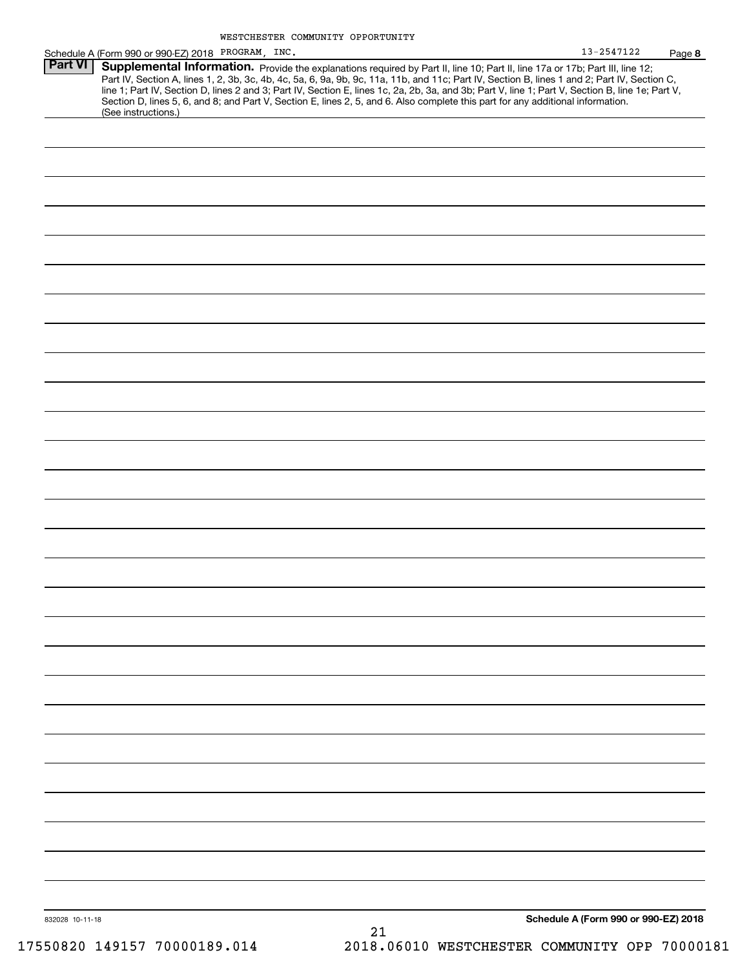|                 | Schedule A (Form 990 or 990-EZ) 2018 PROGRAM, INC. |                                                                                                                                                                                                                                                                                                                                                                                                                                                                                                                                                                      | 13-2547122                           | Page 8 |
|-----------------|----------------------------------------------------|----------------------------------------------------------------------------------------------------------------------------------------------------------------------------------------------------------------------------------------------------------------------------------------------------------------------------------------------------------------------------------------------------------------------------------------------------------------------------------------------------------------------------------------------------------------------|--------------------------------------|--------|
| <b>Part VI</b>  | (See instructions.)                                | Supplemental Information. Provide the explanations required by Part II, line 10; Part II, line 17a or 17b; Part III, line 12;<br>Part IV, Section A, lines 1, 2, 3b, 3c, 4b, 4c, 5a, 6, 9a, 9b, 9c, 11a, 11b, and 11c; Part IV, Section B, lines 1 and 2; Part IV, Section C,<br>line 1; Part IV, Section D, lines 2 and 3; Part IV, Section E, lines 1c, 2a, 2b, 3a, and 3b; Part V, line 1; Part V, Section B, line 1e; Part V,<br>Section D, lines 5, 6, and 8; and Part V, Section E, lines 2, 5, and 6. Also complete this part for any additional information. |                                      |        |
|                 |                                                    |                                                                                                                                                                                                                                                                                                                                                                                                                                                                                                                                                                      |                                      |        |
|                 |                                                    |                                                                                                                                                                                                                                                                                                                                                                                                                                                                                                                                                                      |                                      |        |
|                 |                                                    |                                                                                                                                                                                                                                                                                                                                                                                                                                                                                                                                                                      |                                      |        |
|                 |                                                    |                                                                                                                                                                                                                                                                                                                                                                                                                                                                                                                                                                      |                                      |        |
|                 |                                                    |                                                                                                                                                                                                                                                                                                                                                                                                                                                                                                                                                                      |                                      |        |
|                 |                                                    |                                                                                                                                                                                                                                                                                                                                                                                                                                                                                                                                                                      |                                      |        |
|                 |                                                    |                                                                                                                                                                                                                                                                                                                                                                                                                                                                                                                                                                      |                                      |        |
|                 |                                                    |                                                                                                                                                                                                                                                                                                                                                                                                                                                                                                                                                                      |                                      |        |
|                 |                                                    |                                                                                                                                                                                                                                                                                                                                                                                                                                                                                                                                                                      |                                      |        |
|                 |                                                    |                                                                                                                                                                                                                                                                                                                                                                                                                                                                                                                                                                      |                                      |        |
|                 |                                                    |                                                                                                                                                                                                                                                                                                                                                                                                                                                                                                                                                                      |                                      |        |
|                 |                                                    |                                                                                                                                                                                                                                                                                                                                                                                                                                                                                                                                                                      |                                      |        |
|                 |                                                    |                                                                                                                                                                                                                                                                                                                                                                                                                                                                                                                                                                      |                                      |        |
|                 |                                                    |                                                                                                                                                                                                                                                                                                                                                                                                                                                                                                                                                                      |                                      |        |
|                 |                                                    |                                                                                                                                                                                                                                                                                                                                                                                                                                                                                                                                                                      |                                      |        |
|                 |                                                    |                                                                                                                                                                                                                                                                                                                                                                                                                                                                                                                                                                      |                                      |        |
|                 |                                                    |                                                                                                                                                                                                                                                                                                                                                                                                                                                                                                                                                                      |                                      |        |
|                 |                                                    |                                                                                                                                                                                                                                                                                                                                                                                                                                                                                                                                                                      |                                      |        |
|                 |                                                    |                                                                                                                                                                                                                                                                                                                                                                                                                                                                                                                                                                      |                                      |        |
|                 |                                                    |                                                                                                                                                                                                                                                                                                                                                                                                                                                                                                                                                                      |                                      |        |
|                 |                                                    |                                                                                                                                                                                                                                                                                                                                                                                                                                                                                                                                                                      |                                      |        |
|                 |                                                    |                                                                                                                                                                                                                                                                                                                                                                                                                                                                                                                                                                      |                                      |        |
|                 |                                                    |                                                                                                                                                                                                                                                                                                                                                                                                                                                                                                                                                                      |                                      |        |
|                 |                                                    |                                                                                                                                                                                                                                                                                                                                                                                                                                                                                                                                                                      |                                      |        |
|                 |                                                    |                                                                                                                                                                                                                                                                                                                                                                                                                                                                                                                                                                      |                                      |        |
|                 |                                                    |                                                                                                                                                                                                                                                                                                                                                                                                                                                                                                                                                                      |                                      |        |
|                 |                                                    |                                                                                                                                                                                                                                                                                                                                                                                                                                                                                                                                                                      |                                      |        |
|                 |                                                    |                                                                                                                                                                                                                                                                                                                                                                                                                                                                                                                                                                      |                                      |        |
|                 |                                                    |                                                                                                                                                                                                                                                                                                                                                                                                                                                                                                                                                                      |                                      |        |
|                 |                                                    |                                                                                                                                                                                                                                                                                                                                                                                                                                                                                                                                                                      |                                      |        |
| 832028 10-11-18 |                                                    |                                                                                                                                                                                                                                                                                                                                                                                                                                                                                                                                                                      | Schedule A (Form 990 or 990-EZ) 2018 |        |
|                 |                                                    |                                                                                                                                                                                                                                                                                                                                                                                                                                                                                                                                                                      |                                      |        |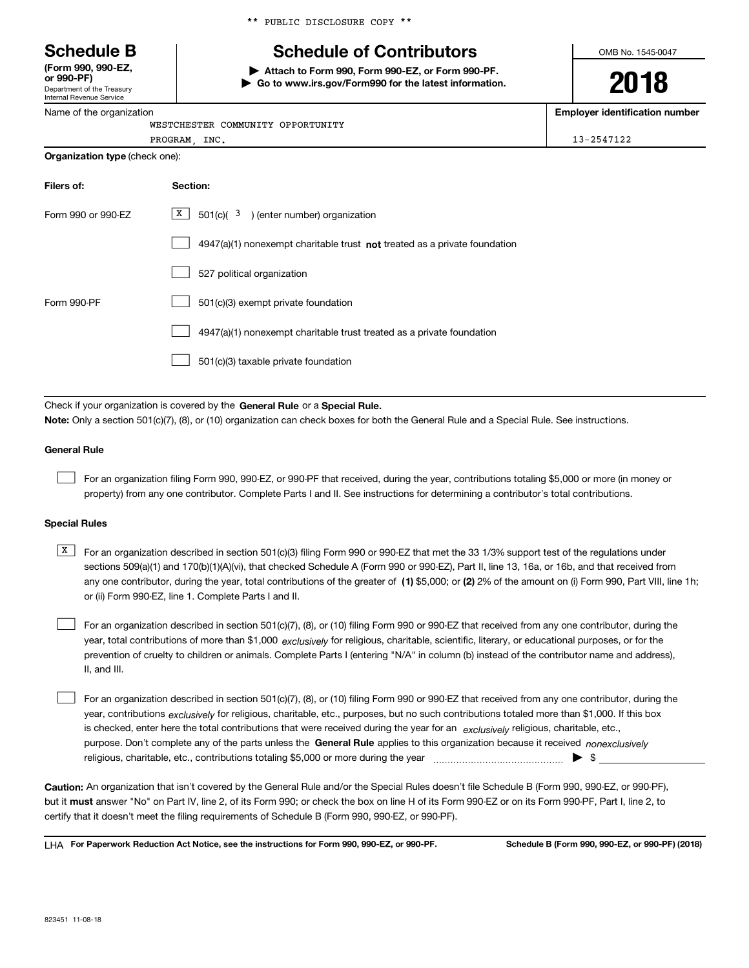\*\* PUBLIC DISCLOSURE COPY \*\*

WESTCHESTER COMMUNITY OPPORTUNITY

# **Schedule B Schedule of Contributors**

**| Attach to Form 990, Form 990-EZ, or Form 990-PF. | Go to www.irs.gov/Form990 for the latest information.** OMB No. 1545-0047

**2018**

**Employer identification number**

| Internal Revenue Service |
|--------------------------|
| Name of the organization |

Department of the Treasury

**(Form 990, 990-EZ, or 990-PF)**

|                                       | PROGRAM, INC.<br>13-2547122                                                                                                                                                                                                                                                      |  |
|---------------------------------------|----------------------------------------------------------------------------------------------------------------------------------------------------------------------------------------------------------------------------------------------------------------------------------|--|
| <b>Organization type (check one):</b> |                                                                                                                                                                                                                                                                                  |  |
| Filers of:                            | Section:                                                                                                                                                                                                                                                                         |  |
| Form 990 or 990-EZ                    | $501(c)$ ( $3$ ) (enter number) organization<br>X                                                                                                                                                                                                                                |  |
|                                       | 4947(a)(1) nonexempt charitable trust not treated as a private foundation                                                                                                                                                                                                        |  |
|                                       | 527 political organization                                                                                                                                                                                                                                                       |  |
| Form 990-PF                           | 501(c)(3) exempt private foundation                                                                                                                                                                                                                                              |  |
|                                       | 4947(a)(1) nonexempt charitable trust treated as a private foundation                                                                                                                                                                                                            |  |
|                                       | 501(c)(3) taxable private foundation                                                                                                                                                                                                                                             |  |
|                                       | Check if your organization is covered by the General Rule or a Special Rule.                                                                                                                                                                                                     |  |
|                                       | Note: Only a section 501(c)(7), (8), or (10) organization can check boxes for both the General Rule and a Special Rule. See instructions.                                                                                                                                        |  |
| <b>General Rule</b>                   |                                                                                                                                                                                                                                                                                  |  |
|                                       | For an organization filing Form 990, 990-EZ, or 990-PF that received, during the year, contributions totaling \$5,000 or more (in money or<br>property) from any one contributor. Complete Parts I and II. See instructions for determining a contributor's total contributions. |  |

### **Special Rules**

any one contributor, during the year, total contributions of the greater of  $\,$  (1) \$5,000; or **(2)** 2% of the amount on (i) Form 990, Part VIII, line 1h;  $\overline{X}$  For an organization described in section 501(c)(3) filing Form 990 or 990-EZ that met the 33 1/3% support test of the regulations under sections 509(a)(1) and 170(b)(1)(A)(vi), that checked Schedule A (Form 990 or 990-EZ), Part II, line 13, 16a, or 16b, and that received from or (ii) Form 990-EZ, line 1. Complete Parts I and II.

year, total contributions of more than \$1,000 *exclusively* for religious, charitable, scientific, literary, or educational purposes, or for the For an organization described in section 501(c)(7), (8), or (10) filing Form 990 or 990-EZ that received from any one contributor, during the prevention of cruelty to children or animals. Complete Parts I (entering "N/A" in column (b) instead of the contributor name and address), II, and III.  $\mathcal{L}^{\text{max}}$ 

purpose. Don't complete any of the parts unless the **General Rule** applies to this organization because it received *nonexclusively* year, contributions <sub>exclusively</sub> for religious, charitable, etc., purposes, but no such contributions totaled more than \$1,000. If this box is checked, enter here the total contributions that were received during the year for an  $\;$ exclusively religious, charitable, etc., For an organization described in section 501(c)(7), (8), or (10) filing Form 990 or 990-EZ that received from any one contributor, during the religious, charitable, etc., contributions totaling \$5,000 or more during the year  $\Box$ — $\Box$  =  $\Box$  $\mathcal{L}^{\text{max}}$ 

**Caution:**  An organization that isn't covered by the General Rule and/or the Special Rules doesn't file Schedule B (Form 990, 990-EZ, or 990-PF),  **must** but it answer "No" on Part IV, line 2, of its Form 990; or check the box on line H of its Form 990-EZ or on its Form 990-PF, Part I, line 2, to certify that it doesn't meet the filing requirements of Schedule B (Form 990, 990-EZ, or 990-PF).

**For Paperwork Reduction Act Notice, see the instructions for Form 990, 990-EZ, or 990-PF. Schedule B (Form 990, 990-EZ, or 990-PF) (2018)** LHA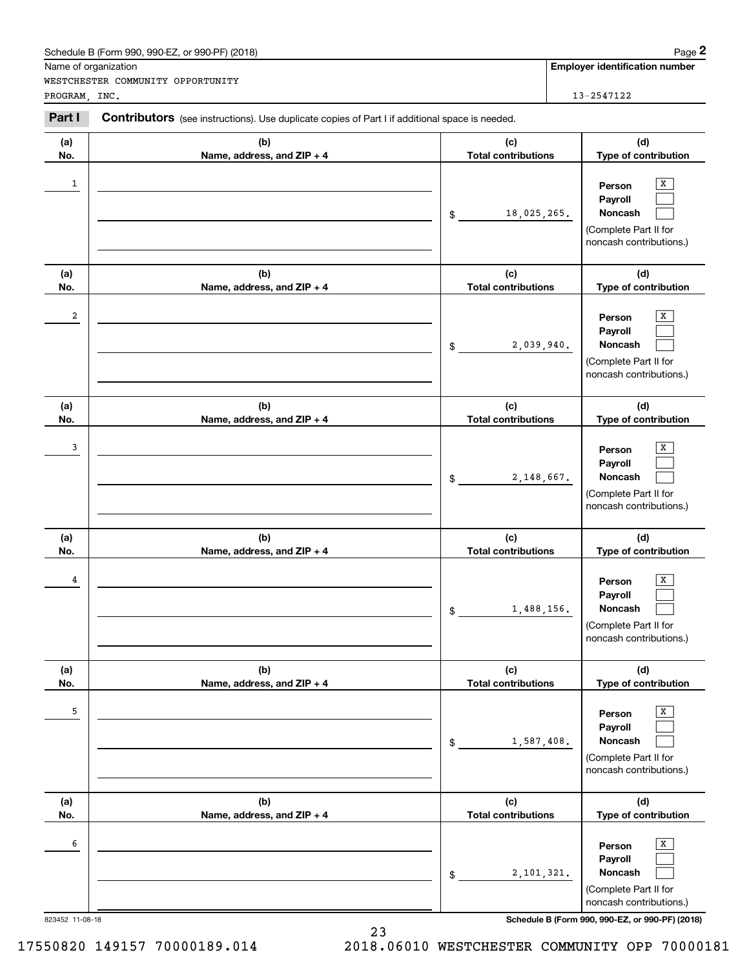|                      | Schedule B (Form 990, 990-EZ, or 990-PF) (2018)                                                       |                                   | Page 2                                                                                |
|----------------------|-------------------------------------------------------------------------------------------------------|-----------------------------------|---------------------------------------------------------------------------------------|
| Name of organization |                                                                                                       |                                   | <b>Employer identification number</b>                                                 |
| PROGRAM, INC.        | WESTCHESTER COMMUNITY OPPORTUNITY                                                                     |                                   | 13-2547122                                                                            |
| Part I               | <b>Contributors</b> (see instructions). Use duplicate copies of Part I if additional space is needed. |                                   |                                                                                       |
| (a)<br>No.           | (b)<br>Name, address, and ZIP + 4                                                                     | (c)<br><b>Total contributions</b> | (d)<br>Type of contribution                                                           |
| $\mathbf{1}$         |                                                                                                       | 18,025,265.<br>\$                 | x<br>Person<br>Payroll<br>Noncash<br>(Complete Part II for<br>noncash contributions.) |
| (a)<br>No.           | (b)<br>Name, address, and ZIP + 4                                                                     | (c)<br><b>Total contributions</b> | (d)<br>Type of contribution                                                           |
| $\boldsymbol{2}$     |                                                                                                       | 2,039,940.<br>\$                  | x<br>Person<br>Payroll<br>Noncash<br>(Complete Part II for<br>noncash contributions.) |
| (a)<br>No.           | (b)<br>Name, address, and ZIP + 4                                                                     | (c)<br><b>Total contributions</b> | (d)<br>Type of contribution                                                           |
| 3                    |                                                                                                       | 2,148,667.<br>\$                  | x<br>Person<br>Payroll<br>Noncash<br>(Complete Part II for<br>noncash contributions.) |
| (a)<br>No.           | (b)<br>Name, address, and ZIP + 4                                                                     | (c)<br><b>Total contributions</b> | (d)<br>Type of contribution                                                           |
| 4                    |                                                                                                       | 1,488,156.<br>\$                  | x<br>Person<br>Payroll<br>Noncash<br>(Complete Part II for<br>noncash contributions.) |
| (a)<br>No.           | (b)<br>Name, address, and ZIP + 4                                                                     | (c)<br><b>Total contributions</b> | (d)<br>Type of contribution                                                           |
| 5                    |                                                                                                       | 1,587,408.<br>\$                  | x<br>Person<br>Payroll<br>Noncash<br>(Complete Part II for<br>noncash contributions.) |
| (a)<br>No.           | (b)<br>Name, address, and ZIP + 4                                                                     | (c)<br><b>Total contributions</b> | (d)<br>Type of contribution                                                           |
| 6                    |                                                                                                       | 2,101,321.<br>\$                  | x<br>Person<br>Payroll<br>Noncash<br>(Complete Part II for<br>noncash contributions.) |
| 823452 11-08-18      |                                                                                                       |                                   | Schedule B (Form 990, 990-EZ, or 990-PF) (2018)                                       |

23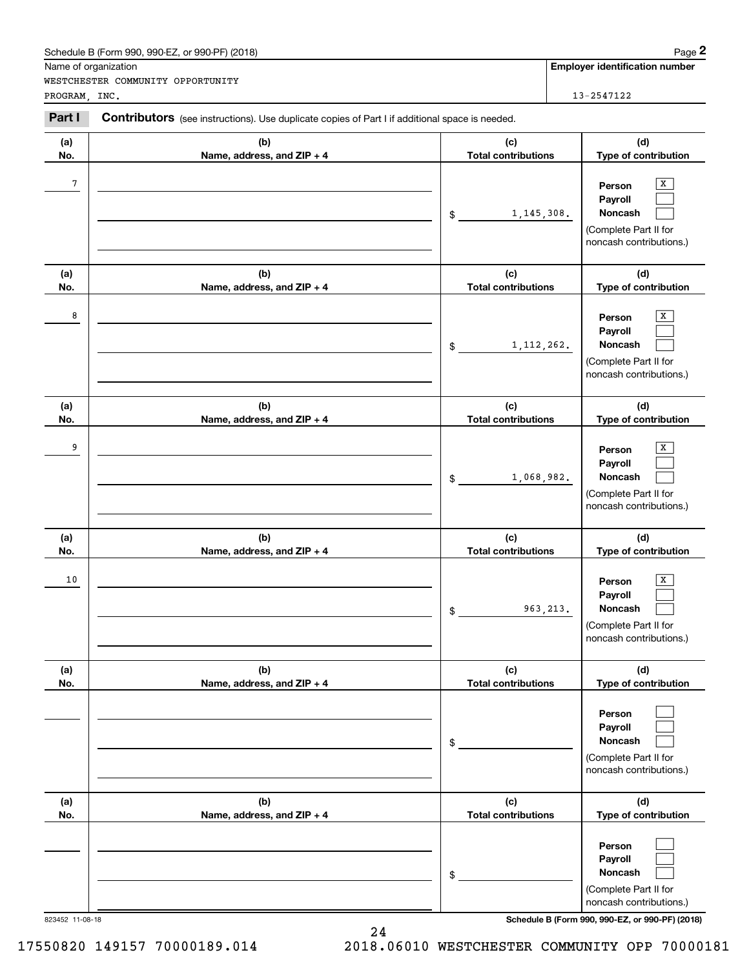|                 | Schedule B (Form 990, 990-EZ, or 990-PF) (2018)                                                       |                                   |                                       | Page 2                                                                                |
|-----------------|-------------------------------------------------------------------------------------------------------|-----------------------------------|---------------------------------------|---------------------------------------------------------------------------------------|
|                 | Name of organization                                                                                  |                                   | <b>Employer identification number</b> |                                                                                       |
| PROGRAM, INC.   | WESTCHESTER COMMUNITY OPPORTUNITY                                                                     |                                   |                                       | 13-2547122                                                                            |
| Part I          | <b>Contributors</b> (see instructions). Use duplicate copies of Part I if additional space is needed. |                                   |                                       |                                                                                       |
| (a)<br>No.      | (b)<br>Name, address, and ZIP + 4                                                                     | (c)<br><b>Total contributions</b> |                                       | (d)<br>Type of contribution                                                           |
| 7               |                                                                                                       | 1, 145, 308.<br>\$                |                                       | х<br>Person<br>Payroll<br>Noncash<br>(Complete Part II for<br>noncash contributions.) |
| (a)<br>No.      | (b)<br>Name, address, and ZIP + 4                                                                     | (c)<br><b>Total contributions</b> |                                       | (d)<br>Type of contribution                                                           |
| 8               |                                                                                                       | 1, 112, 262.<br>\$                |                                       | х<br>Person<br>Payroll<br>Noncash<br>(Complete Part II for<br>noncash contributions.) |
| (a)<br>No.      | (b)<br>Name, address, and ZIP + 4                                                                     | (c)<br><b>Total contributions</b> |                                       | (d)<br>Type of contribution                                                           |
| 9               |                                                                                                       | 1,068,982.<br>\$                  |                                       | x<br>Person<br>Payroll<br>Noncash<br>(Complete Part II for<br>noncash contributions.) |
| (a)<br>No.      | (b)<br>Name, address, and ZIP + 4                                                                     | (c)<br><b>Total contributions</b> |                                       | (d)<br>Type of contribution                                                           |
| 10              |                                                                                                       | \$                                | 963, 213.                             | x<br>Person<br>Payroll<br>Noncash<br>(Complete Part II for<br>noncash contributions.) |
| (a)<br>No.      | (b)<br>Name, address, and ZIP + 4                                                                     | (c)<br><b>Total contributions</b> |                                       | (d)<br>Type of contribution                                                           |
|                 |                                                                                                       | \$                                |                                       | Person<br>Payroll<br>Noncash<br>(Complete Part II for<br>noncash contributions.)      |
| (a)<br>No.      | (b)<br>Name, address, and ZIP + 4                                                                     | (c)<br><b>Total contributions</b> |                                       | (d)<br>Type of contribution                                                           |
|                 |                                                                                                       | \$                                |                                       | Person<br>Payroll<br>Noncash<br>(Complete Part II for<br>noncash contributions.)      |
| 823452 11-08-18 |                                                                                                       |                                   |                                       | Schedule B (Form 990, 990-EZ, or 990-PF) (2018)                                       |

24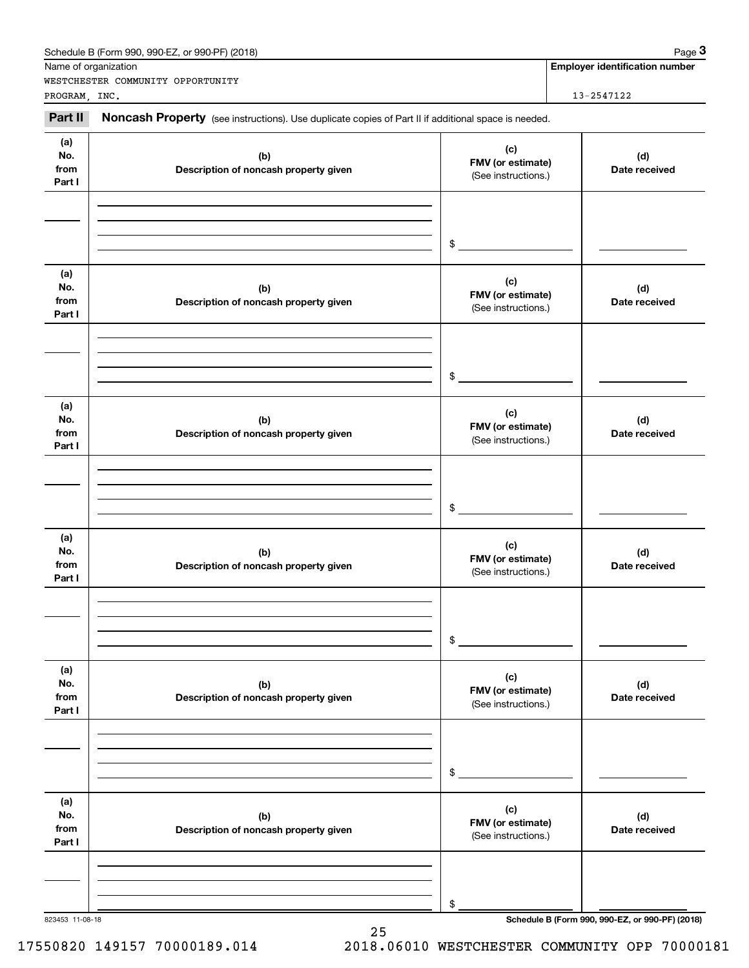|                                                                                                                                                                                          | Schedule B (Form 990, 990-EZ, or 990-PF) (2018)                                                     |                                                 | Page 3                                          |
|------------------------------------------------------------------------------------------------------------------------------------------------------------------------------------------|-----------------------------------------------------------------------------------------------------|-------------------------------------------------|-------------------------------------------------|
|                                                                                                                                                                                          | WESTCHESTER COMMUNITY OPPORTUNITY                                                                   |                                                 | <b>Employer identification number</b>           |
|                                                                                                                                                                                          |                                                                                                     |                                                 | 13-2547122                                      |
| Part II                                                                                                                                                                                  | Noncash Property (see instructions). Use duplicate copies of Part II if additional space is needed. |                                                 |                                                 |
| (a)<br>No.<br>from<br>Part I                                                                                                                                                             | (b)<br>Description of noncash property given                                                        | (c)<br>FMV (or estimate)<br>(See instructions.) | (d)<br>Date received                            |
|                                                                                                                                                                                          |                                                                                                     | $\frac{1}{2}$                                   |                                                 |
| (a)<br>No.<br>from<br>Part I                                                                                                                                                             | (b)<br>Description of noncash property given                                                        | (c)<br>FMV (or estimate)<br>(See instructions.) | (d)<br>Date received                            |
|                                                                                                                                                                                          |                                                                                                     | $\frac{1}{2}$                                   |                                                 |
| Name of organization<br>PROGRAM, INC.<br>(a)<br>No.<br>from<br>Part I<br>(a)<br>No.<br>from<br>Part I<br>(a)<br>No.<br>from<br>Part I<br>(a)<br>No.<br>from<br>Part I<br>823453 11-08-18 | (b)<br>Description of noncash property given                                                        | (c)<br>FMV (or estimate)<br>(See instructions.) | (d)<br>Date received                            |
|                                                                                                                                                                                          |                                                                                                     | $\frac{1}{2}$                                   |                                                 |
|                                                                                                                                                                                          | (b)<br>Description of noncash property given                                                        | (c)<br>FMV (or estimate)<br>(See instructions.) | (d)<br>Date received                            |
|                                                                                                                                                                                          |                                                                                                     | \$                                              |                                                 |
|                                                                                                                                                                                          | (b)<br>Description of noncash property given                                                        | (c)<br>FMV (or estimate)<br>(See instructions.) | (d)<br>Date received                            |
|                                                                                                                                                                                          |                                                                                                     | \$                                              |                                                 |
|                                                                                                                                                                                          | (b)<br>Description of noncash property given                                                        | (c)<br>FMV (or estimate)<br>(See instructions.) | (d)<br>Date received                            |
|                                                                                                                                                                                          |                                                                                                     | \$                                              |                                                 |
|                                                                                                                                                                                          | 25                                                                                                  |                                                 | Schedule B (Form 990, 990-EZ, or 990-PF) (2018) |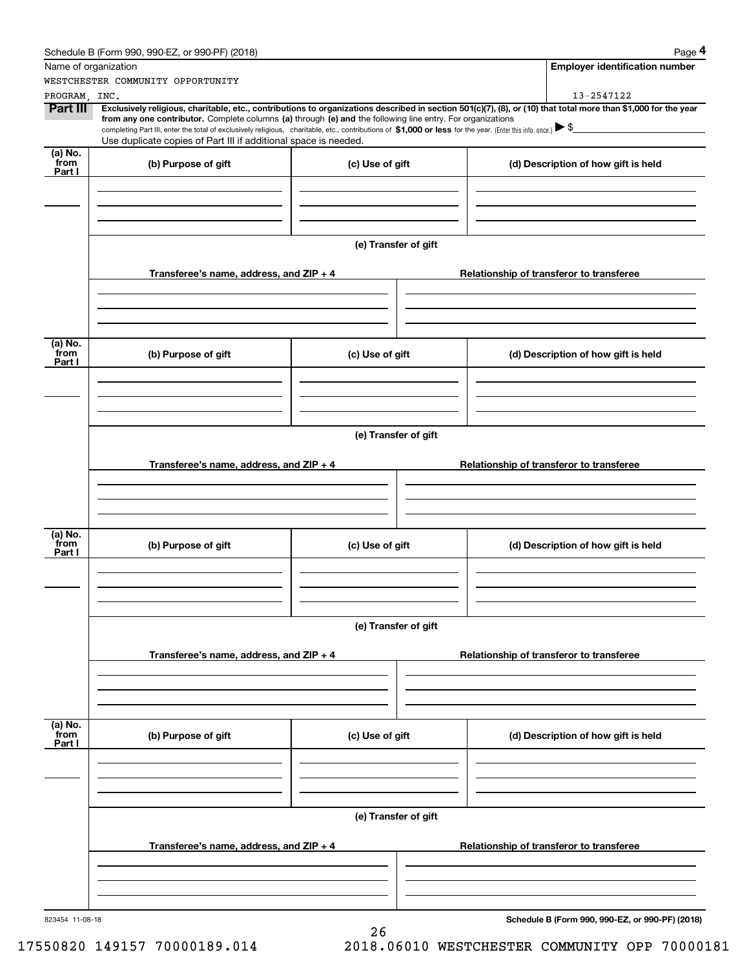|                   | Schedule B (Form 990, 990-EZ, or 990-PF) (2018)                                                                                                                                                                                                                              |                      | Page 4                                          |
|-------------------|------------------------------------------------------------------------------------------------------------------------------------------------------------------------------------------------------------------------------------------------------------------------------|----------------------|-------------------------------------------------|
|                   | Name of organization                                                                                                                                                                                                                                                         |                      | <b>Employer identification number</b>           |
|                   | WESTCHESTER COMMUNITY OPPORTUNITY                                                                                                                                                                                                                                            |                      |                                                 |
| PROGRAM, INC.     |                                                                                                                                                                                                                                                                              |                      | 13-2547122                                      |
| Part III          | Exclusively religious, charitable, etc., contributions to organizations described in section 501(c)(7), (8), or (10) that total more than \$1,000 for the year<br>from any one contributor. Complete columns (a) through (e) and the following line entry. For organizations |                      |                                                 |
|                   | completing Part III, enter the total of exclusively religious, charitable, etc., contributions of $$1,000$ or less for the year. (Enter this info. once.) $\blacktriangleright$ $\$$                                                                                         |                      |                                                 |
|                   | Use duplicate copies of Part III if additional space is needed.                                                                                                                                                                                                              |                      |                                                 |
| $(a)$ No.<br>from | (b) Purpose of gift                                                                                                                                                                                                                                                          | (c) Use of gift      | (d) Description of how gift is held             |
| Part I            |                                                                                                                                                                                                                                                                              |                      |                                                 |
|                   |                                                                                                                                                                                                                                                                              |                      |                                                 |
|                   |                                                                                                                                                                                                                                                                              |                      |                                                 |
|                   |                                                                                                                                                                                                                                                                              |                      |                                                 |
|                   |                                                                                                                                                                                                                                                                              | (e) Transfer of gift |                                                 |
|                   |                                                                                                                                                                                                                                                                              |                      |                                                 |
|                   | Transferee's name, address, and ZIP + 4                                                                                                                                                                                                                                      |                      | Relationship of transferor to transferee        |
|                   |                                                                                                                                                                                                                                                                              |                      |                                                 |
|                   |                                                                                                                                                                                                                                                                              |                      |                                                 |
|                   |                                                                                                                                                                                                                                                                              |                      |                                                 |
|                   |                                                                                                                                                                                                                                                                              |                      |                                                 |
| (a) No.<br>from   | (b) Purpose of gift                                                                                                                                                                                                                                                          | (c) Use of gift      | (d) Description of how gift is held             |
| Part I            |                                                                                                                                                                                                                                                                              |                      |                                                 |
|                   |                                                                                                                                                                                                                                                                              |                      |                                                 |
|                   |                                                                                                                                                                                                                                                                              |                      |                                                 |
|                   |                                                                                                                                                                                                                                                                              |                      |                                                 |
|                   |                                                                                                                                                                                                                                                                              | (e) Transfer of gift |                                                 |
|                   |                                                                                                                                                                                                                                                                              |                      |                                                 |
|                   | Transferee's name, address, and ZIP + 4                                                                                                                                                                                                                                      |                      | Relationship of transferor to transferee        |
|                   |                                                                                                                                                                                                                                                                              |                      |                                                 |
|                   |                                                                                                                                                                                                                                                                              |                      |                                                 |
|                   |                                                                                                                                                                                                                                                                              |                      |                                                 |
| (a) No.           |                                                                                                                                                                                                                                                                              |                      |                                                 |
| from              | (b) Purpose of gift                                                                                                                                                                                                                                                          | (c) Use of gift      | (d) Description of how gift is held             |
| Part I            |                                                                                                                                                                                                                                                                              |                      |                                                 |
|                   |                                                                                                                                                                                                                                                                              |                      |                                                 |
|                   |                                                                                                                                                                                                                                                                              |                      |                                                 |
|                   |                                                                                                                                                                                                                                                                              |                      |                                                 |
|                   |                                                                                                                                                                                                                                                                              | (e) Transfer of gift |                                                 |
|                   |                                                                                                                                                                                                                                                                              |                      |                                                 |
|                   | Transferee's name, address, and $ZIP + 4$                                                                                                                                                                                                                                    |                      | Relationship of transferor to transferee        |
|                   |                                                                                                                                                                                                                                                                              |                      |                                                 |
|                   |                                                                                                                                                                                                                                                                              |                      |                                                 |
|                   |                                                                                                                                                                                                                                                                              |                      |                                                 |
| (a) No.<br>from   |                                                                                                                                                                                                                                                                              |                      |                                                 |
| Part I            | (b) Purpose of gift                                                                                                                                                                                                                                                          | (c) Use of gift      | (d) Description of how gift is held             |
|                   |                                                                                                                                                                                                                                                                              |                      |                                                 |
|                   |                                                                                                                                                                                                                                                                              |                      |                                                 |
|                   |                                                                                                                                                                                                                                                                              |                      |                                                 |
|                   |                                                                                                                                                                                                                                                                              |                      |                                                 |
|                   |                                                                                                                                                                                                                                                                              | (e) Transfer of gift |                                                 |
|                   |                                                                                                                                                                                                                                                                              |                      |                                                 |
|                   | Transferee's name, address, and $ZIP + 4$                                                                                                                                                                                                                                    |                      | Relationship of transferor to transferee        |
|                   |                                                                                                                                                                                                                                                                              |                      |                                                 |
|                   |                                                                                                                                                                                                                                                                              |                      |                                                 |
|                   |                                                                                                                                                                                                                                                                              |                      |                                                 |
| 823454 11-08-18   |                                                                                                                                                                                                                                                                              |                      | Schedule B (Form 990, 990-EZ, or 990-PF) (2018) |
|                   |                                                                                                                                                                                                                                                                              | 26                   |                                                 |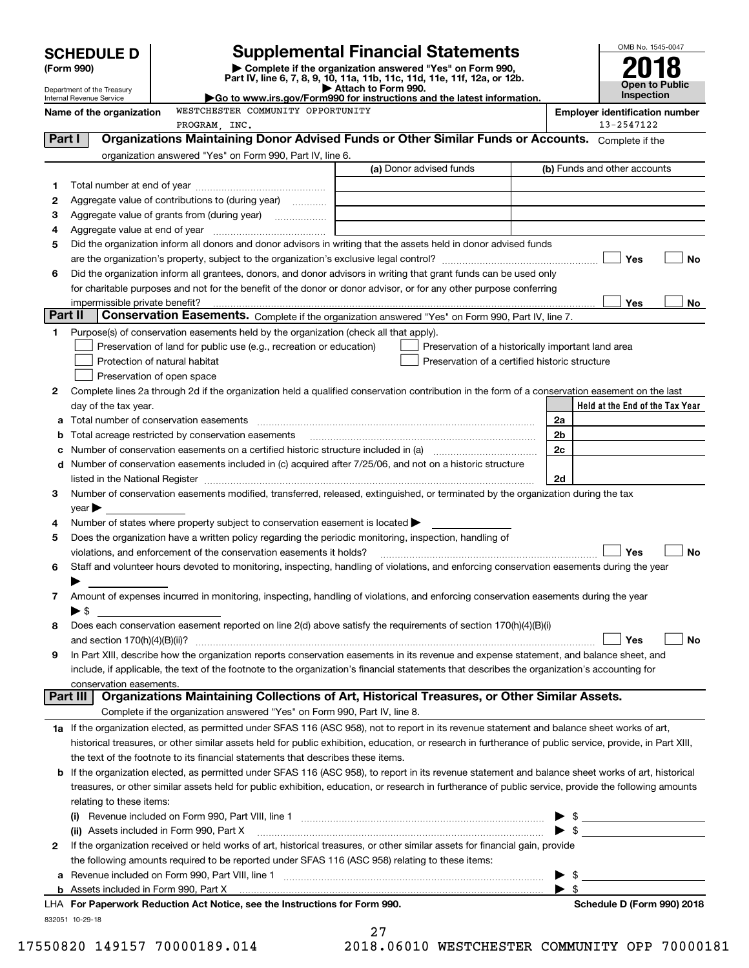|         |                                                        |                                                                                                        |                                                                                                                                                                                                                                                                                                                                                                   |    | OMB No. 1545-0047                          |
|---------|--------------------------------------------------------|--------------------------------------------------------------------------------------------------------|-------------------------------------------------------------------------------------------------------------------------------------------------------------------------------------------------------------------------------------------------------------------------------------------------------------------------------------------------------------------|----|--------------------------------------------|
|         | <b>SCHEDULE D</b><br>(Form 990)                        |                                                                                                        | <b>Supplemental Financial Statements</b><br>Complete if the organization answered "Yes" on Form 990,<br>Part IV, line 6, 7, 8, 9, 10, 11a, 11b, 11c, 11d, 11e, 11f, 12a, or 12b.                                                                                                                                                                                  |    |                                            |
|         | Department of the Treasury<br>Internal Revenue Service |                                                                                                        | Attach to Form 990.<br>Go to www.irs.gov/Form990 for instructions and the latest information.                                                                                                                                                                                                                                                                     |    | <b>Open to Public</b><br><b>Inspection</b> |
|         | Name of the organization                               | WESTCHESTER COMMUNITY OPPORTUNITY                                                                      |                                                                                                                                                                                                                                                                                                                                                                   |    | <b>Employer identification number</b>      |
|         |                                                        | PROGRAM, INC.                                                                                          |                                                                                                                                                                                                                                                                                                                                                                   |    | 13-2547122                                 |
| Part I  |                                                        |                                                                                                        | Organizations Maintaining Donor Advised Funds or Other Similar Funds or Accounts. Complete if the                                                                                                                                                                                                                                                                 |    |                                            |
|         |                                                        | organization answered "Yes" on Form 990, Part IV, line 6.                                              |                                                                                                                                                                                                                                                                                                                                                                   |    |                                            |
|         |                                                        |                                                                                                        | (a) Donor advised funds                                                                                                                                                                                                                                                                                                                                           |    | (b) Funds and other accounts               |
| 1       |                                                        |                                                                                                        |                                                                                                                                                                                                                                                                                                                                                                   |    |                                            |
| 2       |                                                        | Aggregate value of contributions to (during year)                                                      |                                                                                                                                                                                                                                                                                                                                                                   |    |                                            |
| з       |                                                        |                                                                                                        |                                                                                                                                                                                                                                                                                                                                                                   |    |                                            |
| 4       |                                                        |                                                                                                        |                                                                                                                                                                                                                                                                                                                                                                   |    |                                            |
| 5       |                                                        |                                                                                                        | Did the organization inform all donors and donor advisors in writing that the assets held in donor advised funds                                                                                                                                                                                                                                                  |    | Yes<br>No                                  |
| 6       |                                                        |                                                                                                        | Did the organization inform all grantees, donors, and donor advisors in writing that grant funds can be used only                                                                                                                                                                                                                                                 |    |                                            |
|         |                                                        |                                                                                                        | for charitable purposes and not for the benefit of the donor or donor advisor, or for any other purpose conferring                                                                                                                                                                                                                                                |    |                                            |
|         |                                                        |                                                                                                        |                                                                                                                                                                                                                                                                                                                                                                   |    | Yes<br>No                                  |
| Part II |                                                        |                                                                                                        | Conservation Easements. Complete if the organization answered "Yes" on Form 990, Part IV, line 7.                                                                                                                                                                                                                                                                 |    |                                            |
| 1       |                                                        | Purpose(s) of conservation easements held by the organization (check all that apply).                  |                                                                                                                                                                                                                                                                                                                                                                   |    |                                            |
|         |                                                        | Preservation of land for public use (e.g., recreation or education)                                    | Preservation of a historically important land area                                                                                                                                                                                                                                                                                                                |    |                                            |
|         |                                                        | Protection of natural habitat                                                                          | Preservation of a certified historic structure                                                                                                                                                                                                                                                                                                                    |    |                                            |
|         |                                                        | Preservation of open space                                                                             |                                                                                                                                                                                                                                                                                                                                                                   |    |                                            |
| 2       |                                                        |                                                                                                        | Complete lines 2a through 2d if the organization held a qualified conservation contribution in the form of a conservation easement on the last                                                                                                                                                                                                                    |    |                                            |
|         | day of the tax year.                                   |                                                                                                        |                                                                                                                                                                                                                                                                                                                                                                   |    | Held at the End of the Tax Year            |
| а       |                                                        |                                                                                                        |                                                                                                                                                                                                                                                                                                                                                                   | 2a |                                            |
| b       |                                                        | Total acreage restricted by conservation easements                                                     |                                                                                                                                                                                                                                                                                                                                                                   | 2b |                                            |
| с       |                                                        |                                                                                                        |                                                                                                                                                                                                                                                                                                                                                                   | 2c |                                            |
| d       |                                                        |                                                                                                        | Number of conservation easements included in (c) acquired after 7/25/06, and not on a historic structure                                                                                                                                                                                                                                                          |    |                                            |
| 3       |                                                        |                                                                                                        | listed in the National Register [11, 1200] [12] The National Register [11, 1200] [12] The National Register [11, 1200] [12] The National Register [11, 1200] [12] The National Register [11, 1200] [12] The National Register<br>Number of conservation easements modified, transferred, released, extinguished, or terminated by the organization during the tax | 2d |                                            |
|         | $year \blacktriangleright$                             |                                                                                                        |                                                                                                                                                                                                                                                                                                                                                                   |    |                                            |
| 4       |                                                        | Number of states where property subject to conservation easement is located >                          |                                                                                                                                                                                                                                                                                                                                                                   |    |                                            |
| 5       |                                                        | Does the organization have a written policy regarding the periodic monitoring, inspection, handling of |                                                                                                                                                                                                                                                                                                                                                                   |    |                                            |
|         |                                                        | violations, and enforcement of the conservation easements it holds?                                    |                                                                                                                                                                                                                                                                                                                                                                   |    | Yes<br>No                                  |
|         |                                                        |                                                                                                        | Staff and volunteer hours devoted to monitoring, inspecting, handling of violations, and enforcing conservation easements during the year                                                                                                                                                                                                                         |    |                                            |
|         |                                                        |                                                                                                        |                                                                                                                                                                                                                                                                                                                                                                   |    |                                            |
| 7       |                                                        |                                                                                                        | Amount of expenses incurred in monitoring, inspecting, handling of violations, and enforcing conservation easements during the year                                                                                                                                                                                                                               |    |                                            |
|         | $\blacktriangleright$ \$                               |                                                                                                        |                                                                                                                                                                                                                                                                                                                                                                   |    |                                            |
| 8       |                                                        |                                                                                                        | Does each conservation easement reported on line 2(d) above satisfy the requirements of section 170(h)(4)(B)(i)                                                                                                                                                                                                                                                   |    |                                            |
|         |                                                        |                                                                                                        |                                                                                                                                                                                                                                                                                                                                                                   |    | Yes<br>No                                  |
| 9       |                                                        |                                                                                                        | In Part XIII, describe how the organization reports conservation easements in its revenue and expense statement, and balance sheet, and                                                                                                                                                                                                                           |    |                                            |
|         |                                                        |                                                                                                        | include, if applicable, the text of the footnote to the organization's financial statements that describes the organization's accounting for                                                                                                                                                                                                                      |    |                                            |
|         | conservation easements.<br>Part III                    |                                                                                                        | Organizations Maintaining Collections of Art, Historical Treasures, or Other Similar Assets.                                                                                                                                                                                                                                                                      |    |                                            |
|         |                                                        | Complete if the organization answered "Yes" on Form 990, Part IV, line 8.                              |                                                                                                                                                                                                                                                                                                                                                                   |    |                                            |
|         |                                                        |                                                                                                        | 1a If the organization elected, as permitted under SFAS 116 (ASC 958), not to report in its revenue statement and balance sheet works of art,                                                                                                                                                                                                                     |    |                                            |
|         |                                                        |                                                                                                        | historical treasures, or other similar assets held for public exhibition, education, or research in furtherance of public service, provide, in Part XIII,                                                                                                                                                                                                         |    |                                            |
|         |                                                        | the text of the footnote to its financial statements that describes these items.                       |                                                                                                                                                                                                                                                                                                                                                                   |    |                                            |
| b       |                                                        |                                                                                                        | If the organization elected, as permitted under SFAS 116 (ASC 958), to report in its revenue statement and balance sheet works of art, historical                                                                                                                                                                                                                 |    |                                            |
|         |                                                        |                                                                                                        | treasures, or other similar assets held for public exhibition, education, or research in furtherance of public service, provide the following amounts                                                                                                                                                                                                             |    |                                            |
|         | relating to these items:                               |                                                                                                        |                                                                                                                                                                                                                                                                                                                                                                   |    |                                            |
|         |                                                        |                                                                                                        |                                                                                                                                                                                                                                                                                                                                                                   |    | $\frac{1}{2}$                              |
|         |                                                        | (ii) Assets included in Form 990, Part X                                                               |                                                                                                                                                                                                                                                                                                                                                                   |    | $\sim$                                     |
| 2       |                                                        |                                                                                                        | If the organization received or held works of art, historical treasures, or other similar assets for financial gain, provide                                                                                                                                                                                                                                      |    |                                            |
|         |                                                        | the following amounts required to be reported under SFAS 116 (ASC 958) relating to these items:        |                                                                                                                                                                                                                                                                                                                                                                   |    |                                            |
| а       |                                                        |                                                                                                        |                                                                                                                                                                                                                                                                                                                                                                   |    |                                            |
|         |                                                        | <b>b</b> Assets included in Form 990, Part X                                                           |                                                                                                                                                                                                                                                                                                                                                                   |    | \$                                         |

| <b>b</b> Assets included in Form 990. Part X                               |
|----------------------------------------------------------------------------|
| LHA For Paperwork Reduction Act Notice, see the Instructions for Form 990. |
| 832051 10-29-18                                                            |

27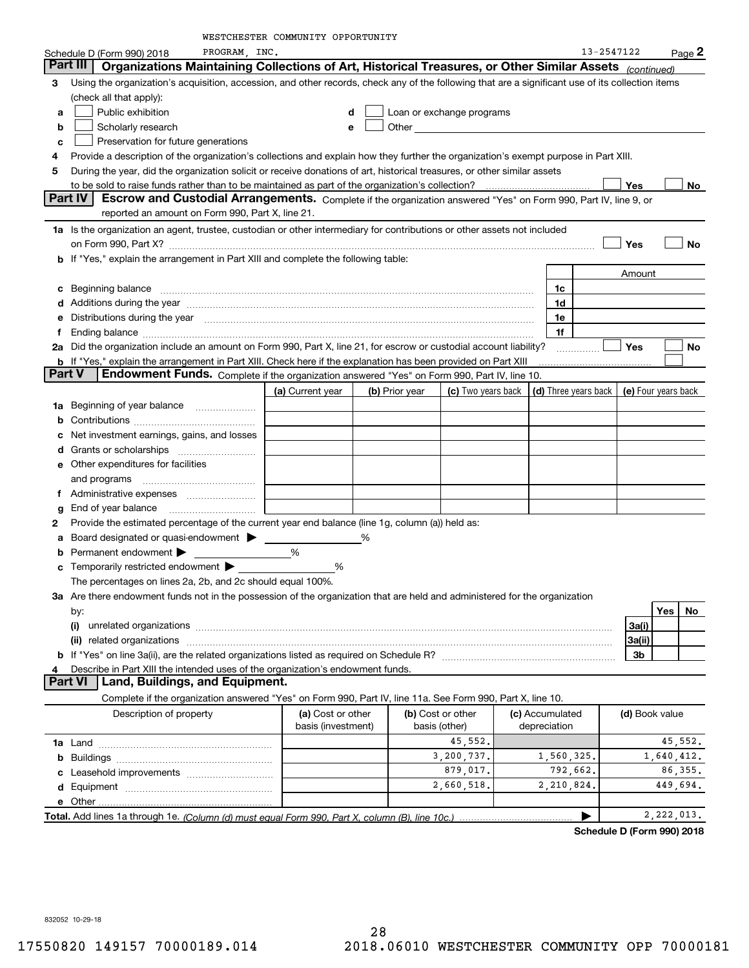WESTER COMMUNITY COPORTUNITY

|    |                                                                                                                                                                                                                                      | WESTCHESTER COMMUNITY OPPORTUNITY |   |                |                           |                      |            |                     |            |           |
|----|--------------------------------------------------------------------------------------------------------------------------------------------------------------------------------------------------------------------------------------|-----------------------------------|---|----------------|---------------------------|----------------------|------------|---------------------|------------|-----------|
|    | PROGRAM, INC.<br>Schedule D (Form 990) 2018                                                                                                                                                                                          |                                   |   |                |                           |                      | 13-2547122 |                     |            | $Page$ 2  |
|    | Organizations Maintaining Collections of Art, Historical Treasures, or Other Similar Assets (continued)<br>Part III                                                                                                                  |                                   |   |                |                           |                      |            |                     |            |           |
| З  | Using the organization's acquisition, accession, and other records, check any of the following that are a significant use of its collection items                                                                                    |                                   |   |                |                           |                      |            |                     |            |           |
|    | (check all that apply):                                                                                                                                                                                                              |                                   |   |                |                           |                      |            |                     |            |           |
| a  | Public exhibition                                                                                                                                                                                                                    | d                                 |   |                | Loan or exchange programs |                      |            |                     |            |           |
| b  | Scholarly research                                                                                                                                                                                                                   | e                                 |   |                |                           |                      |            |                     |            |           |
| c  | Preservation for future generations                                                                                                                                                                                                  |                                   |   |                |                           |                      |            |                     |            |           |
| 4  | Provide a description of the organization's collections and explain how they further the organization's exempt purpose in Part XIII.                                                                                                 |                                   |   |                |                           |                      |            |                     |            |           |
| 5  | During the year, did the organization solicit or receive donations of art, historical treasures, or other similar assets                                                                                                             |                                   |   |                |                           |                      |            |                     |            |           |
|    |                                                                                                                                                                                                                                      |                                   |   |                |                           |                      |            | Yes                 |            | No        |
|    | Part IV<br>Escrow and Custodial Arrangements. Complete if the organization answered "Yes" on Form 990, Part IV, line 9, or                                                                                                           |                                   |   |                |                           |                      |            |                     |            |           |
|    | reported an amount on Form 990, Part X, line 21.                                                                                                                                                                                     |                                   |   |                |                           |                      |            |                     |            |           |
|    | 1a Is the organization an agent, trustee, custodian or other intermediary for contributions or other assets not included                                                                                                             |                                   |   |                |                           |                      |            |                     |            |           |
|    | on Form 990, Part X? [11] matter contracts and contracts and contracts are contracted as a function of the set of the set of the set of the set of the set of the set of the set of the set of the set of the set of the set o       |                                   |   |                |                           |                      |            | Yes                 |            | <b>No</b> |
|    | b If "Yes," explain the arrangement in Part XIII and complete the following table:                                                                                                                                                   |                                   |   |                |                           |                      |            |                     |            |           |
|    |                                                                                                                                                                                                                                      |                                   |   |                |                           |                      |            | Amount              |            |           |
|    | Beginning balance <b>contract the contract of the contract of the contract of the contract of the contract of the contract of the contract of the contract of the contract of the contract of the contract of the contract of th</b> |                                   |   |                |                           | 1c                   |            |                     |            |           |
|    | d Additions during the year manufactured and an account of the state of a distribution of Additions during the year                                                                                                                  |                                   |   |                |                           | 1d                   |            |                     |            |           |
|    | Distributions during the year manufactured and continuum control of the state of the control of the state of the state of the state of the state of the state of the state of the state of the state of the state of the state       |                                   |   |                |                           | 1e                   |            |                     |            |           |
| Ť. | Ending balance measurements are all the contract of the contract of the contract of the contract of the contract of the contract of the contract of the contract of the contract of the contract of the contract of the contra       |                                   |   |                |                           | 1f                   |            |                     |            |           |
|    | 2a Did the organization include an amount on Form 990, Part X, line 21, for escrow or custodial account liability?                                                                                                                   |                                   |   |                |                           | .                    |            | <b>Yes</b>          |            | No        |
|    | <b>b</b> If "Yes," explain the arrangement in Part XIII. Check here if the explanation has been provided on Part XIII                                                                                                                |                                   |   |                |                           |                      |            |                     |            |           |
|    | Endowment Funds. Complete if the organization answered "Yes" on Form 990, Part IV, line 10.<br>Part V                                                                                                                                |                                   |   |                |                           |                      |            |                     |            |           |
|    |                                                                                                                                                                                                                                      | (a) Current year                  |   | (b) Prior year | (c) Two years back        | (d) Three years back |            | (e) Four years back |            |           |
| 1a | Beginning of year balance                                                                                                                                                                                                            |                                   |   |                |                           |                      |            |                     |            |           |
|    |                                                                                                                                                                                                                                      |                                   |   |                |                           |                      |            |                     |            |           |
|    | Net investment earnings, gains, and losses                                                                                                                                                                                           |                                   |   |                |                           |                      |            |                     |            |           |
|    |                                                                                                                                                                                                                                      |                                   |   |                |                           |                      |            |                     |            |           |
|    | e Other expenditures for facilities                                                                                                                                                                                                  |                                   |   |                |                           |                      |            |                     |            |           |
|    | and programs                                                                                                                                                                                                                         |                                   |   |                |                           |                      |            |                     |            |           |
|    |                                                                                                                                                                                                                                      |                                   |   |                |                           |                      |            |                     |            |           |
| g  |                                                                                                                                                                                                                                      |                                   |   |                |                           |                      |            |                     |            |           |
| 2  | Provide the estimated percentage of the current year end balance (line 1g, column (a)) held as:                                                                                                                                      |                                   |   |                |                           |                      |            |                     |            |           |
|    | Board designated or quasi-endowment >                                                                                                                                                                                                |                                   | % |                |                           |                      |            |                     |            |           |
|    | Permanent endowment                                                                                                                                                                                                                  | %                                 |   |                |                           |                      |            |                     |            |           |
|    | <b>c</b> Temporarily restricted endowment $\blacktriangleright$                                                                                                                                                                      | %                                 |   |                |                           |                      |            |                     |            |           |
|    | The percentages on lines 2a, 2b, and 2c should equal 100%.                                                                                                                                                                           |                                   |   |                |                           |                      |            |                     |            |           |
|    | 3a Are there endowment funds not in the possession of the organization that are held and administered for the organization                                                                                                           |                                   |   |                |                           |                      |            |                     |            |           |
|    | by:                                                                                                                                                                                                                                  |                                   |   |                |                           |                      |            |                     | Yes        | No        |
|    |                                                                                                                                                                                                                                      |                                   |   |                |                           |                      |            | 3a(i)               |            |           |
|    | (ii) related organizations                                                                                                                                                                                                           |                                   |   |                |                           |                      |            | 3a(ii)              |            |           |
|    |                                                                                                                                                                                                                                      |                                   |   |                |                           |                      |            | 3b                  |            |           |
| 4  | Describe in Part XIII the intended uses of the organization's endowment funds.                                                                                                                                                       |                                   |   |                |                           |                      |            |                     |            |           |
|    | Land, Buildings, and Equipment.<br>Part VI                                                                                                                                                                                           |                                   |   |                |                           |                      |            |                     |            |           |
|    | Complete if the organization answered "Yes" on Form 990, Part IV, line 11a. See Form 990, Part X, line 10.                                                                                                                           |                                   |   |                |                           |                      |            |                     |            |           |
|    | Description of property                                                                                                                                                                                                              | (a) Cost or other                 |   |                | (b) Cost or other         | (c) Accumulated      |            | (d) Book value      |            |           |
|    |                                                                                                                                                                                                                                      | basis (investment)                |   |                | basis (other)             | depreciation         |            |                     |            |           |
|    |                                                                                                                                                                                                                                      |                                   |   |                | 45,552.                   |                      |            |                     |            | 45,552.   |
|    |                                                                                                                                                                                                                                      |                                   |   |                | 3,200,737.                | 1,560,325.           |            |                     | 1,640,412. |           |
|    | Leasehold improvements                                                                                                                                                                                                               |                                   |   |                | 879,017.                  | 792,662.             |            |                     |            | 86, 355.  |
|    |                                                                                                                                                                                                                                      |                                   |   |                | 2,660,518.                | 2,210,824.           |            |                     | 449,694.   |           |
|    |                                                                                                                                                                                                                                      |                                   |   |                |                           |                      |            |                     |            |           |
|    |                                                                                                                                                                                                                                      |                                   |   |                |                           |                      |            |                     |            |           |

**Total.** Add lines 1a through 1e. *(Column (d) must equal Form 990. Part X, column (B), line 10c.) …………………………………*  $\sum_{\dots}$  2,222,013.

**Schedule D (Form 990) 2018**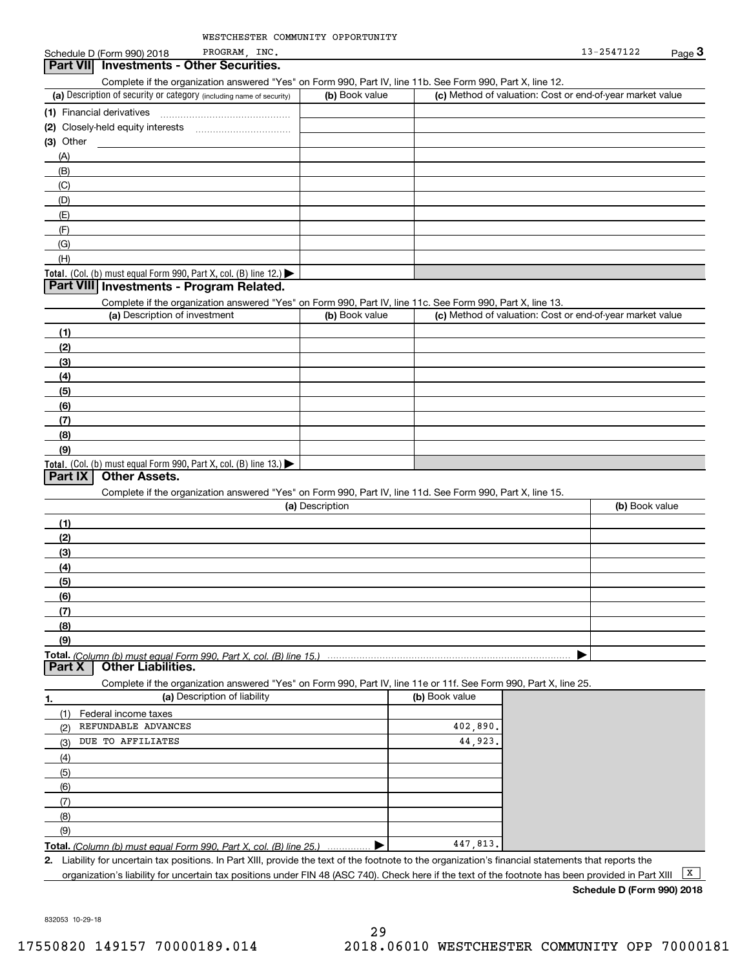### (a) Description of security or category (including name of security)  $\vert$  (b) Book value  $\vert$  (c) Total. (Col. (b) must equal Form 990, Part X, col. (B) line 12.) Total. (Col. (b) must equal Form 990, Part X, col. (B) line 13.) **(1)**Financial derivatives **(2)** Closely-held equity interests **(3)** Other (a) Description of investment **b (b)** Book value **(1)(2) (3)(4) (5)(6)(7) (8)(9)(a) (b)**  Description**(1)(2) (3)(4)(5) (6)(7) (8)(9)Total.**  *(Column (b) must equal Form 990, Part X, col. (B) line 15.)* **1.(a)** Description of liability **Book value (b)** Book value **Total.**  *(Column (b) must equal Form 990, Part X, col. (B) line 25.)* **2.**Schedule D (Form 990) 2018 PROGRAM, INC.  $\frac{3}{2}$  Page 3 Complete if the organization answered "Yes" on Form 990, Part IV, line 11b. See Form 990, Part X, line 12.  $(b)$  Book value  $\vert$  (c) Method of valuation: Cost or end-of-year market value ~~~~~~~~~~~~~~~(A)(B)(C)(D)(E)(F)(G)(H)Complete if the organization answered "Yes" on Form 990, Part IV, line 11c. See Form 990, Part X, line 13. (c) Method of valuation: Cost or end-of-year market value Complete if the organization answered "Yes" on Form 990, Part IV, line 11d. See Form 990, Part X, line 15. (b) Book value  $\blacktriangleright$ Complete if the organization answered "Yes" on Form 990, Part IV, line 11e or 11f. See Form 990, Part X, line 25. (1)(2)(3)(4)(5)(6)(7)(8)(9)Federal income taxes . . . . . . . . . . . . . . .  $\blacktriangleright$ Liability for uncertain tax positions. In Part XIII, provide the text of the footnote to the organization's financial statements that reports the organization's liability for uncertain tax positions under FIN 48 (ASC 740). Check here if the text of the footnote has been provided in Part XIII **Part VII Investments - Other Securities. Part VIII Investments - Program Related. Part IX Other Assets. Part X Other Liabilities.**  $\boxed{\mathbf{X}}$ PROGRAM, REFUNDABLE ADVANCES DUE TO AFFILIATES 13-2547122402,890. 44,923. 447,813.

**Schedule D (Form 990) 2018**

832053 10-29-18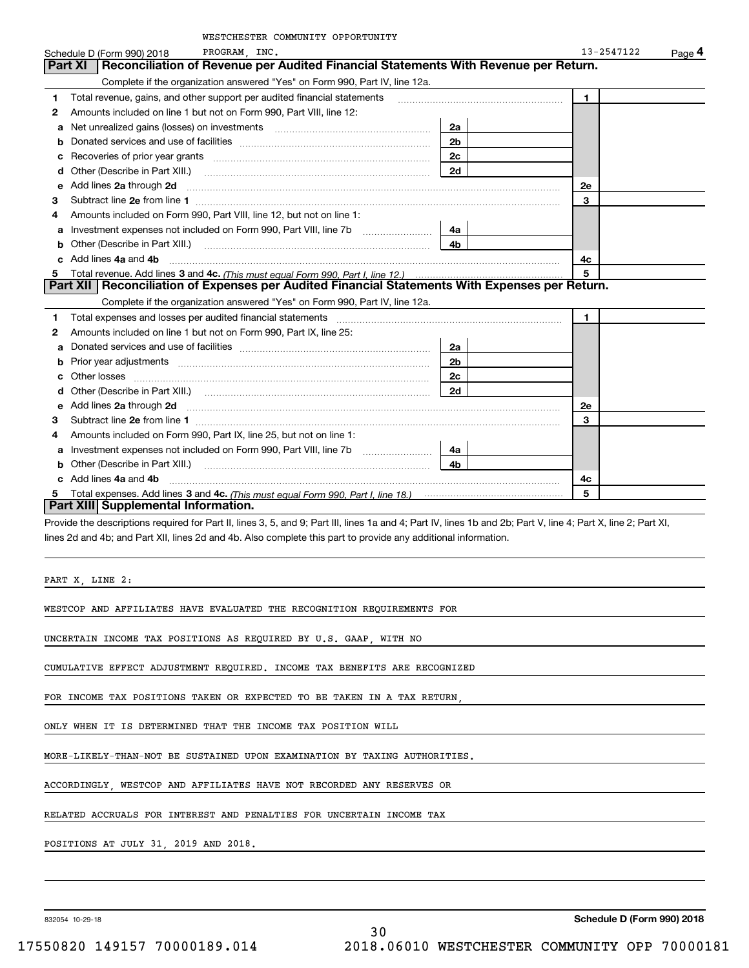|   | WESTCHESTER COMMUNITY OPPORTUNITY                                                                                                            |                |              |        |
|---|----------------------------------------------------------------------------------------------------------------------------------------------|----------------|--------------|--------|
|   | PROGRAM, INC.<br>Schedule D (Form 990) 2018                                                                                                  |                | 13-2547122   | Page 4 |
|   | Reconciliation of Revenue per Audited Financial Statements With Revenue per Return.<br><b>Part XI</b>                                        |                |              |        |
|   | Complete if the organization answered "Yes" on Form 990, Part IV, line 12a.                                                                  |                |              |        |
| 1 | Total revenue, gains, and other support per audited financial statements                                                                     |                | $\mathbf{1}$ |        |
| 2 | Amounts included on line 1 but not on Form 990, Part VIII, line 12:                                                                          |                |              |        |
| a | Net unrealized gains (losses) on investments [11] matter contracts and the unrealized gains (losses) on investments                          | 2a             |              |        |
|   |                                                                                                                                              | 2 <sub>b</sub> |              |        |
|   |                                                                                                                                              | 2c             |              |        |
| d |                                                                                                                                              | 2d             |              |        |
| е | Add lines 2a through 2d                                                                                                                      |                | <b>2e</b>    |        |
| з |                                                                                                                                              |                | 3            |        |
| 4 | Amounts included on Form 990, Part VIII, line 12, but not on line 1:                                                                         |                |              |        |
| a | Investment expenses not included on Form 990, Part VIII, line 7b [111] [11] Investment expenses not included on Form 990, Part VIII, line 7b | 4a             |              |        |
| b |                                                                                                                                              | 4b             |              |        |
|   | Add lines 4a and 4b                                                                                                                          |                | 4c           |        |
| 5 |                                                                                                                                              |                | 5            |        |
|   | Part XII   Reconciliation of Expenses per Audited Financial Statements With Expenses per Return.                                             |                |              |        |
|   | Complete if the organization answered "Yes" on Form 990, Part IV, line 12a.                                                                  |                |              |        |
| 1 |                                                                                                                                              |                | $\mathbf{1}$ |        |
| 2 | Amounts included on line 1 but not on Form 990, Part IX, line 25:                                                                            |                |              |        |
| a |                                                                                                                                              | 2a             |              |        |
|   |                                                                                                                                              | 2 <sub>b</sub> |              |        |
|   | Other losses                                                                                                                                 | 2c             |              |        |
| d |                                                                                                                                              | 2d             |              |        |
| е | Add lines 2a through 2d <b>Martin Martin Community</b> 20 <b>Add lines</b> 2a through 2d <b>Martin Additional Community 20</b>               |                | <b>2e</b>    |        |
| з |                                                                                                                                              |                | 3            |        |
| 4 | Amounts included on Form 990, Part IX, line 25, but not on line 1:                                                                           |                |              |        |
| a | Investment expenses not included on Form 990, Part VIII, line 7b [1000000000000000000000000000000000                                         | 4a             |              |        |
| b |                                                                                                                                              | 4b             |              |        |
|   | Add lines 4a and 4b                                                                                                                          |                | 4c           |        |
| 5 |                                                                                                                                              |                | 5            |        |
|   | Part XIII Supplemental Information.                                                                                                          |                |              |        |

Provide the descriptions required for Part II, lines 3, 5, and 9; Part III, lines 1a and 4; Part IV, lines 1b and 2b; Part V, line 4; Part X, line 2; Part XI, lines 2d and 4b; and Part XII, lines 2d and 4b. Also complete this part to provide any additional information.

PART X, LINE 2:

WESTCOP AND AFFILIATES HAVE EVALUATED THE RECOGNITION REQUIREMENTS FOR

UNCERTAIN INCOME TAX POSITIONS AS REQUIRED BY U.S. GAAP, WITH NO

CUMULATIVE EFFECT ADJUSTMENT REQUIRED. INCOME TAX BENEFITS ARE RECOGNIZED

FOR INCOME TAX POSITIONS TAKEN OR EXPECTED TO BE TAKEN IN A TAX RETURN,

ONLY WHEN IT IS DETERMINED THAT THE INCOME TAX POSITION WILL

MORE-LIKELY-THAN-NOT BE SUSTAINED UPON EXAMINATION BY TAXING AUTHORITIES.

ACCORDINGLY, WESTCOP AND AFFILIATES HAVE NOT RECORDED ANY RESERVES OR

RELATED ACCRUALS FOR INTEREST AND PENALTIES FOR UNCERTAIN INCOME TAX

POSITIONS AT JULY 31, 2019 AND 2018.

832054 10-29-18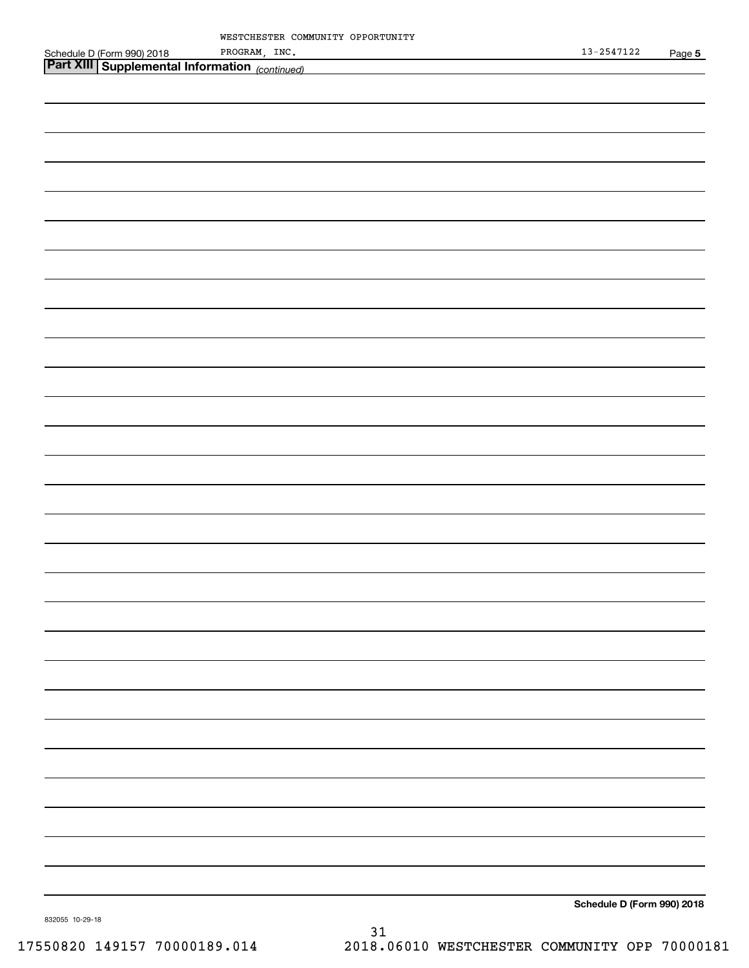| Schedule D (Form 990) 2018                     PROGRAM,INC.<br><b> Part XIII   Supplemental Information</b> <sub>(continued)</sub> | PROGRAM, INC. | $13 - 2547122$             | Page 5 |
|------------------------------------------------------------------------------------------------------------------------------------|---------------|----------------------------|--------|
|                                                                                                                                    |               |                            |        |
|                                                                                                                                    |               |                            |        |
|                                                                                                                                    |               |                            |        |
|                                                                                                                                    |               |                            |        |
|                                                                                                                                    |               |                            |        |
|                                                                                                                                    |               |                            |        |
|                                                                                                                                    |               |                            |        |
|                                                                                                                                    |               |                            |        |
|                                                                                                                                    |               |                            |        |
|                                                                                                                                    |               |                            |        |
|                                                                                                                                    |               |                            |        |
|                                                                                                                                    |               |                            |        |
|                                                                                                                                    |               |                            |        |
|                                                                                                                                    |               |                            |        |
|                                                                                                                                    |               |                            |        |
|                                                                                                                                    |               |                            |        |
|                                                                                                                                    |               |                            |        |
|                                                                                                                                    |               |                            |        |
|                                                                                                                                    |               |                            |        |
|                                                                                                                                    |               |                            |        |
|                                                                                                                                    |               |                            |        |
|                                                                                                                                    |               |                            |        |
|                                                                                                                                    |               |                            |        |
|                                                                                                                                    |               |                            |        |
|                                                                                                                                    |               |                            |        |
|                                                                                                                                    |               |                            |        |
|                                                                                                                                    |               |                            |        |
|                                                                                                                                    |               |                            |        |
|                                                                                                                                    |               |                            |        |
|                                                                                                                                    |               |                            |        |
|                                                                                                                                    |               |                            |        |
|                                                                                                                                    |               |                            |        |
|                                                                                                                                    |               |                            |        |
|                                                                                                                                    |               |                            |        |
|                                                                                                                                    |               |                            |        |
|                                                                                                                                    |               | Schedule D (Form 990) 2018 |        |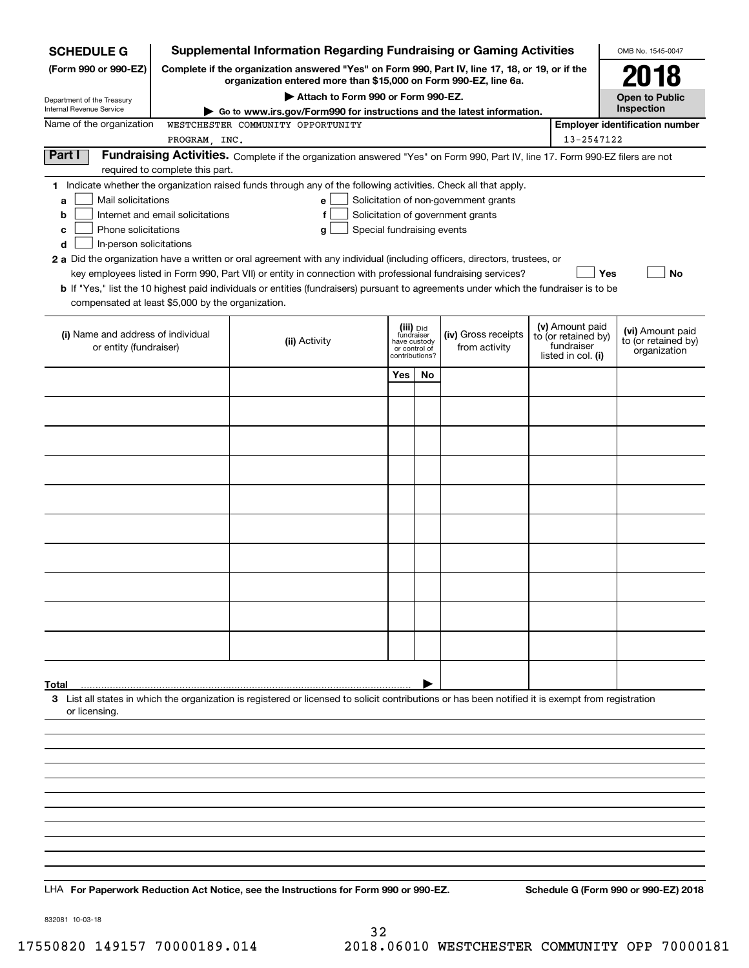| <b>SCHEDULE G</b>                                                                                                                                                          |                                  | <b>Supplemental Information Regarding Fundraising or Gaming Activities</b>                                                                                                                                                                                                                                                                                                                                                                                                                                                                      |                                                                            |    |                                                                            |  |                                                                            | OMB No. 1545-0047                                       |
|----------------------------------------------------------------------------------------------------------------------------------------------------------------------------|----------------------------------|-------------------------------------------------------------------------------------------------------------------------------------------------------------------------------------------------------------------------------------------------------------------------------------------------------------------------------------------------------------------------------------------------------------------------------------------------------------------------------------------------------------------------------------------------|----------------------------------------------------------------------------|----|----------------------------------------------------------------------------|--|----------------------------------------------------------------------------|---------------------------------------------------------|
| (Form 990 or 990-EZ)                                                                                                                                                       |                                  | Complete if the organization answered "Yes" on Form 990, Part IV, line 17, 18, or 19, or if the<br>organization entered more than \$15,000 on Form 990-EZ, line 6a.                                                                                                                                                                                                                                                                                                                                                                             |                                                                            |    |                                                                            |  |                                                                            | 2018                                                    |
| Department of the Treasury<br><b>Internal Revenue Service</b>                                                                                                              |                                  | Attach to Form 990 or Form 990-EZ.                                                                                                                                                                                                                                                                                                                                                                                                                                                                                                              |                                                                            |    |                                                                            |  |                                                                            | <b>Open to Public</b><br>Inspection                     |
| Name of the organization                                                                                                                                                   |                                  | Go to www.irs.gov/Form990 for instructions and the latest information.<br>WESTCHESTER COMMUNITY OPPORTUNITY                                                                                                                                                                                                                                                                                                                                                                                                                                     |                                                                            |    |                                                                            |  |                                                                            | <b>Employer identification number</b>                   |
|                                                                                                                                                                            | PROGRAM, INC.                    |                                                                                                                                                                                                                                                                                                                                                                                                                                                                                                                                                 |                                                                            |    |                                                                            |  | 13-2547122                                                                 |                                                         |
| Part I<br>Fundraising Activities. Complete if the organization answered "Yes" on Form 990, Part IV, line 17. Form 990-EZ filers are not<br>required to complete this part. |                                  |                                                                                                                                                                                                                                                                                                                                                                                                                                                                                                                                                 |                                                                            |    |                                                                            |  |                                                                            |                                                         |
| Mail solicitations<br>a<br>b<br>Phone solicitations<br>с<br>In-person solicitations<br>d<br>compensated at least \$5,000 by the organization.                              | Internet and email solicitations | 1 Indicate whether the organization raised funds through any of the following activities. Check all that apply.<br>e l<br>Special fundraising events<br>a<br>2 a Did the organization have a written or oral agreement with any individual (including officers, directors, trustees, or<br>key employees listed in Form 990, Part VII) or entity in connection with professional fundraising services?<br>b If "Yes," list the 10 highest paid individuals or entities (fundraisers) pursuant to agreements under which the fundraiser is to be |                                                                            |    | Solicitation of non-government grants<br>Solicitation of government grants |  | <b>Yes</b>                                                                 | No                                                      |
| (i) Name and address of individual<br>or entity (fundraiser)                                                                                                               |                                  | (ii) Activity                                                                                                                                                                                                                                                                                                                                                                                                                                                                                                                                   | (iii) Did<br>fundraiser<br>have custody<br>or control of<br>contributions? |    | (iv) Gross receipts<br>from activity                                       |  | (v) Amount paid<br>to (or retained by)<br>fundraiser<br>listed in col. (i) | (vi) Amount paid<br>to (or retained by)<br>organization |
|                                                                                                                                                                            |                                  |                                                                                                                                                                                                                                                                                                                                                                                                                                                                                                                                                 | Yes                                                                        | No |                                                                            |  |                                                                            |                                                         |
|                                                                                                                                                                            |                                  |                                                                                                                                                                                                                                                                                                                                                                                                                                                                                                                                                 |                                                                            |    |                                                                            |  |                                                                            |                                                         |
|                                                                                                                                                                            |                                  |                                                                                                                                                                                                                                                                                                                                                                                                                                                                                                                                                 |                                                                            |    |                                                                            |  |                                                                            |                                                         |
|                                                                                                                                                                            |                                  |                                                                                                                                                                                                                                                                                                                                                                                                                                                                                                                                                 |                                                                            |    |                                                                            |  |                                                                            |                                                         |
|                                                                                                                                                                            |                                  |                                                                                                                                                                                                                                                                                                                                                                                                                                                                                                                                                 |                                                                            |    |                                                                            |  |                                                                            |                                                         |
|                                                                                                                                                                            |                                  |                                                                                                                                                                                                                                                                                                                                                                                                                                                                                                                                                 |                                                                            |    |                                                                            |  |                                                                            |                                                         |
|                                                                                                                                                                            |                                  |                                                                                                                                                                                                                                                                                                                                                                                                                                                                                                                                                 |                                                                            |    |                                                                            |  |                                                                            |                                                         |
|                                                                                                                                                                            |                                  |                                                                                                                                                                                                                                                                                                                                                                                                                                                                                                                                                 |                                                                            |    |                                                                            |  |                                                                            |                                                         |
|                                                                                                                                                                            |                                  |                                                                                                                                                                                                                                                                                                                                                                                                                                                                                                                                                 |                                                                            |    |                                                                            |  |                                                                            |                                                         |
|                                                                                                                                                                            |                                  |                                                                                                                                                                                                                                                                                                                                                                                                                                                                                                                                                 |                                                                            |    |                                                                            |  |                                                                            |                                                         |
|                                                                                                                                                                            |                                  |                                                                                                                                                                                                                                                                                                                                                                                                                                                                                                                                                 |                                                                            |    |                                                                            |  |                                                                            |                                                         |
| Total                                                                                                                                                                      |                                  |                                                                                                                                                                                                                                                                                                                                                                                                                                                                                                                                                 |                                                                            |    |                                                                            |  |                                                                            |                                                         |
| or licensing.                                                                                                                                                              |                                  | 3 List all states in which the organization is registered or licensed to solicit contributions or has been notified it is exempt from registration                                                                                                                                                                                                                                                                                                                                                                                              |                                                                            |    |                                                                            |  |                                                                            |                                                         |
|                                                                                                                                                                            |                                  |                                                                                                                                                                                                                                                                                                                                                                                                                                                                                                                                                 |                                                                            |    |                                                                            |  |                                                                            |                                                         |
|                                                                                                                                                                            |                                  |                                                                                                                                                                                                                                                                                                                                                                                                                                                                                                                                                 |                                                                            |    |                                                                            |  |                                                                            |                                                         |
|                                                                                                                                                                            |                                  |                                                                                                                                                                                                                                                                                                                                                                                                                                                                                                                                                 |                                                                            |    |                                                                            |  |                                                                            |                                                         |
|                                                                                                                                                                            |                                  |                                                                                                                                                                                                                                                                                                                                                                                                                                                                                                                                                 |                                                                            |    |                                                                            |  |                                                                            |                                                         |
|                                                                                                                                                                            |                                  |                                                                                                                                                                                                                                                                                                                                                                                                                                                                                                                                                 |                                                                            |    |                                                                            |  |                                                                            |                                                         |
|                                                                                                                                                                            |                                  |                                                                                                                                                                                                                                                                                                                                                                                                                                                                                                                                                 |                                                                            |    |                                                                            |  |                                                                            |                                                         |
|                                                                                                                                                                            |                                  | LHA For Paperwork Reduction Act Notice, see the Instructions for Form 990 or 990-EZ.                                                                                                                                                                                                                                                                                                                                                                                                                                                            |                                                                            |    |                                                                            |  |                                                                            | Schedule G (Form 990 or 990-EZ) 2018                    |

832081 10-03-18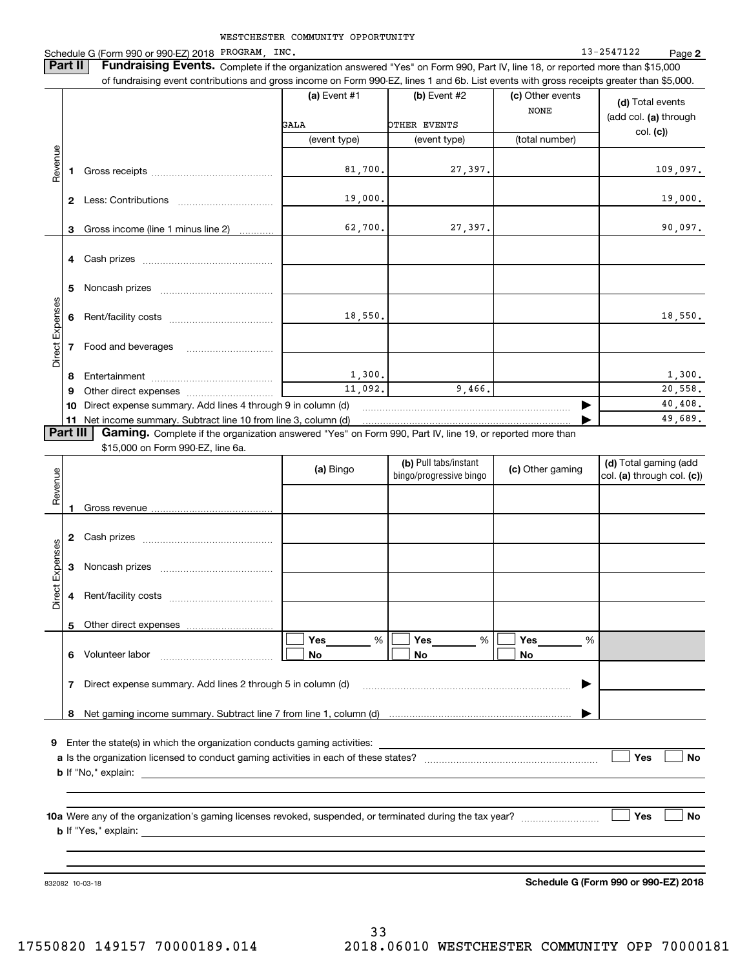WESTCHESTER COMMUNITY OPPORTUNITY Schedule G (Form 990 or 990-EZ) 2018 PROGRAM, INC. Noticed the control of the control of the control of the control of the control of the control of the control of the control of the control of the control of the control o **2 Part II** | Fundraising Events. Complete if the organization answered "Yes" on Form 990, Part IV, line 18, or reported more than \$15,000 of fundraising event contributions and gross income on Form 990-EZ, lines 1 and 6b. List events with gross receipts greater than \$5,000. **(a)** Event #1  $\vert$  **(b)** Event #2 (c) Other events **(d)**  Total events NONE(add col. **(a)** through OTHER EVENTS GALAcol. **(c)**) (event type) (event type) (total number) Revenue Revenue 81,700. 27,397. 109,097. **1**Gross receipts ~~~~~~~~~~~~~~ 19,000. 19,000. **2** Less: Contributions ................................ 62,700. 27,397. 90,097. Gross income (line 1 minus line 2) **3**. . . . . . . . . . . . **4** Cash prizes <sub>……………………………………</sub> **5** Noncash prizes \_\_\_\_\_\_\_\_\_\_\_\_\_\_\_\_\_\_\_\_\_\_\_\_\_\_\_\_ Direct Expenses Direct Expense: 18,550. 18,550. **6**Rent/facility costs ~~~~~~~~~~~~**7**Food and beverages 1,300. 1,300. **8**Entertainment ~~~~~~~~~~~~~~ 11,092. 9,466. 20,558. Other direct expenses ~~~~~~~~~~ **9**40,408.  $\blacktriangleright$ **10** Direct expense summary. Add lines 4 through 9 in column (d) 49,689. …… ▶ **11** Net income summary. Subtract line 10 from line 3, column (d)  $\sqrt{P}$ art III **Part III | Gaming.** Complete if the organization answered "Yes" on Form 990, Part IV, line 19, or reported more than \$15,000 on Form 990-EZ, line 6a. **(b)**  Pull tabs/instant **(d)**  Total gaming (add **(a)**  Revenue Bingo **Contract of Contract Contract Contract Contract Contract Contract Contract Contract Contract Contract Contract Contract Contract Contract Contract Contract Contract Contract Contract Contract Contract Contract Contr** Revenue bingo/progressive bingo col. **(a)** through col. **(c)**) Gross revenue **12** Cash prizes <sub>……………………………………</sub> Direct Expenses Direct Expenses **3**Noncash prizes ~~~~~~~~~~~~~ **4**Rent/facility costs ~~~~~~~~~~~~**5**Other direct expenses  $\boxed{\Box}$  Yes \_\_\_\_\_\_\_ %  $\boxed{\Box}$  Yes \_\_\_\_\_\_\_ %  $\boxed{\Box}$  $\mathcal{L}^{\text{max}}$ %**Yes Yes Yes** % %  $\mathcal{L}^{\text{max}}$ **No6** Volunteer labor  $\ldots$   $\ldots$   $\ldots$   $\ldots$   $\ldots$   $\ldots$   $\ldots$   $\ldots$  **No No** Direct expense summary. Add lines 2 through 5 in column (d) **7**~~~~~~~~~~~~~~~~~~~~~~~~ | Net gaming income summary. Subtract line 7 from line 1, column (d) **8**…… ▶ 

**9**Enter the state(s) in which the organization conducts gaming activities:

**a**Is the organization licensed to conduct gaming activities in each of these states? ~~~~~~~~~~~~~~~~~~~~**b**If "No," explain: **Yes**  $\mathcal{L}^{\text{max}}$ 

**10a**Were any of the organization's gaming licenses revoked, suspended, or terminated during the tax year? **b** If "Yes," explain: **Yes**

832082 10-03-18

**Schedule G (Form 990 or 990-EZ) 2018**

**No**

**No**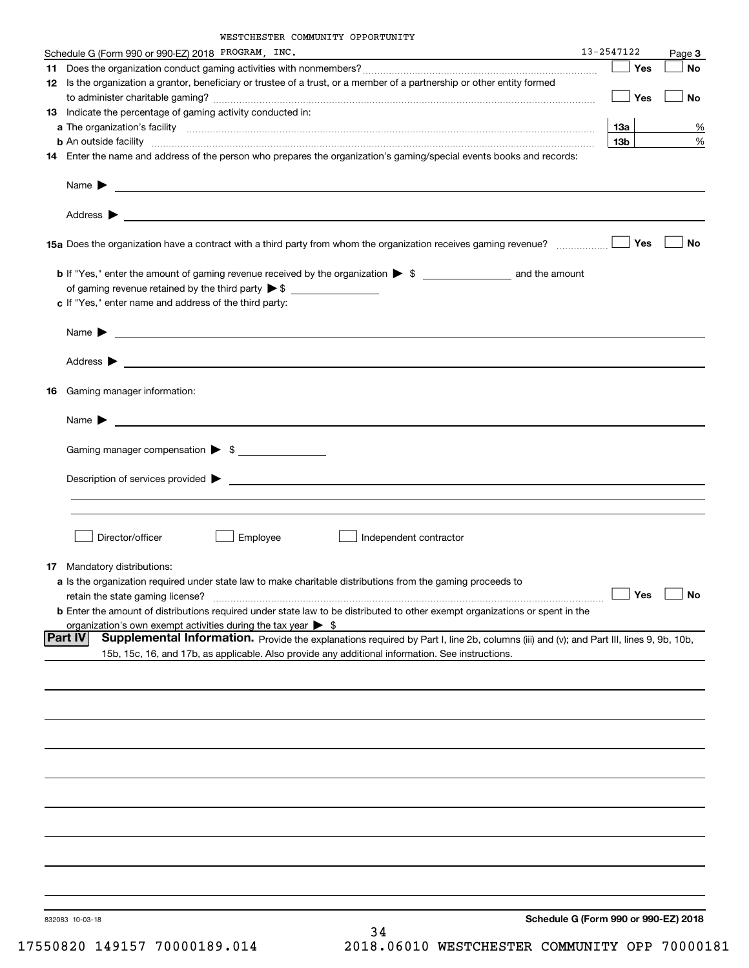|    | Schedule G (Form 990 or 990-EZ) 2018 PROGRAM, INC.                                                                                                                                                                                                    | 13-2547122      |     | Page 3               |
|----|-------------------------------------------------------------------------------------------------------------------------------------------------------------------------------------------------------------------------------------------------------|-----------------|-----|----------------------|
|    |                                                                                                                                                                                                                                                       |                 | Yes | <b>No</b>            |
|    | 12 Is the organization a grantor, beneficiary or trustee of a trust, or a member of a partnership or other entity formed                                                                                                                              |                 | Yes | No                   |
|    | <b>13</b> Indicate the percentage of gaming activity conducted in:                                                                                                                                                                                    |                 |     |                      |
|    |                                                                                                                                                                                                                                                       | 13а             |     | %                    |
|    | <b>b</b> An outside facility <i>www.communicality communicality communicality communicality communicality communicality</i>                                                                                                                           | 13 <sub>b</sub> |     | %                    |
|    | 14 Enter the name and address of the person who prepares the organization's gaming/special events books and records:                                                                                                                                  |                 |     |                      |
|    | Name $\blacktriangleright$<br><u> 1989 - Johann Harry Harry Harry Harry Harry Harry Harry Harry Harry Harry Harry Harry Harry Harry Harry Harry</u>                                                                                                   |                 |     |                      |
|    |                                                                                                                                                                                                                                                       |                 |     |                      |
|    |                                                                                                                                                                                                                                                       |                 |     | No                   |
|    | <b>b</b> If "Yes," enter the amount of gaming revenue received by the organization $\triangleright$ \$ ________________________ and the amount                                                                                                        |                 |     |                      |
|    |                                                                                                                                                                                                                                                       |                 |     |                      |
|    | c If "Yes," enter name and address of the third party:                                                                                                                                                                                                |                 |     |                      |
|    | <u> 1980 - John Stone, amerikansk politiker (</u><br>Name $\blacktriangleright$                                                                                                                                                                       |                 |     |                      |
|    |                                                                                                                                                                                                                                                       |                 |     |                      |
| 16 | Gaming manager information:                                                                                                                                                                                                                           |                 |     |                      |
|    |                                                                                                                                                                                                                                                       |                 |     |                      |
|    | Gaming manager compensation > \$                                                                                                                                                                                                                      |                 |     |                      |
|    |                                                                                                                                                                                                                                                       |                 |     |                      |
|    | Description of services provided $\blacktriangleright$<br><u> 1980 - Jan Samuel Barbara, martin di sebagai personal di sebagai personal di sebagai personal di sebagai per</u>                                                                        |                 |     |                      |
|    |                                                                                                                                                                                                                                                       |                 |     |                      |
|    | Director/officer<br>Employee<br>Independent contractor                                                                                                                                                                                                |                 |     |                      |
|    | <b>17</b> Mandatory distributions:                                                                                                                                                                                                                    |                 |     |                      |
|    | a Is the organization required under state law to make charitable distributions from the gaming proceeds to                                                                                                                                           |                 |     |                      |
|    | retain the state gaming license?                                                                                                                                                                                                                      |                 |     | $\Box$ Yes $\Box$ No |
|    | <b>b</b> Enter the amount of distributions required under state law to be distributed to other exempt organizations or spent in the<br>organization's own exempt activities during the tax year $\triangleright$ \$                                   |                 |     |                      |
|    | Part IV<br>Supplemental Information. Provide the explanations required by Part I, line 2b, columns (iii) and (v); and Part III, lines 9, 9b, 10b,<br>15b, 15c, 16, and 17b, as applicable. Also provide any additional information. See instructions. |                 |     |                      |
|    |                                                                                                                                                                                                                                                       |                 |     |                      |
|    |                                                                                                                                                                                                                                                       |                 |     |                      |
|    |                                                                                                                                                                                                                                                       |                 |     |                      |
|    |                                                                                                                                                                                                                                                       |                 |     |                      |
|    |                                                                                                                                                                                                                                                       |                 |     |                      |
|    |                                                                                                                                                                                                                                                       |                 |     |                      |
|    |                                                                                                                                                                                                                                                       |                 |     |                      |
|    |                                                                                                                                                                                                                                                       |                 |     |                      |
|    |                                                                                                                                                                                                                                                       |                 |     |                      |
|    |                                                                                                                                                                                                                                                       |                 |     |                      |
|    | Schedule G (Form 990 or 990-EZ) 2018<br>832083 10-03-18<br>$\sim$                                                                                                                                                                                     |                 |     |                      |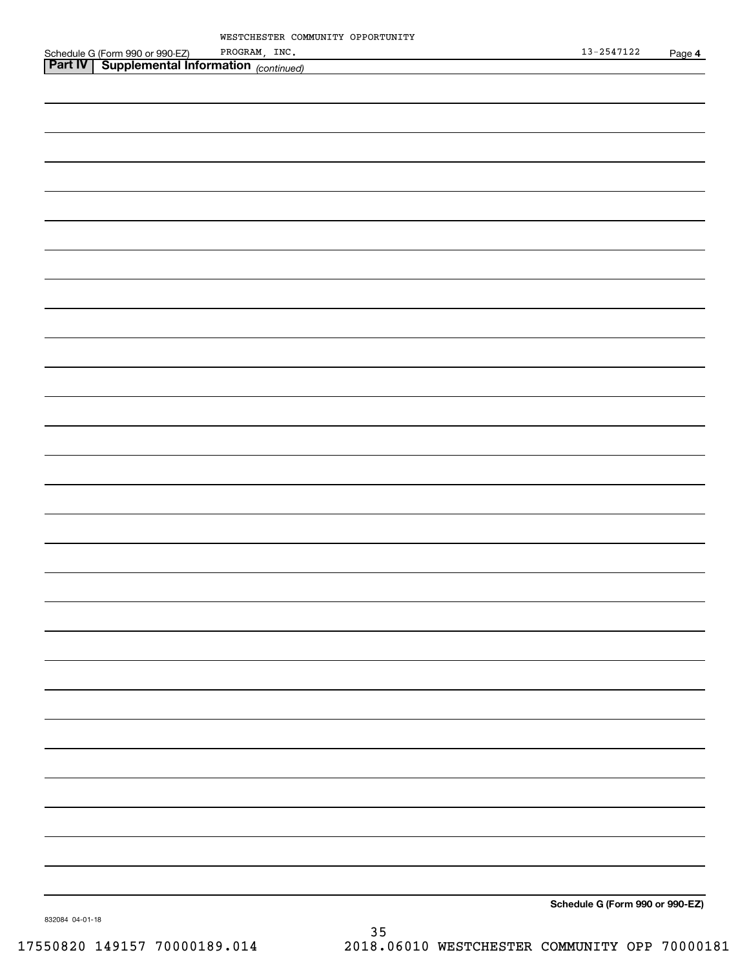| MESTCHESTER COMMUNITY OPPORTUNITY                                                                               |                                 |
|-----------------------------------------------------------------------------------------------------------------|---------------------------------|
|                                                                                                                 | $13 - 2547122$<br>Page 4        |
| Schedule G (Form 990 or 990-EZ) PROGRAM, INC.<br><b>Part IV</b> Supplemental Information <sub>(continued)</sub> |                                 |
|                                                                                                                 |                                 |
|                                                                                                                 |                                 |
|                                                                                                                 |                                 |
|                                                                                                                 |                                 |
|                                                                                                                 |                                 |
|                                                                                                                 |                                 |
|                                                                                                                 |                                 |
|                                                                                                                 |                                 |
|                                                                                                                 |                                 |
|                                                                                                                 |                                 |
|                                                                                                                 |                                 |
|                                                                                                                 |                                 |
|                                                                                                                 |                                 |
|                                                                                                                 |                                 |
|                                                                                                                 |                                 |
|                                                                                                                 |                                 |
|                                                                                                                 |                                 |
|                                                                                                                 |                                 |
|                                                                                                                 |                                 |
|                                                                                                                 |                                 |
|                                                                                                                 |                                 |
|                                                                                                                 |                                 |
|                                                                                                                 |                                 |
|                                                                                                                 |                                 |
|                                                                                                                 |                                 |
|                                                                                                                 |                                 |
|                                                                                                                 |                                 |
|                                                                                                                 |                                 |
|                                                                                                                 |                                 |
|                                                                                                                 |                                 |
|                                                                                                                 |                                 |
|                                                                                                                 |                                 |
|                                                                                                                 |                                 |
|                                                                                                                 |                                 |
|                                                                                                                 |                                 |
|                                                                                                                 |                                 |
|                                                                                                                 |                                 |
|                                                                                                                 |                                 |
|                                                                                                                 |                                 |
|                                                                                                                 |                                 |
|                                                                                                                 |                                 |
|                                                                                                                 |                                 |
|                                                                                                                 |                                 |
|                                                                                                                 |                                 |
|                                                                                                                 |                                 |
|                                                                                                                 |                                 |
|                                                                                                                 |                                 |
|                                                                                                                 |                                 |
|                                                                                                                 |                                 |
|                                                                                                                 |                                 |
|                                                                                                                 |                                 |
|                                                                                                                 |                                 |
|                                                                                                                 |                                 |
|                                                                                                                 |                                 |
|                                                                                                                 |                                 |
|                                                                                                                 |                                 |
|                                                                                                                 |                                 |
|                                                                                                                 |                                 |
|                                                                                                                 |                                 |
|                                                                                                                 |                                 |
|                                                                                                                 |                                 |
|                                                                                                                 |                                 |
|                                                                                                                 |                                 |
|                                                                                                                 |                                 |
|                                                                                                                 |                                 |
|                                                                                                                 |                                 |
|                                                                                                                 |                                 |
|                                                                                                                 |                                 |
|                                                                                                                 |                                 |
|                                                                                                                 |                                 |
|                                                                                                                 |                                 |
|                                                                                                                 |                                 |
|                                                                                                                 |                                 |
|                                                                                                                 |                                 |
|                                                                                                                 |                                 |
|                                                                                                                 |                                 |
|                                                                                                                 |                                 |
|                                                                                                                 |                                 |
|                                                                                                                 | Schedule G (Form 990 or 990-EZ) |

832084 04-01-18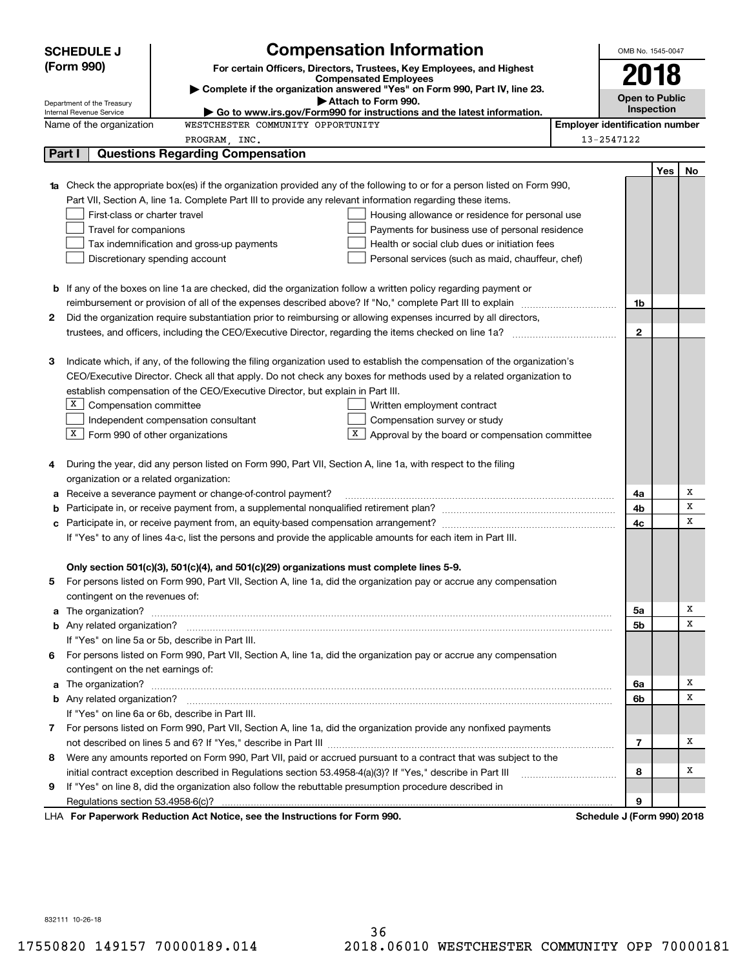|   | <b>SCHEDULE J</b>                       | <b>Compensation Information</b>                                                                                                  | OMB No. 1545-0047                     |     |    |
|---|-----------------------------------------|----------------------------------------------------------------------------------------------------------------------------------|---------------------------------------|-----|----|
|   | (Form 990)                              | For certain Officers, Directors, Trustees, Key Employees, and Highest                                                            |                                       |     |    |
|   |                                         | <b>Compensated Employees</b>                                                                                                     | 2018                                  |     |    |
|   | Department of the Treasury              | Complete if the organization answered "Yes" on Form 990, Part IV, line 23.<br>Attach to Form 990.                                | <b>Open to Public</b>                 |     |    |
|   | Internal Revenue Service                | $\blacktriangleright$ Go to www.irs.gov/Form990 for instructions and the latest information.                                     | <b>Inspection</b>                     |     |    |
|   | Name of the organization                | WESTCHESTER COMMUNITY OPPORTUNITY                                                                                                | <b>Employer identification number</b> |     |    |
|   |                                         | PROGRAM, INC.                                                                                                                    | 13-2547122                            |     |    |
|   | Part I                                  | <b>Questions Regarding Compensation</b>                                                                                          |                                       |     |    |
|   |                                         |                                                                                                                                  |                                       | Yes | No |
|   |                                         | <b>1a</b> Check the appropriate box(es) if the organization provided any of the following to or for a person listed on Form 990, |                                       |     |    |
|   |                                         | Part VII, Section A, line 1a. Complete Part III to provide any relevant information regarding these items.                       |                                       |     |    |
|   | First-class or charter travel           | Housing allowance or residence for personal use                                                                                  |                                       |     |    |
|   | Travel for companions                   | Payments for business use of personal residence                                                                                  |                                       |     |    |
|   |                                         | Tax indemnification and gross-up payments<br>Health or social club dues or initiation fees<br>Discretionary spending account     |                                       |     |    |
|   |                                         | Personal services (such as maid, chauffeur, chef)                                                                                |                                       |     |    |
|   |                                         |                                                                                                                                  |                                       |     |    |
|   |                                         | <b>b</b> If any of the boxes on line 1a are checked, did the organization follow a written policy regarding payment or           |                                       |     |    |
|   |                                         |                                                                                                                                  | 1b                                    |     |    |
| 2 |                                         | Did the organization require substantiation prior to reimbursing or allowing expenses incurred by all directors,                 | $\overline{2}$                        |     |    |
|   |                                         |                                                                                                                                  |                                       |     |    |
| з |                                         | Indicate which, if any, of the following the filing organization used to establish the compensation of the organization's        |                                       |     |    |
|   |                                         | CEO/Executive Director. Check all that apply. Do not check any boxes for methods used by a related organization to               |                                       |     |    |
|   |                                         | establish compensation of the CEO/Executive Director, but explain in Part III.                                                   |                                       |     |    |
|   | X  <br>Compensation committee           | Written employment contract                                                                                                      |                                       |     |    |
|   |                                         | Independent compensation consultant<br>Compensation survey or study                                                              |                                       |     |    |
|   | $X$ Form 990 of other organizations     | X<br>Approval by the board or compensation committee                                                                             |                                       |     |    |
|   |                                         |                                                                                                                                  |                                       |     |    |
| 4 |                                         | During the year, did any person listed on Form 990, Part VII, Section A, line 1a, with respect to the filing                     |                                       |     |    |
|   | organization or a related organization: |                                                                                                                                  |                                       |     |    |
| а |                                         | Receive a severance payment or change-of-control payment?                                                                        | 4a                                    |     | Х  |
| b |                                         |                                                                                                                                  | 4b                                    |     | х  |
| с |                                         |                                                                                                                                  | 4c                                    |     | x  |
|   |                                         | If "Yes" to any of lines 4a-c, list the persons and provide the applicable amounts for each item in Part III.                    |                                       |     |    |
|   |                                         |                                                                                                                                  |                                       |     |    |
|   |                                         | Only section 501(c)(3), 501(c)(4), and 501(c)(29) organizations must complete lines 5-9.                                         |                                       |     |    |
|   |                                         | For persons listed on Form 990, Part VII, Section A, line 1a, did the organization pay or accrue any compensation                |                                       |     |    |
|   | contingent on the revenues of:          |                                                                                                                                  |                                       |     |    |
| a |                                         |                                                                                                                                  | 5а                                    |     | х  |
|   |                                         |                                                                                                                                  | 5b                                    |     | х  |
|   |                                         | If "Yes" on line 5a or 5b, describe in Part III.                                                                                 |                                       |     |    |
| 6 |                                         | For persons listed on Form 990, Part VII, Section A, line 1a, did the organization pay or accrue any compensation                |                                       |     |    |
|   | contingent on the net earnings of:      |                                                                                                                                  |                                       |     |    |
| a |                                         |                                                                                                                                  | 6a                                    |     | х  |
|   |                                         |                                                                                                                                  | 6b                                    |     | x  |
|   |                                         | If "Yes" on line 6a or 6b, describe in Part III.                                                                                 |                                       |     |    |
|   |                                         | 7 For persons listed on Form 990, Part VII, Section A, line 1a, did the organization provide any nonfixed payments               |                                       |     |    |
|   |                                         |                                                                                                                                  | 7                                     |     | х  |
| 8 |                                         | Were any amounts reported on Form 990, Part VII, paid or accrued pursuant to a contract that was subject to the                  |                                       |     |    |
|   |                                         | initial contract exception described in Regulations section 53.4958-4(a)(3)? If "Yes," describe in Part III                      | 8                                     |     | х  |
| 9 |                                         | If "Yes" on line 8, did the organization also follow the rebuttable presumption procedure described in                           |                                       |     |    |
|   |                                         |                                                                                                                                  | 9                                     |     |    |
|   |                                         | LHA For Paperwork Reduction Act Notice, see the Instructions for Form 990.                                                       | Schedule J (Form 990) 2018            |     |    |

832111 10-26-18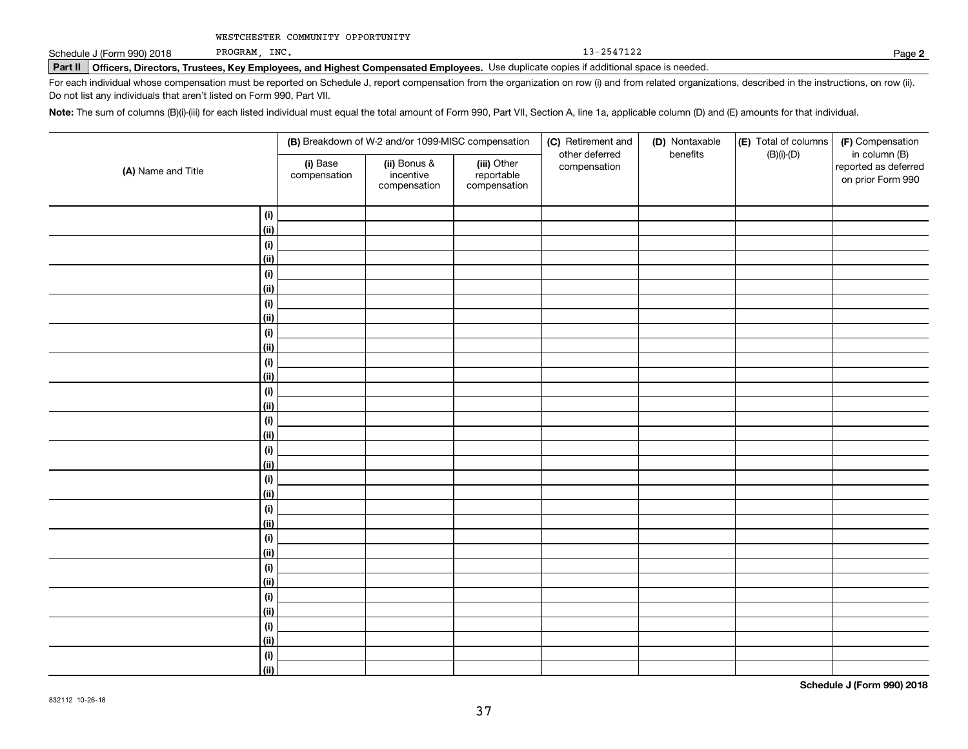PROGRAM, INC. 13-2547122

**2**

# **Part II Officers, Directors, Trustees, Key Employees, and Highest Compensated Employees.**  Schedule J (Form 990) 2018 Page Use duplicate copies if additional space is needed.

For each individual whose compensation must be reported on Schedule J, report compensation from the organization on row (i) and from related organizations, described in the instructions, on row (ii). Do not list any individuals that aren't listed on Form 990, Part VII.

**Note:**  The sum of columns (B)(i)-(iii) for each listed individual must equal the total amount of Form 990, Part VII, Section A, line 1a, applicable column (D) and (E) amounts for that individual.

|                    | (B) Breakdown of W-2 and/or 1099-MISC compensation |                                           |                                           | (C) Retirement and<br>other deferred | (D) Nontaxable<br>benefits | (E) Total of columns<br>$(B)(i)-(D)$ | (F) Compensation<br>in column (B)         |
|--------------------|----------------------------------------------------|-------------------------------------------|-------------------------------------------|--------------------------------------|----------------------------|--------------------------------------|-------------------------------------------|
| (A) Name and Title | (i) Base<br>compensation                           | (ii) Bonus &<br>incentive<br>compensation | (iii) Other<br>reportable<br>compensation | compensation                         |                            |                                      | reported as deferred<br>on prior Form 990 |
| (i)                |                                                    |                                           |                                           |                                      |                            |                                      |                                           |
| (ii)               |                                                    |                                           |                                           |                                      |                            |                                      |                                           |
| (i)                |                                                    |                                           |                                           |                                      |                            |                                      |                                           |
| (ii)               |                                                    |                                           |                                           |                                      |                            |                                      |                                           |
| (i)                |                                                    |                                           |                                           |                                      |                            |                                      |                                           |
| (ii)               |                                                    |                                           |                                           |                                      |                            |                                      |                                           |
| (i)                |                                                    |                                           |                                           |                                      |                            |                                      |                                           |
| (ii)               |                                                    |                                           |                                           |                                      |                            |                                      |                                           |
| (i)                |                                                    |                                           |                                           |                                      |                            |                                      |                                           |
| (ii)               |                                                    |                                           |                                           |                                      |                            |                                      |                                           |
| (i)                |                                                    |                                           |                                           |                                      |                            |                                      |                                           |
| (ii)               |                                                    |                                           |                                           |                                      |                            |                                      |                                           |
| (i)                |                                                    |                                           |                                           |                                      |                            |                                      |                                           |
| (ii)               |                                                    |                                           |                                           |                                      |                            |                                      |                                           |
| (i)                |                                                    |                                           |                                           |                                      |                            |                                      |                                           |
| (ii)               |                                                    |                                           |                                           |                                      |                            |                                      |                                           |
| (i)                |                                                    |                                           |                                           |                                      |                            |                                      |                                           |
| (ii)               |                                                    |                                           |                                           |                                      |                            |                                      |                                           |
| (i)                |                                                    |                                           |                                           |                                      |                            |                                      |                                           |
| (ii)               |                                                    |                                           |                                           |                                      |                            |                                      |                                           |
| (i)                |                                                    |                                           |                                           |                                      |                            |                                      |                                           |
| (ii)               |                                                    |                                           |                                           |                                      |                            |                                      |                                           |
| (i)                |                                                    |                                           |                                           |                                      |                            |                                      |                                           |
| (ii)               |                                                    |                                           |                                           |                                      |                            |                                      |                                           |
| (i)                |                                                    |                                           |                                           |                                      |                            |                                      |                                           |
| (ii)               |                                                    |                                           |                                           |                                      |                            |                                      |                                           |
| (i)                |                                                    |                                           |                                           |                                      |                            |                                      |                                           |
| (ii)               |                                                    |                                           |                                           |                                      |                            |                                      |                                           |
| (i)                |                                                    |                                           |                                           |                                      |                            |                                      |                                           |
| (ii)               |                                                    |                                           |                                           |                                      |                            |                                      |                                           |
| (i)                |                                                    |                                           |                                           |                                      |                            |                                      |                                           |
| (ii)               |                                                    |                                           |                                           |                                      |                            |                                      |                                           |

**Schedule J (Form 990) 2018**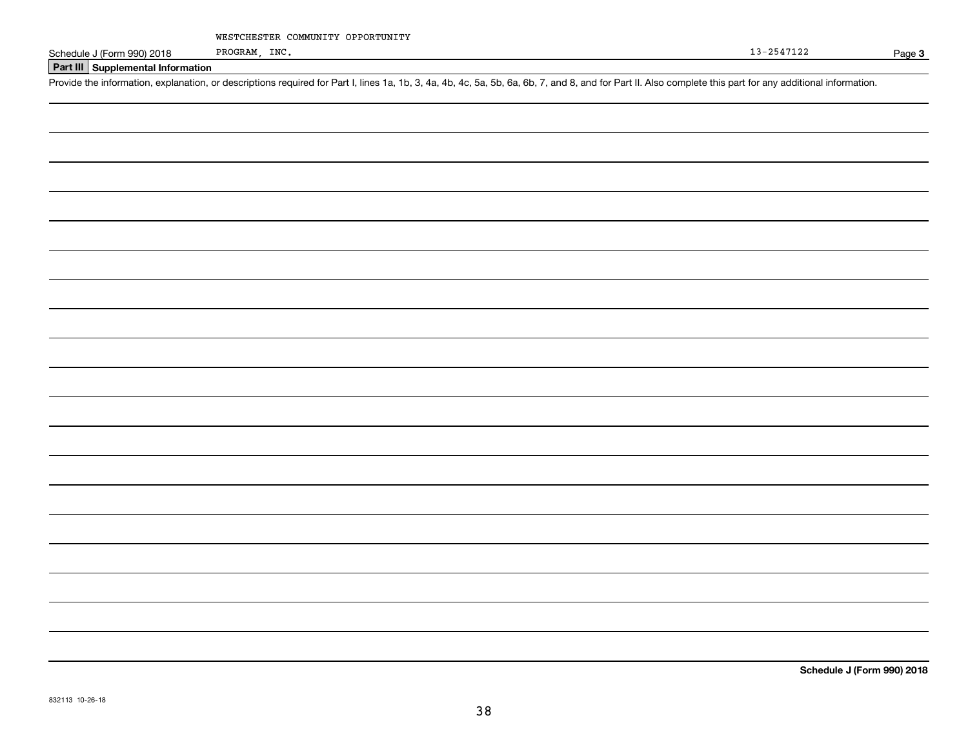PROGRAM, INC.

Page 3

**Schedule J (Form 990) 2018**

## **Part III Supplemental Information**

Schedule J (Form 990) 2018 PROGRAM, INC.<br>Part III Supplemental Information<br>Provide the information, explanation, or descriptions required for Part I, lines 1a, 1b, 3, 4a, 4b, 4c, 5a, 5b, 6a, 6b, 7, and 8, and for Part II.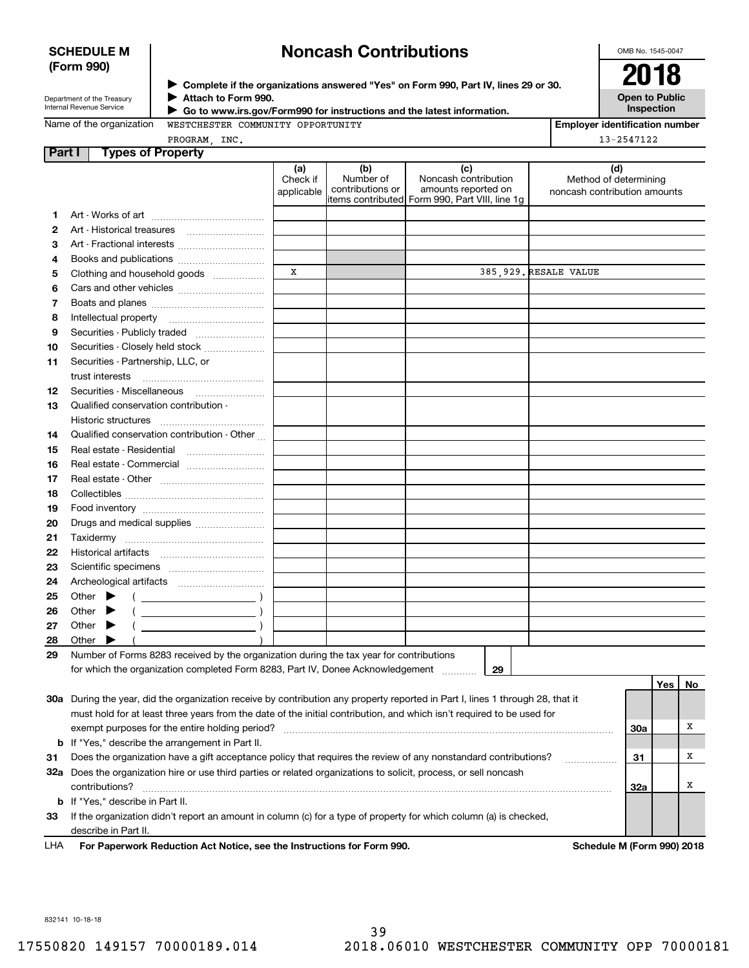### **SCHEDULE M (Form 990)**

# **Noncash Contributions**

OMB No. 1545-0047

| Department of the Treasury      |
|---------------------------------|
| <b>Internal Revenue Service</b> |

**Complete if the organizations answered "Yes" on Form 990, Part IV, lines 29 or 30.** <sup>J</sup>**2018 Attach to Form 990.** J

**Open to Public Inspection**

|  | Name of the organization |  |
|--|--------------------------|--|
|  |                          |  |

 **Go to www.irs.gov/Form990 for instructions and the latest information.** J

| lame of the organization |  |
|--------------------------|--|
|                          |  |

WESTCHESTER COMMUNITY OPPORTUNITY NC.

| <b>Employer identification number</b> |
|---------------------------------------|
| 13-2547122                            |

| <b>Part I</b> Types of Property |  |
|---------------------------------|--|
| PROGRAM II                      |  |

|    |                                                                                                                                | (a)<br>Check if | (b)<br>Number of | (c)<br>Noncash contribution                                            | (d)<br>Method of determining |       |    |
|----|--------------------------------------------------------------------------------------------------------------------------------|-----------------|------------------|------------------------------------------------------------------------|------------------------------|-------|----|
|    |                                                                                                                                | applicable      | contributions or | amounts reported on<br>litems contributed Form 990, Part VIII, line 1g | noncash contribution amounts |       |    |
| 1  |                                                                                                                                |                 |                  |                                                                        |                              |       |    |
| 2  |                                                                                                                                |                 |                  |                                                                        |                              |       |    |
| 3  | Art - Fractional interests                                                                                                     |                 |                  |                                                                        |                              |       |    |
| 4  |                                                                                                                                |                 |                  |                                                                        |                              |       |    |
| 5  | Clothing and household goods                                                                                                   | x               |                  |                                                                        | 385,929. RESALE VALUE        |       |    |
| 6  |                                                                                                                                |                 |                  |                                                                        |                              |       |    |
| 7  |                                                                                                                                |                 |                  |                                                                        |                              |       |    |
| 8  |                                                                                                                                |                 |                  |                                                                        |                              |       |    |
| 9  | Securities - Publicly traded                                                                                                   |                 |                  |                                                                        |                              |       |    |
| 10 | Securities - Closely held stock                                                                                                |                 |                  |                                                                        |                              |       |    |
| 11 | Securities - Partnership, LLC, or                                                                                              |                 |                  |                                                                        |                              |       |    |
|    | trust interests                                                                                                                |                 |                  |                                                                        |                              |       |    |
| 12 | Securities - Miscellaneous                                                                                                     |                 |                  |                                                                        |                              |       |    |
| 13 | Qualified conservation contribution -                                                                                          |                 |                  |                                                                        |                              |       |    |
|    | Historic structures                                                                                                            |                 |                  |                                                                        |                              |       |    |
| 14 | Qualified conservation contribution - Other                                                                                    |                 |                  |                                                                        |                              |       |    |
| 15 | Real estate - Residential                                                                                                      |                 |                  |                                                                        |                              |       |    |
| 16 |                                                                                                                                |                 |                  |                                                                        |                              |       |    |
| 17 |                                                                                                                                |                 |                  |                                                                        |                              |       |    |
| 18 |                                                                                                                                |                 |                  |                                                                        |                              |       |    |
| 19 |                                                                                                                                |                 |                  |                                                                        |                              |       |    |
| 20 |                                                                                                                                |                 |                  |                                                                        |                              |       |    |
| 21 |                                                                                                                                |                 |                  |                                                                        |                              |       |    |
| 22 |                                                                                                                                |                 |                  |                                                                        |                              |       |    |
| 23 |                                                                                                                                |                 |                  |                                                                        |                              |       |    |
| 24 |                                                                                                                                |                 |                  |                                                                        |                              |       |    |
| 25 | Other $\blacktriangleright$<br>$\overline{\phantom{a}}$                                                                        |                 |                  |                                                                        |                              |       |    |
| 26 | $\overline{\phantom{a}}$ )<br>Other $\blacktriangleright$                                                                      |                 |                  |                                                                        |                              |       |    |
| 27 | $\overline{\phantom{a}}$<br>Other $\blacktriangleright$                                                                        |                 |                  |                                                                        |                              |       |    |
| 28 | Other $\blacktriangleright$                                                                                                    |                 |                  |                                                                        |                              |       |    |
| 29 | Number of Forms 8283 received by the organization during the tax year for contributions                                        |                 |                  |                                                                        |                              |       |    |
|    | for which the organization completed Form 8283, Part IV, Donee Acknowledgement                                                 |                 |                  | 29                                                                     |                              |       |    |
|    |                                                                                                                                |                 |                  |                                                                        |                              | Yes l | No |
|    | 30a During the year, did the organization receive by contribution any property reported in Part I, lines 1 through 28, that it |                 |                  |                                                                        |                              |       |    |
|    | must hold for at least three years from the date of the initial contribution, and which isn't required to be used for          |                 |                  |                                                                        |                              |       |    |
|    | exempt purposes for the entire holding period?                                                                                 |                 |                  |                                                                        |                              | 30a   | х  |
| b  | If "Yes," describe the arrangement in Part II.                                                                                 |                 |                  |                                                                        |                              |       |    |
| 31 | Does the organization have a gift acceptance policy that requires the review of any nonstandard contributions?<br>.            |                 |                  |                                                                        | 31                           | х     |    |
|    | 32a Does the organization hire or use third parties or related organizations to solicit, process, or sell noncash              |                 |                  |                                                                        |                              |       |    |
|    | contributions?                                                                                                                 |                 |                  |                                                                        |                              | 32a   | х  |
|    | <b>b</b> If "Yes," describe in Part II.                                                                                        |                 |                  |                                                                        |                              |       |    |
| 33 | If the organization didn't report an amount in column (c) for a type of property for which column (a) is checked,              |                 |                  |                                                                        |                              |       |    |
|    | describe in Part II.                                                                                                           |                 |                  |                                                                        |                              |       |    |

**For Paperwork Reduction Act Notice, see the Instructions for Form 990. Schedule M (Form 990) 2018** LHA

832141 10-18-18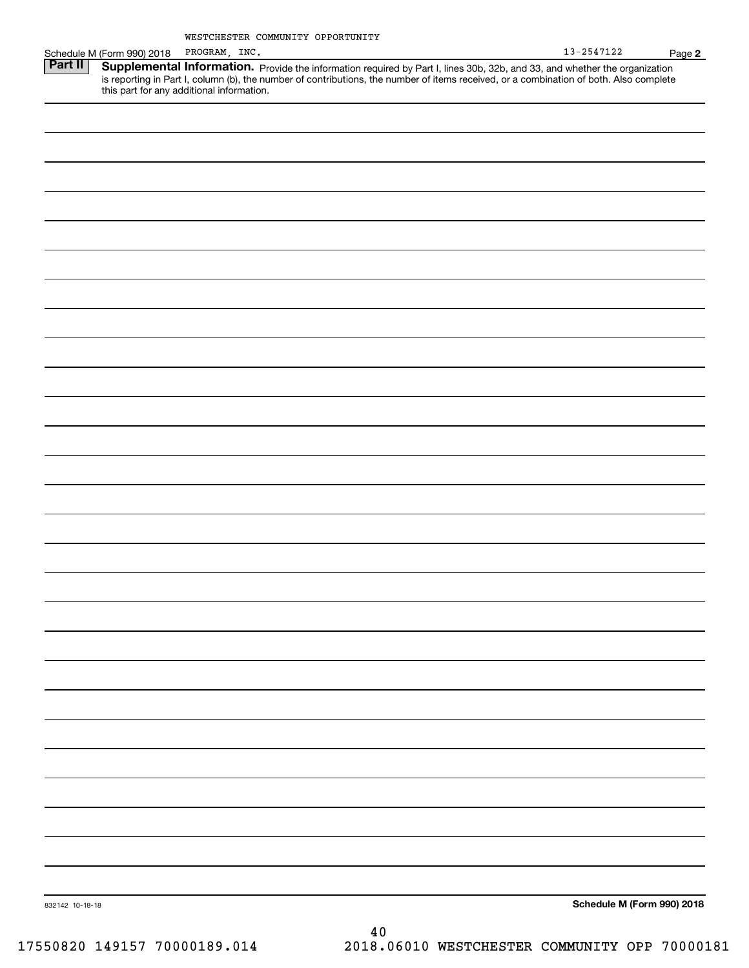|                 |                            | Modicinolan commoniii offonfoniii                                                                                                                                                                                                   | $13 - 2547122$             |        |
|-----------------|----------------------------|-------------------------------------------------------------------------------------------------------------------------------------------------------------------------------------------------------------------------------------|----------------------------|--------|
|                 | Schedule M (Form 990) 2018 | PROGRAM, INC.                                                                                                                                                                                                                       |                            | Page 2 |
| <b>Part II</b>  |                            | <b>Supplemental Information.</b> Provide the information required by Part I, lines 30b, 32b, and 33, and whether the organization is reporting in Part I, column (b), the number of contributions, the number of items received, or |                            |        |
|                 |                            |                                                                                                                                                                                                                                     |                            |        |
|                 |                            |                                                                                                                                                                                                                                     |                            |        |
|                 |                            |                                                                                                                                                                                                                                     |                            |        |
|                 |                            |                                                                                                                                                                                                                                     |                            |        |
|                 |                            |                                                                                                                                                                                                                                     |                            |        |
|                 |                            |                                                                                                                                                                                                                                     |                            |        |
|                 |                            |                                                                                                                                                                                                                                     |                            |        |
|                 |                            |                                                                                                                                                                                                                                     |                            |        |
|                 |                            |                                                                                                                                                                                                                                     |                            |        |
|                 |                            |                                                                                                                                                                                                                                     |                            |        |
|                 |                            |                                                                                                                                                                                                                                     |                            |        |
|                 |                            |                                                                                                                                                                                                                                     |                            |        |
|                 |                            |                                                                                                                                                                                                                                     |                            |        |
|                 |                            |                                                                                                                                                                                                                                     |                            |        |
|                 |                            |                                                                                                                                                                                                                                     |                            |        |
|                 |                            |                                                                                                                                                                                                                                     |                            |        |
|                 |                            |                                                                                                                                                                                                                                     |                            |        |
|                 |                            |                                                                                                                                                                                                                                     |                            |        |
|                 |                            |                                                                                                                                                                                                                                     |                            |        |
|                 |                            |                                                                                                                                                                                                                                     |                            |        |
|                 |                            |                                                                                                                                                                                                                                     |                            |        |
|                 |                            |                                                                                                                                                                                                                                     |                            |        |
|                 |                            |                                                                                                                                                                                                                                     |                            |        |
|                 |                            |                                                                                                                                                                                                                                     |                            |        |
|                 |                            |                                                                                                                                                                                                                                     |                            |        |
|                 |                            |                                                                                                                                                                                                                                     |                            |        |
|                 |                            |                                                                                                                                                                                                                                     |                            |        |
|                 |                            |                                                                                                                                                                                                                                     |                            |        |
|                 |                            |                                                                                                                                                                                                                                     |                            |        |
|                 |                            |                                                                                                                                                                                                                                     |                            |        |
|                 |                            |                                                                                                                                                                                                                                     |                            |        |
|                 |                            |                                                                                                                                                                                                                                     |                            |        |
|                 |                            |                                                                                                                                                                                                                                     |                            |        |
|                 |                            |                                                                                                                                                                                                                                     |                            |        |
|                 |                            |                                                                                                                                                                                                                                     |                            |        |
|                 |                            |                                                                                                                                                                                                                                     |                            |        |
|                 |                            |                                                                                                                                                                                                                                     |                            |        |
|                 |                            |                                                                                                                                                                                                                                     |                            |        |
|                 |                            |                                                                                                                                                                                                                                     |                            |        |
|                 |                            |                                                                                                                                                                                                                                     |                            |        |
|                 |                            |                                                                                                                                                                                                                                     |                            |        |
|                 |                            |                                                                                                                                                                                                                                     |                            |        |
|                 |                            |                                                                                                                                                                                                                                     |                            |        |
|                 |                            |                                                                                                                                                                                                                                     |                            |        |
|                 |                            |                                                                                                                                                                                                                                     |                            |        |
|                 |                            |                                                                                                                                                                                                                                     |                            |        |
|                 |                            |                                                                                                                                                                                                                                     |                            |        |
|                 |                            |                                                                                                                                                                                                                                     |                            |        |
|                 |                            |                                                                                                                                                                                                                                     |                            |        |
|                 |                            |                                                                                                                                                                                                                                     |                            |        |
|                 |                            |                                                                                                                                                                                                                                     |                            |        |
|                 |                            |                                                                                                                                                                                                                                     |                            |        |
|                 |                            |                                                                                                                                                                                                                                     |                            |        |
|                 |                            |                                                                                                                                                                                                                                     |                            |        |
|                 |                            |                                                                                                                                                                                                                                     |                            |        |
|                 |                            |                                                                                                                                                                                                                                     |                            |        |
|                 |                            |                                                                                                                                                                                                                                     |                            |        |
|                 |                            |                                                                                                                                                                                                                                     |                            |        |
|                 |                            |                                                                                                                                                                                                                                     |                            |        |
|                 |                            |                                                                                                                                                                                                                                     |                            |        |
|                 |                            |                                                                                                                                                                                                                                     |                            |        |
|                 |                            |                                                                                                                                                                                                                                     |                            |        |
|                 |                            |                                                                                                                                                                                                                                     |                            |        |
|                 |                            |                                                                                                                                                                                                                                     |                            |        |
|                 |                            |                                                                                                                                                                                                                                     |                            |        |
| 832142 10-18-18 |                            |                                                                                                                                                                                                                                     | Schedule M (Form 990) 2018 |        |
|                 |                            |                                                                                                                                                                                                                                     |                            |        |
|                 |                            | 40                                                                                                                                                                                                                                  |                            |        |
|                 |                            |                                                                                                                                                                                                                                     |                            |        |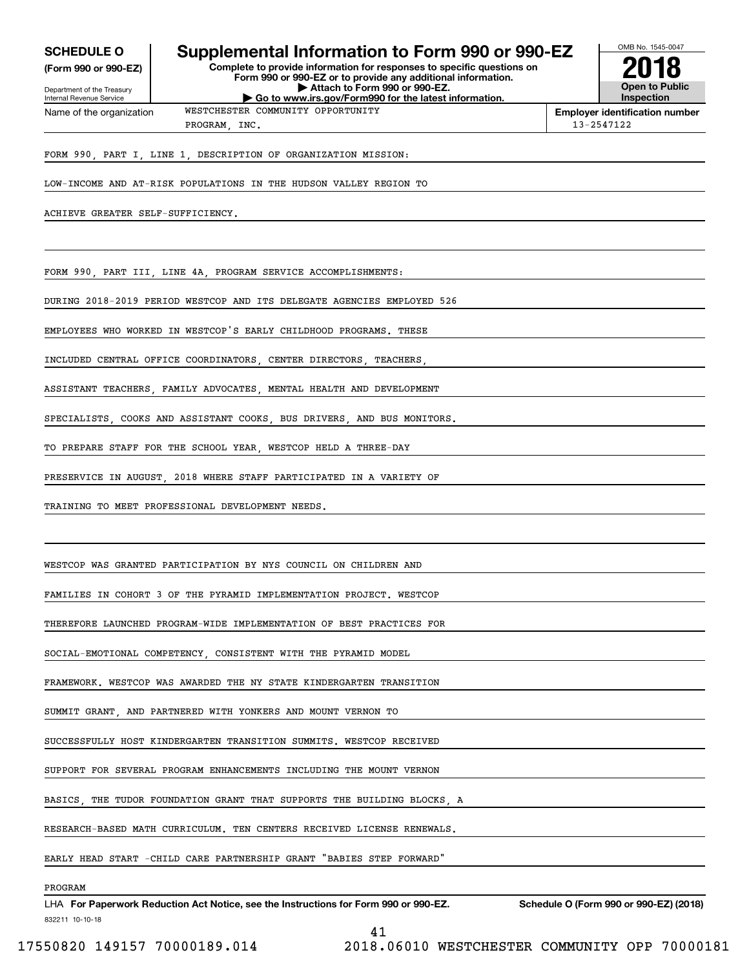**(Form 990 or 990-EZ)**

# **SCHEDULE O Supplemental Information to Form 990 or 990-EZ**

**Complete to provide information for responses to specific questions on Form 990 or 990-EZ or to provide any additional information. | Attach to Form 990 or 990-EZ. | Go to www.irs.gov/Form990 for the latest information.**



OMB No. 1545-0047

Department of the Treasury Internal Revenue Service Name of the organization

# WESTCHESTER COMMUNITY OPPORTUNITY

**Employer identification number** PROGRAM, INC. 13-2547122

FORM 990, PART I, LINE 1, DESCRIPTION OF ORGANIZATION MISSION:

LOW-INCOME AND AT-RISK POPULATIONS IN THE HUDSON VALLEY REGION TO

ACHIEVE GREATER SELF-SUFFICIENCY.

FORM 990, PART III, LINE 4A, PROGRAM SERVICE ACCOMPLISHMENTS:

DURING 2018-2019 PERIOD WESTCOP AND ITS DELEGATE AGENCIES EMPLOYED 526

EMPLOYEES WHO WORKED IN WESTCOP'S EARLY CHILDHOOD PROGRAMS. THESE

INCLUDED CENTRAL OFFICE COORDINATORS, CENTER DIRECTORS, TEACHERS

ASSISTANT TEACHERS FAMILY ADVOCATES MENTAL HEALTH AND DEVELOPMENT

SPECIALISTS, COOKS AND ASSISTANT COOKS, BUS DRIVERS, AND BUS MONITORS.

TO PREPARE STAFF FOR THE SCHOOL YEAR, WESTCOP HELD A THREE-DAY

PRESERVICE IN AUGUST, 2018 WHERE STAFF PARTICIPATED IN A VARIETY OF

TRAINING TO MEET PROFESSIONAL DEVELOPMENT NEEDS.

WESTCOP WAS GRANTED PARTICIPATION BY NYS COUNCIL ON CHILDREN AND

FAMILIES IN COHORT 3 OF THE PYRAMID IMPLEMENTATION PROJECT. WESTCOP

THEREFORE LAUNCHED PROGRAM-WIDE IMPLEMENTATION OF BEST PRACTICES FOR

SOCIAL-EMOTIONAL COMPETENCY, CONSISTENT WITH THE PYRAMID MODEL

FRAMEWORK. WESTCOP WAS AWARDED THE NY STATE KINDERGARTEN TRANSITION

SUMMIT GRANT, AND PARTNERED WITH YONKERS AND MOUNT VERNON TO

SUCCESSFULLY HOST KINDERGARTEN TRANSITION SUMMITS. WESTCOP RECEIVED

SUPPORT FOR SEVERAL PROGRAM ENHANCEMENTS INCLUDING THE MOUNT VERNON

BASICS, THE TUDOR FOUNDATION GRANT THAT SUPPORTS THE BUILDING BLOCKS, A

RESEARCH-BASED MATH CURRICULUM. TEN CENTERS RECEIVED LICENSE RENEWALS.

EARLY HEAD START -CHILD CARE PARTNERSHIP GRANT "BABIES STEP FORWARD"

### PROGRAM

832211 10-10-18 LHA For Paperwork Reduction Act Notice, see the Instructions for Form 990 or 990-EZ. Schedule O (Form 990 or 990-EZ) (2018)

41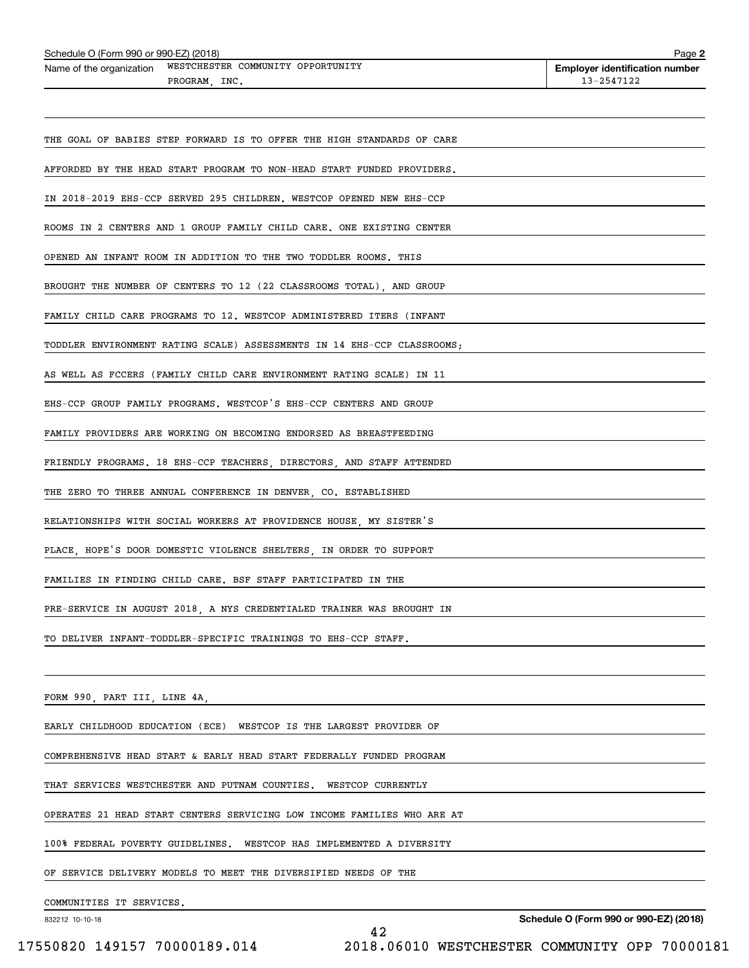| Schedule O (Form 990 or 990-EZ) (2018)                                         | Page 2                                              |
|--------------------------------------------------------------------------------|-----------------------------------------------------|
| WESTCHESTER COMMUNITY OPPORTUNITY<br>Name of the organization<br>PROGRAM, INC. | <b>Employer identification number</b><br>13-2547122 |
|                                                                                |                                                     |
| THE GOAL OF BABIES STEP FORWARD IS TO OFFER THE HIGH STANDARDS OF CARE         |                                                     |
| AFFORDED BY THE HEAD START PROGRAM TO NON-HEAD START FUNDED PROVIDERS.         |                                                     |
| IN 2018-2019 EHS-CCP SERVED 295 CHILDREN. WESTCOP OPENED NEW EHS-CCP           |                                                     |
| ROOMS IN 2 CENTERS AND 1 GROUP FAMILY CHILD CARE. ONE EXISTING CENTER          |                                                     |
| OPENED AN INFANT ROOM IN ADDITION TO THE TWO TODDLER ROOMS. THIS               |                                                     |
| BROUGHT THE NUMBER OF CENTERS TO 12 (22 CLASSROOMS TOTAL), AND GROUP           |                                                     |
| FAMILY CHILD CARE PROGRAMS TO 12. WESTCOP ADMINISTERED ITERS (INFANT           |                                                     |
| TODDLER ENVIRONMENT RATING SCALE) ASSESSMENTS IN 14 EHS-CCP CLASSROOMS;        |                                                     |
| AS WELL AS FCCERS (FAMILY CHILD CARE ENVIRONMENT RATING SCALE) IN 11           |                                                     |
| EHS-CCP GROUP FAMILY PROGRAMS. WESTCOP'S EHS-CCP CENTERS AND GROUP             |                                                     |
| FAMILY PROVIDERS ARE WORKING ON BECOMING ENDORSED AS BREASTFEEDING             |                                                     |
| FRIENDLY PROGRAMS. 18 EHS-CCP TEACHERS, DIRECTORS, AND STAFF ATTENDED          |                                                     |
| THE ZERO TO THREE ANNUAL CONFERENCE IN DENVER, CO. ESTABLISHED                 |                                                     |
| RELATIONSHIPS WITH SOCIAL WORKERS AT PROVIDENCE HOUSE, MY SISTER'S             |                                                     |
| PLACE, HOPE'S DOOR DOMESTIC VIOLENCE SHELTERS, IN ORDER TO SUPPORT             |                                                     |
| FAMILIES IN FINDING CHILD CARE. BSF STAFF PARTICIPATED IN THE                  |                                                     |
| PRE-SERVICE IN AUGUST 2018, A NYS CREDENTIALED TRAINER WAS BROUGHT IN          |                                                     |
| TO DELIVER INFANT-TODDLER-SPECIFIC TRAININGS TO EHS-CCP STAFF.                 |                                                     |
|                                                                                |                                                     |
| FORM 990, PART III, LINE 4A, Andrea March 2014 and Alexander March 2014        |                                                     |
| EARLY CHILDHOOD EDUCATION (ECE) WESTCOP IS THE LARGEST PROVIDER OF             |                                                     |
| COMPREHENSIVE HEAD START & EARLY HEAD START FEDERALLY FUNDED PROGRAM           |                                                     |
| THAT SERVICES WESTCHESTER AND PUTNAM COUNTIES. WESTCOP CURRENTLY               |                                                     |
| OPERATES 21 HEAD START CENTERS SERVICING LOW INCOME FAMILIES WHO ARE AT        |                                                     |
| 100% FEDERAL POVERTY GUIDELINES. WESTCOP HAS IMPLEMENTED A DIVERSITY           |                                                     |
| OF SERVICE DELIVERY MODELS TO MEET THE DIVERSIFIED NEEDS OF THE                |                                                     |

COMMUNITIES IT SERVICES.

832212 10-10-18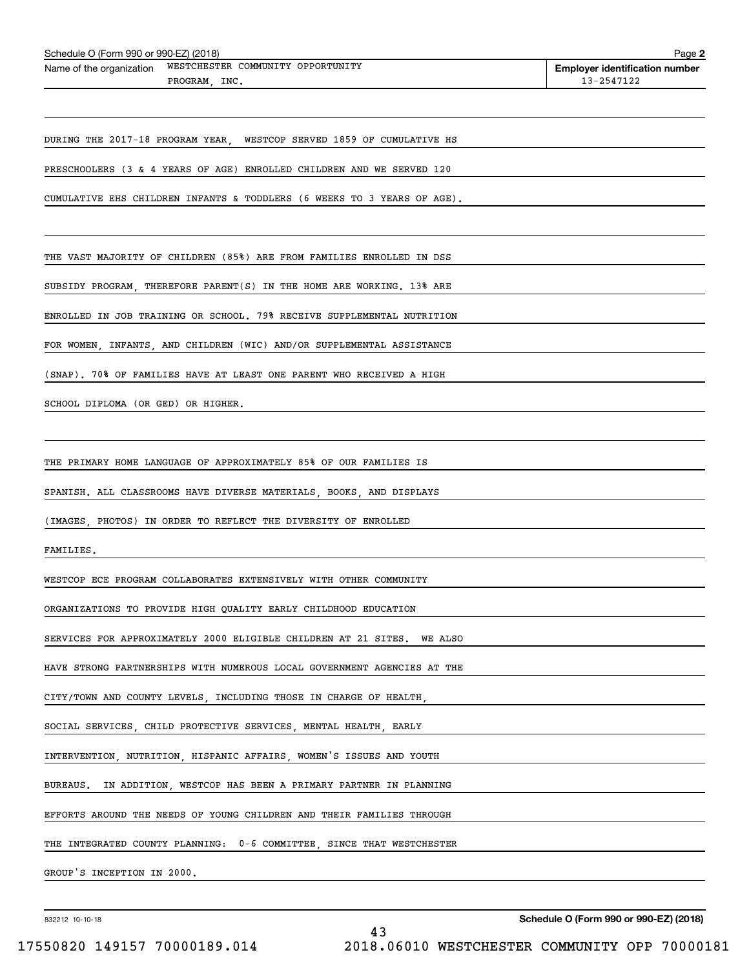| Schedule O (Form 990 or 990-EZ) (2018)                                         | Page 2                                              |
|--------------------------------------------------------------------------------|-----------------------------------------------------|
| WESTCHESTER COMMUNITY OPPORTUNITY<br>Name of the organization<br>PROGRAM, INC. | <b>Employer identification number</b><br>13-2547122 |
|                                                                                |                                                     |
| DURING THE 2017-18 PROGRAM YEAR, WESTCOP SERVED 1859 OF CUMULATIVE HS          |                                                     |
| PRESCHOOLERS (3 & 4 YEARS OF AGE) ENROLLED CHILDREN AND WE SERVED 120          |                                                     |
| CUMULATIVE EHS CHILDREN INFANTS & TODDLERS (6 WEEKS TO 3 YEARS OF AGE).        |                                                     |
|                                                                                |                                                     |
| THE VAST MAJORITY OF CHILDREN (85%) ARE FROM FAMILIES ENROLLED IN DSS          |                                                     |
| SUBSIDY PROGRAM, THEREFORE PARENT(S) IN THE HOME ARE WORKING. 13% ARE          |                                                     |
| ENROLLED IN JOB TRAINING OR SCHOOL. 79% RECEIVE SUPPLEMENTAL NUTRITION         |                                                     |
| FOR WOMEN, INFANTS, AND CHILDREN (WIC) AND/OR SUPPLEMENTAL ASSISTANCE          |                                                     |
| (SNAP). 70% OF FAMILIES HAVE AT LEAST ONE PARENT WHO RECEIVED A HIGH           |                                                     |
| SCHOOL DIPLOMA (OR GED) OR HIGHER.                                             |                                                     |
|                                                                                |                                                     |
| THE PRIMARY HOME LANGUAGE OF APPROXIMATELY 85% OF OUR FAMILIES IS              |                                                     |
| SPANISH. ALL CLASSROOMS HAVE DIVERSE MATERIALS, BOOKS, AND DISPLAYS            |                                                     |
| (IMAGES, PHOTOS) IN ORDER TO REFLECT THE DIVERSITY OF ENROLLED                 |                                                     |
| FAMILIES.                                                                      |                                                     |
| WESTCOP ECE PROGRAM COLLABORATES EXTENSIVELY WITH OTHER COMMUNITY              |                                                     |
| ORGANIZATIONS TO PROVIDE HIGH QUALITY EARLY CHILDHOOD EDUCATION                |                                                     |
| SERVICES FOR APPROXIMATELY 2000 ELIGIBLE CHILDREN AT 21 SITES. WE ALSO         |                                                     |
| HAVE STRONG PARTNERSHIPS WITH NUMEROUS LOCAL GOVERNMENT AGENCIES AT THE        |                                                     |
| CITY/TOWN AND COUNTY LEVELS, INCLUDING THOSE IN CHARGE OF HEALTH,              |                                                     |
| SOCIAL SERVICES, CHILD PROTECTIVE SERVICES, MENTAL HEALTH, EARLY               |                                                     |
| INTERVENTION, NUTRITION, HISPANIC AFFAIRS, WOMEN'S ISSUES AND YOUTH            |                                                     |
| BUREAUS.<br>IN ADDITION, WESTCOP HAS BEEN A PRIMARY PARTNER IN PLANNING        |                                                     |
| EFFORTS AROUND THE NEEDS OF YOUNG CHILDREN AND THEIR FAMILIES THROUGH          |                                                     |
| THE INTEGRATED COUNTY PLANNING: 0-6 COMMITTEE, SINCE THAT WESTCHESTER          |                                                     |
| GROUP'S INCEPTION IN 2000.                                                     |                                                     |
|                                                                                |                                                     |

43

832212 10-10-18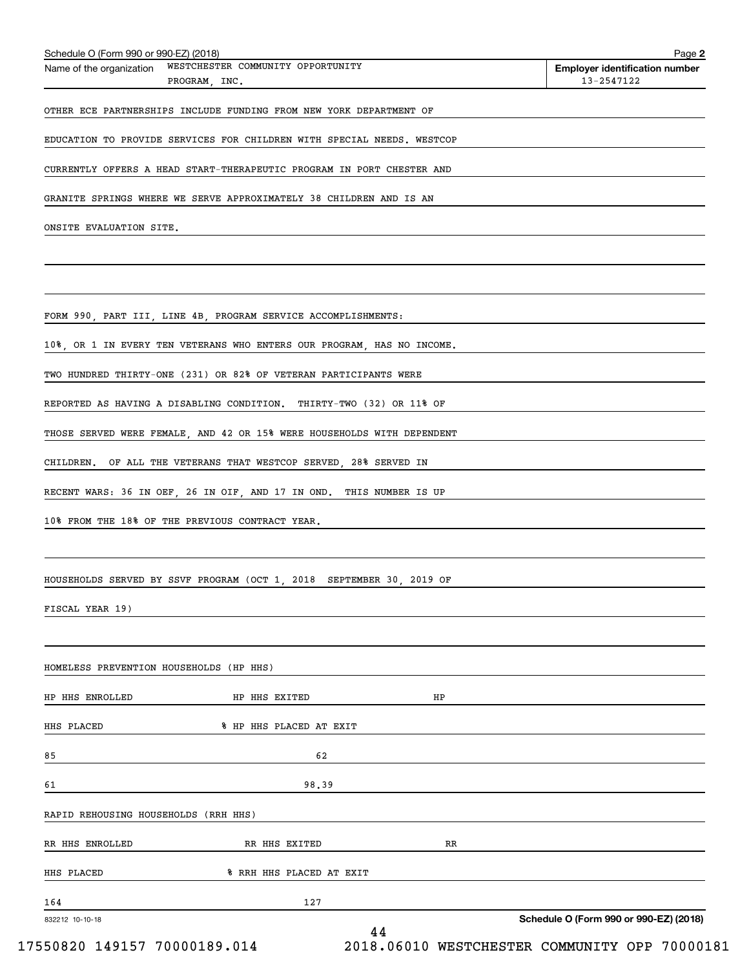| Name of the organization                | WESTCHESTER COMMUNITY OPPORTUNITY<br>PROGRAM, INC.                     | <b>Employer identification number</b><br>13-2547122 |
|-----------------------------------------|------------------------------------------------------------------------|-----------------------------------------------------|
|                                         | OTHER ECE PARTNERSHIPS INCLUDE FUNDING FROM NEW YORK DEPARTMENT OF     |                                                     |
|                                         |                                                                        |                                                     |
|                                         | EDUCATION TO PROVIDE SERVICES FOR CHILDREN WITH SPECIAL NEEDS. WESTCOP |                                                     |
|                                         | CURRENTLY OFFERS A HEAD START-THERAPEUTIC PROGRAM IN PORT CHESTER AND  |                                                     |
|                                         | GRANITE SPRINGS WHERE WE SERVE APPROXIMATELY 38 CHILDREN AND IS AN     |                                                     |
| ONSITE EVALUATION SITE.                 |                                                                        |                                                     |
|                                         |                                                                        |                                                     |
|                                         |                                                                        |                                                     |
|                                         | FORM 990, PART III, LINE 4B, PROGRAM SERVICE ACCOMPLISHMENTS:          |                                                     |
|                                         | 10%, OR 1 IN EVERY TEN VETERANS WHO ENTERS OUR PROGRAM, HAS NO INCOME. |                                                     |
|                                         | TWO HUNDRED THIRTY-ONE (231) OR 82% OF VETERAN PARTICIPANTS WERE       |                                                     |
|                                         | REPORTED AS HAVING A DISABLING CONDITION. THIRTY-TWO (32) OR 11% OF    |                                                     |
|                                         | THOSE SERVED WERE FEMALE, AND 42 OR 15% WERE HOUSEHOLDS WITH DEPENDENT |                                                     |
|                                         | CHILDREN. OF ALL THE VETERANS THAT WESTCOP SERVED, 28% SERVED IN       |                                                     |
|                                         | RECENT WARS: 36 IN OEF, 26 IN OIF, AND 17 IN OND. THIS NUMBER IS UP    |                                                     |
|                                         | 10% FROM THE 18% OF THE PREVIOUS CONTRACT YEAR.                        |                                                     |
|                                         |                                                                        |                                                     |
|                                         | HOUSEHOLDS SERVED BY SSVF PROGRAM (OCT 1, 2018 SEPTEMBER 30, 2019 OF   |                                                     |
| FISCAL YEAR 19)                         |                                                                        |                                                     |
|                                         |                                                                        |                                                     |
|                                         |                                                                        |                                                     |
| HOMELESS PREVENTION HOUSEHOLDS (HP HHS) |                                                                        |                                                     |
| HP HHS ENROLLED                         | HP HHS EXITED                                                          | ΗP                                                  |
| HHS PLACED                              | % HP HHS PLACED AT EXIT                                                |                                                     |
| 85                                      | 62                                                                     |                                                     |
| 61                                      | 98.39                                                                  |                                                     |
| RAPID REHOUSING HOUSEHOLDS (RRH HHS)    |                                                                        |                                                     |
| RR HHS ENROLLED                         | RR HHS EXITED                                                          | RR                                                  |
| HHS PLACED                              | % RRH HHS PLACED AT EXIT                                               |                                                     |
| 164                                     | 127                                                                    |                                                     |
| 832212 10-10-18                         | 44                                                                     | Schedule O (Form 990 or 990-EZ) (2018)              |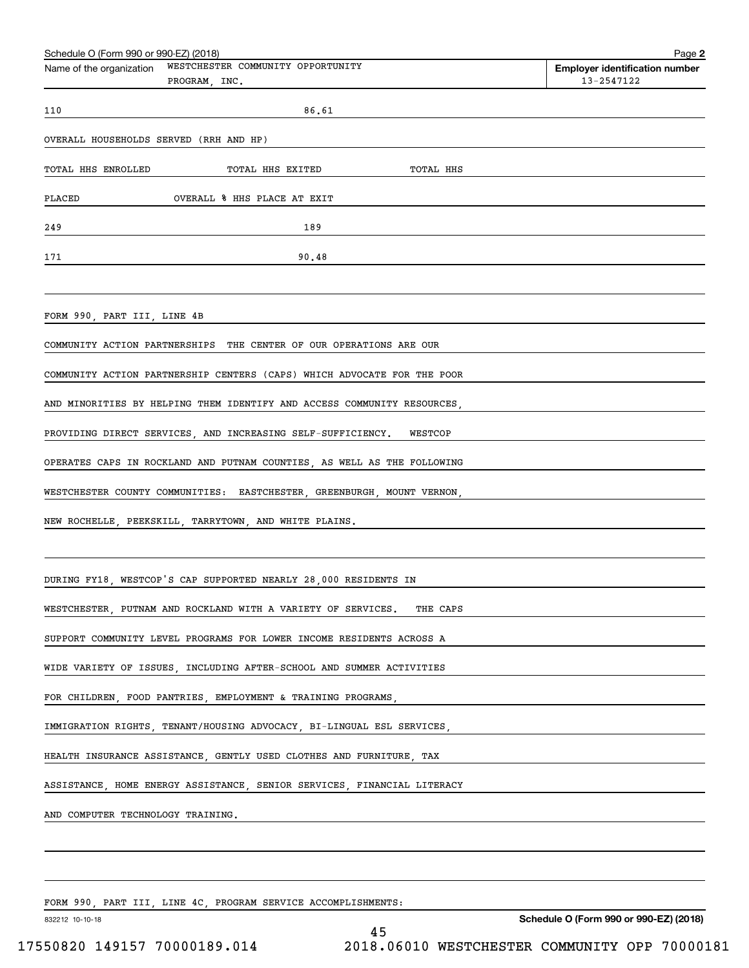| Schedule O (Form 990 or 990-EZ) (2018)                                         | Page 2                                              |
|--------------------------------------------------------------------------------|-----------------------------------------------------|
| WESTCHESTER COMMUNITY OPPORTUNITY<br>Name of the organization<br>PROGRAM, INC. | <b>Employer identification number</b><br>13-2547122 |
| 86.61<br>110                                                                   |                                                     |
| OVERALL HOUSEHOLDS SERVED (RRH AND HP)                                         |                                                     |
| TOTAL HHS ENROLLED<br>TOTAL HHS EXITED<br>TOTAL HHS                            |                                                     |
| PLACED<br>OVERALL % HHS PLACE AT EXIT                                          |                                                     |
| 189<br>249                                                                     |                                                     |
| 90.48<br>171                                                                   |                                                     |
|                                                                                |                                                     |
| FORM 990, PART III, LINE 4B                                                    |                                                     |
| COMMUNITY ACTION PARTNERSHIPS THE CENTER OF OUR OPERATIONS ARE OUR             |                                                     |
| COMMUNITY ACTION PARTNERSHIP CENTERS (CAPS) WHICH ADVOCATE FOR THE POOR        |                                                     |
| AND MINORITIES BY HELPING THEM IDENTIFY AND ACCESS COMMUNITY RESOURCES,        |                                                     |
| PROVIDING DIRECT SERVICES, AND INCREASING SELF-SUFFICIENCY. WESTCOP            |                                                     |
| OPERATES CAPS IN ROCKLAND AND PUTNAM COUNTIES, AS WELL AS THE FOLLOWING        |                                                     |
| WESTCHESTER COUNTY COMMUNITIES: EASTCHESTER, GREENBURGH, MOUNT VERNON,         |                                                     |
| NEW ROCHELLE, PEEKSKILL, TARRYTOWN, AND WHITE PLAINS.                          |                                                     |
|                                                                                |                                                     |
| DURING FY18, WESTCOP'S CAP SUPPORTED NEARLY 28,000 RESIDENTS IN                |                                                     |
| WESTCHESTER, PUTNAM AND ROCKLAND WITH A VARIETY OF SERVICES. THE CAPS          |                                                     |
| SUPPORT COMMUNITY LEVEL PROGRAMS FOR LOWER INCOME RESIDENTS ACROSS A           |                                                     |
| WIDE VARIETY OF ISSUES, INCLUDING AFTER-SCHOOL AND SUMMER ACTIVITIES           |                                                     |
| FOR CHILDREN, FOOD PANTRIES, EMPLOYMENT & TRAINING PROGRAMS,                   |                                                     |
| IMMIGRATION RIGHTS, TENANT/HOUSING ADVOCACY, BI-LINGUAL ESL SERVICES,          |                                                     |
| HEALTH INSURANCE ASSISTANCE, GENTLY USED CLOTHES AND FURNITURE, TAX            |                                                     |
| ASSISTANCE, HOME ENERGY ASSISTANCE, SENIOR SERVICES, FINANCIAL LITERACY        |                                                     |
| AND COMPUTER TECHNOLOGY TRAINING.                                              |                                                     |
|                                                                                |                                                     |
|                                                                                |                                                     |
|                                                                                |                                                     |

FORM 990, PART III, LINE 4C, PROGRAM SERVICE ACCOMPLISHMENTS:

832212 10-10-18

**Schedule O (Form 990 or 990-EZ) (2018)**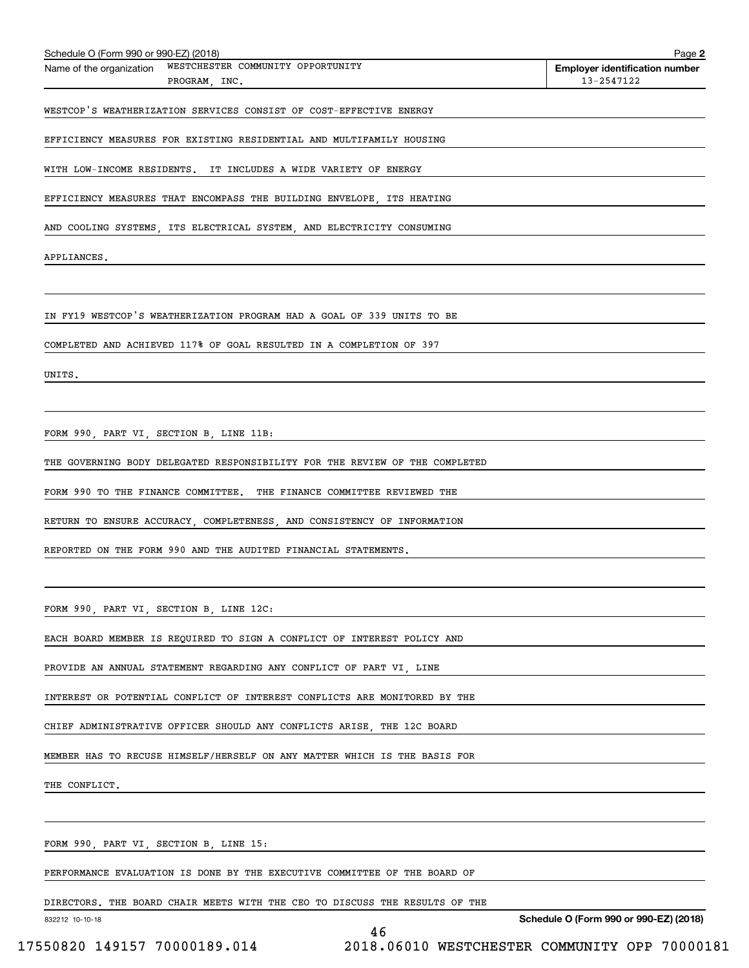| Schedule O (Form 990 or 990-EZ) (2018)  |                                                                             | Page 2                                              |
|-----------------------------------------|-----------------------------------------------------------------------------|-----------------------------------------------------|
| Name of the organization                | WESTCHESTER COMMUNITY OPPORTUNITY<br>PROGRAM, INC.                          | <b>Employer identification number</b><br>13-2547122 |
|                                         |                                                                             |                                                     |
|                                         | WESTCOP'S WEATHERIZATION SERVICES CONSIST OF COST-EFFECTIVE ENERGY          |                                                     |
|                                         | EFFICIENCY MEASURES FOR EXISTING RESIDENTIAL AND MULTIFAMILY HOUSING        |                                                     |
|                                         | WITH LOW-INCOME RESIDENTS. IT INCLUDES A WIDE VARIETY OF ENERGY             |                                                     |
|                                         |                                                                             |                                                     |
|                                         | EFFICIENCY MEASURES THAT ENCOMPASS THE BUILDING ENVELOPE, ITS HEATING       |                                                     |
|                                         | AND COOLING SYSTEMS, ITS ELECTRICAL SYSTEM, AND ELECTRICITY CONSUMING       |                                                     |
| APPLIANCES.                             |                                                                             |                                                     |
|                                         |                                                                             |                                                     |
|                                         |                                                                             |                                                     |
|                                         | IN FY19 WESTCOP'S WEATHERIZATION PROGRAM HAD A GOAL OF 339 UNITS TO BE      |                                                     |
|                                         | COMPLETED AND ACHIEVED 117% OF GOAL RESULTED IN A COMPLETION OF 397         |                                                     |
| UNITS.                                  |                                                                             |                                                     |
|                                         |                                                                             |                                                     |
|                                         |                                                                             |                                                     |
| FORM 990, PART VI, SECTION B, LINE 11B: |                                                                             |                                                     |
|                                         | THE GOVERNING BODY DELEGATED RESPONSIBILITY FOR THE REVIEW OF THE COMPLETED |                                                     |
|                                         | FORM 990 TO THE FINANCE COMMITTEE. THE FINANCE COMMITTEE REVIEWED THE       |                                                     |
|                                         | RETURN TO ENSURE ACCURACY, COMPLETENESS, AND CONSISTENCY OF INFORMATION     |                                                     |
|                                         | REPORTED ON THE FORM 990 AND THE AUDITED FINANCIAL STATEMENTS.              |                                                     |
|                                         |                                                                             |                                                     |
|                                         |                                                                             |                                                     |
| FORM 990, PART VI, SECTION B, LINE 12C: |                                                                             |                                                     |
|                                         | EACH BOARD MEMBER IS REQUIRED TO SIGN A CONFLICT OF INTEREST POLICY AND     |                                                     |
|                                         | PROVIDE AN ANNUAL STATEMENT REGARDING ANY CONFLICT OF PART VI, LINE         |                                                     |
|                                         |                                                                             |                                                     |
|                                         | INTEREST OR POTENTIAL CONFLICT OF INTEREST CONFLICTS ARE MONITORED BY THE   |                                                     |
|                                         | CHIEF ADMINISTRATIVE OFFICER SHOULD ANY CONFLICTS ARISE THE 12C BOARD       |                                                     |
|                                         | MEMBER HAS TO RECUSE HIMSELF/HERSELF ON ANY MATTER WHICH IS THE BASIS FOR   |                                                     |
| THE CONFLICT.                           |                                                                             |                                                     |
|                                         |                                                                             |                                                     |
|                                         |                                                                             |                                                     |
| FORM 990, PART VI, SECTION B, LINE 15:  |                                                                             |                                                     |
|                                         | PERFORMANCE EVALUATION IS DONE BY THE EXECUTIVE COMMITTEE OF THE BOARD OF   |                                                     |
|                                         | DIRECTORS. THE BOARD CHAIR MEETS WITH THE CEO TO DISCUSS THE RESULTS OF THE |                                                     |
| 832212 10-10-18                         |                                                                             | Schedule O (Form 990 or 990-EZ) (2018)              |

<sup>46</sup> 17550820 149157 70000189.014 2018.06010 WESTCHESTER COMMUNITY OPP 70000181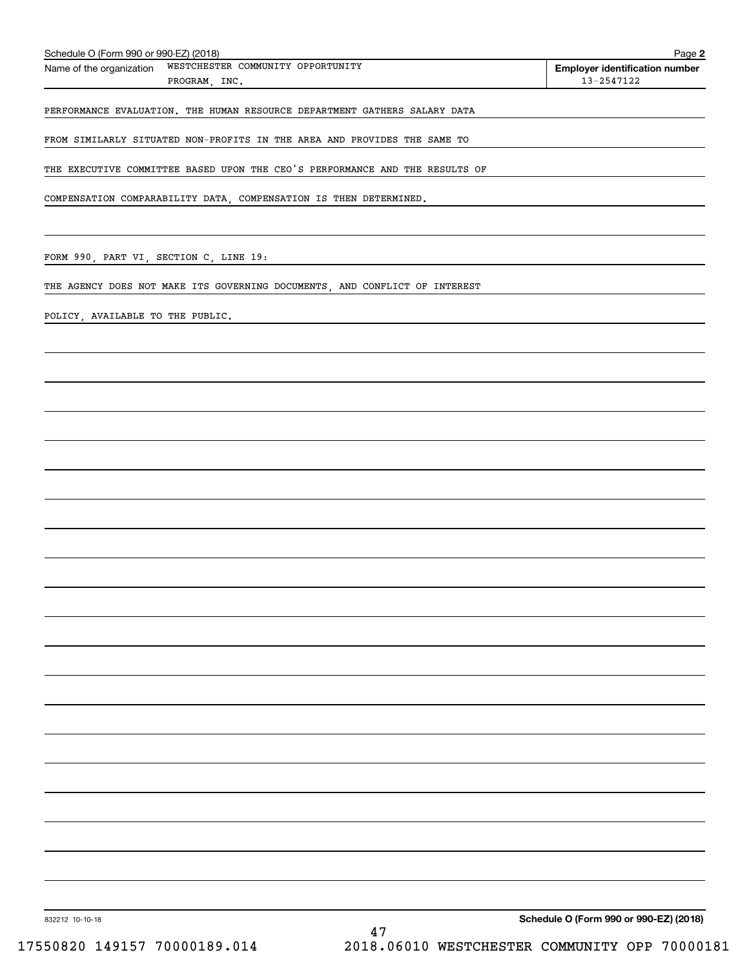| Schedule O (Form 990 or 990-EZ) (2018)<br>WESTCHESTER COMMUNITY OPPORTUNITY<br>Name of the organization<br>PROGRAM, INC.                                        | Page 2<br><b>Employer identification number</b><br>13-2547122 |
|-----------------------------------------------------------------------------------------------------------------------------------------------------------------|---------------------------------------------------------------|
| PERFORMANCE EVALUATION. THE HUMAN RESOURCE DEPARTMENT GATHERS SALARY DATA                                                                                       |                                                               |
| FROM SIMILARLY SITUATED NON-PROFITS IN THE AREA AND PROVIDES THE SAME TO                                                                                        |                                                               |
| THE EXECUTIVE COMMITTEE BASED UPON THE CEO'S PERFORMANCE AND THE RESULTS OF                                                                                     |                                                               |
|                                                                                                                                                                 |                                                               |
| COMPENSATION COMPARABILITY DATA, COMPENSATION IS THEN DETERMINED.                                                                                               |                                                               |
| FORM 990, PART VI, SECTION C, LINE 19:<br><u> 1980 - Johann Barn, mars and de Branch Barn, mars and de Branch Barn, mars and de Branch Barn, mars and de Br</u> |                                                               |
| THE AGENCY DOES NOT MAKE ITS GOVERNING DOCUMENTS, AND CONFLICT OF INTEREST                                                                                      |                                                               |
| POLICY, AVAILABLE TO THE PUBLIC.                                                                                                                                |                                                               |
|                                                                                                                                                                 |                                                               |
|                                                                                                                                                                 |                                                               |
|                                                                                                                                                                 |                                                               |
|                                                                                                                                                                 |                                                               |
|                                                                                                                                                                 |                                                               |
|                                                                                                                                                                 |                                                               |
|                                                                                                                                                                 |                                                               |
|                                                                                                                                                                 |                                                               |
|                                                                                                                                                                 |                                                               |
|                                                                                                                                                                 |                                                               |
|                                                                                                                                                                 |                                                               |
|                                                                                                                                                                 |                                                               |
|                                                                                                                                                                 |                                                               |
|                                                                                                                                                                 |                                                               |
|                                                                                                                                                                 |                                                               |
|                                                                                                                                                                 |                                                               |
|                                                                                                                                                                 |                                                               |
|                                                                                                                                                                 |                                                               |
|                                                                                                                                                                 |                                                               |
|                                                                                                                                                                 |                                                               |
|                                                                                                                                                                 |                                                               |
| 832212 10-10-18<br>47                                                                                                                                           | Schedule O (Form 990 or 990-EZ) (2018)                        |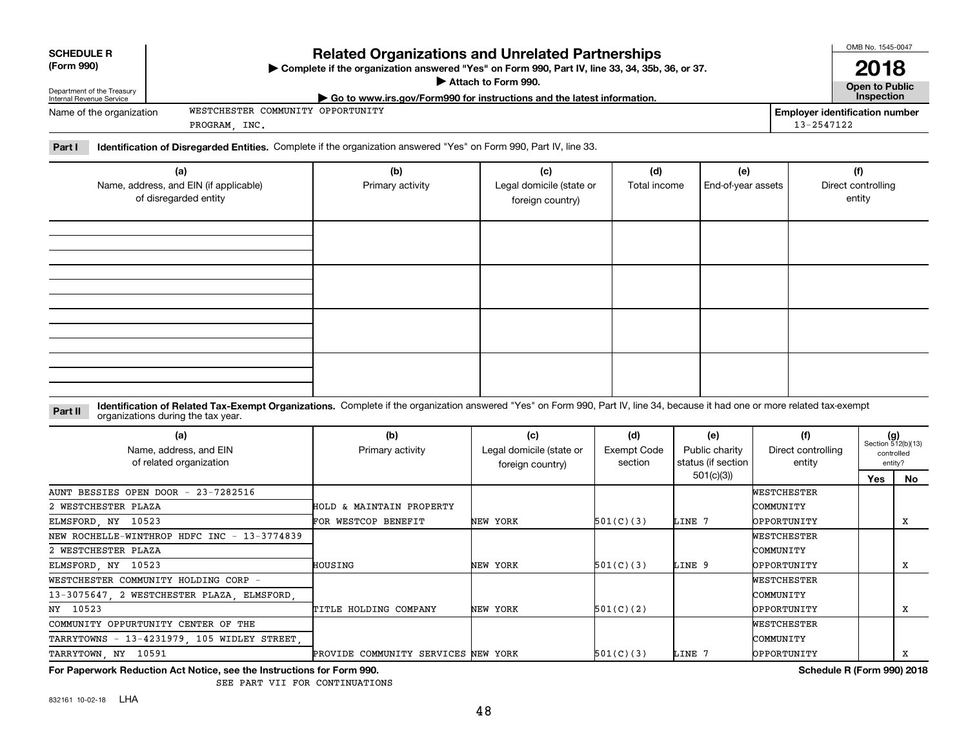| <b>Related Organizations and Unrelated Partnerships</b><br><b>SCHEDULE R</b><br>(Form 990)<br>▶ Complete if the organization answered "Yes" on Form 990, Part IV, line 33, 34, 35b, 36, or 37. |                                                                                                                |  | OMB No. 1545-0047<br>2018             |  |  |
|------------------------------------------------------------------------------------------------------------------------------------------------------------------------------------------------|----------------------------------------------------------------------------------------------------------------|--|---------------------------------------|--|--|
| Department of the Treasury<br>Internal Revenue Service                                                                                                                                         | Attach to Form 990.<br>$\triangleright$ Go to www.irs.gov/Form990 for instructions and the latest information. |  | <b>Open to Public</b><br>Inspection   |  |  |
| Name of the organization                                                                                                                                                                       | WESTCHESTER COMMUNITY OPPORTUNITY                                                                              |  | <b>Employer identification number</b> |  |  |
| 13-2547122<br>INC.<br>PROGRAM.                                                                                                                                                                 |                                                                                                                |  |                                       |  |  |
| <b>Identification of Disregarded Entities.</b> Complete if the organization answered "Yes" on Form 990, Part IV, line 33.<br>Part I                                                            |                                                                                                                |  |                                       |  |  |

| (a)<br>Name, address, and EIN (if applicable)<br>of disregarded entity | (b)<br>Primary activity | (c)<br>Legal domicile (state or<br>foreign country) | (d)<br>Total income | (e)<br>End-of-year assets | (f)<br>Direct controlling<br>entity |
|------------------------------------------------------------------------|-------------------------|-----------------------------------------------------|---------------------|---------------------------|-------------------------------------|
|                                                                        |                         |                                                     |                     |                           |                                     |
|                                                                        |                         |                                                     |                     |                           |                                     |
|                                                                        |                         |                                                     |                     |                           |                                     |
|                                                                        |                         |                                                     |                     |                           |                                     |

### **Identification of Related Tax-Exempt Organizations.** Complete if the organization answered "Yes" on Form 990, Part IV, line 34, because it had one or more related tax-exempt **Part II** organizations during the tax year.

| (a)<br>Name, address, and EIN<br>of related organization | (b)<br>Primary activity             | (c)<br>Legal domicile (state or<br>foreign country) | (d)<br>Exempt Code<br>section | (e)<br>Public charity<br>status (if section | (f)<br>Direct controlling<br>entity | $(g)$<br>Section 512(b)(13) | controlled<br>entity? |
|----------------------------------------------------------|-------------------------------------|-----------------------------------------------------|-------------------------------|---------------------------------------------|-------------------------------------|-----------------------------|-----------------------|
|                                                          |                                     |                                                     |                               | 501(c)(3))                                  |                                     | Yes                         | No.                   |
| AUNT BESSIES OPEN DOOR - 23-7282516                      |                                     |                                                     |                               |                                             | WESTCHESTER                         |                             |                       |
| 2 WESTCHESTER PLAZA                                      | HOLD & MAINTAIN PROPERTY            |                                                     |                               |                                             | COMMUNITY                           |                             |                       |
| ELMSFORD, NY 10523                                       | FOR WESTCOP BENEFIT                 | NEW YORK                                            | 501(C)(3)                     | LINE 7                                      | <b>OPPORTUNITY</b>                  |                             | X                     |
| NEW ROCHELLE-WINTHROP HDFC INC - 13-3774839              |                                     |                                                     |                               |                                             | WESTCHESTER                         |                             |                       |
| 2 WESTCHESTER PLAZA                                      |                                     |                                                     |                               |                                             | COMMUNITY                           |                             |                       |
| ELMSFORD, NY 10523                                       | HOUSING                             | NEW YORK                                            | 501(C)(3)                     | LINE 9                                      | <b>OPPORTUNITY</b>                  |                             | х                     |
| WESTCHESTER COMMUNITY HOLDING CORP -                     |                                     |                                                     |                               |                                             | WESTCHESTER                         |                             |                       |
| 13-3075647, 2 WESTCHESTER PLAZA, ELMSFORD,               |                                     |                                                     |                               |                                             | COMMUNITY                           |                             |                       |
| NY 10523                                                 | TITLE HOLDING COMPANY               | NEW YORK                                            | 501(C)(2)                     |                                             | OPPORTUNITY                         |                             | X                     |
| COMMUNITY OPPURTUNITY CENTER OF THE                      |                                     |                                                     |                               |                                             | WESTCHESTER                         |                             |                       |
| TARRYTOWNS - 13-4231979, 105 WIDLEY STREET,              |                                     |                                                     |                               |                                             | COMMUNITY                           |                             |                       |
| TARRYTOWN, NY 10591                                      | PROVIDE COMMUNITY SERVICES NEW YORK |                                                     | 501(C)(3)                     | LINE 7                                      | <b>OPPORTUNITY</b>                  |                             | x                     |

**For Paperwork Reduction Act Notice, see the Instructions for Form 990. Schedule R (Form 990) 2018**

SEE PART VII FOR CONTINUATIONS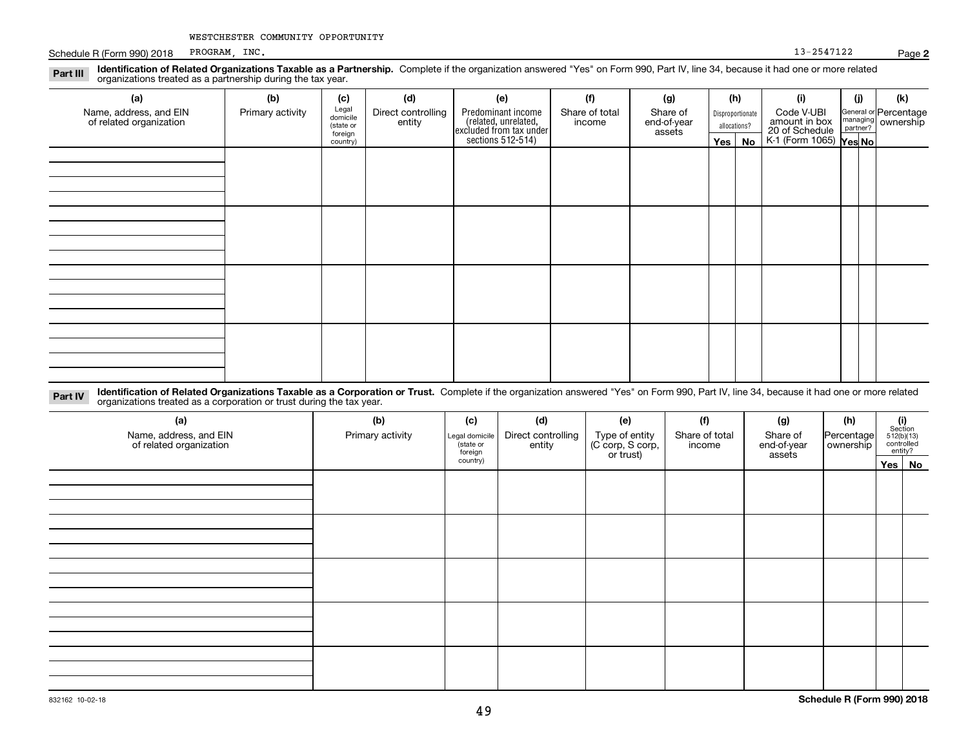Schedule R (Form 990) 2018 PROGRAM, INC. 2018 PROGRAM, INC. PROGRAM, INC. 13-2547122

| Identification of Related Organizations Taxable as a Partnership. Complete if the organization answered "Yes" on Form 990, Part IV, line 34, because it had one or more related<br>Part III<br>organizations treated as a partnership during the tax year. |                  |                                           |                              |                                                                       |                          |                                   |                                  |     |                                               |          |                                             |
|------------------------------------------------------------------------------------------------------------------------------------------------------------------------------------------------------------------------------------------------------------|------------------|-------------------------------------------|------------------------------|-----------------------------------------------------------------------|--------------------------|-----------------------------------|----------------------------------|-----|-----------------------------------------------|----------|---------------------------------------------|
| (a)                                                                                                                                                                                                                                                        | (b)              | (c)                                       | (d)                          | (e)                                                                   | (f)                      | (g)                               |                                  | (h) | (i)                                           | (j)      | (k)                                         |
| Name, address, and EIN<br>of related organization                                                                                                                                                                                                          | Primary activity | Legal<br>domicile<br>(state or<br>foreign | Direct controlling<br>entity | Predominant income<br>(related, unrelated,<br>excluded from tax under | Share of total<br>income | Share of<br>end-of-year<br>assets | Disproportionate<br>allocations? |     | Code V-UBI<br>amount in box<br>20 of Schedule | partner? | General or Percentage<br>managing ownership |
|                                                                                                                                                                                                                                                            |                  | country)                                  |                              | sections 512-514)                                                     |                          |                                   | Yes $ $                          | No  | K-1 (Form 1065) Yes No                        |          |                                             |
|                                                                                                                                                                                                                                                            |                  |                                           |                              |                                                                       |                          |                                   |                                  |     |                                               |          |                                             |
|                                                                                                                                                                                                                                                            |                  |                                           |                              |                                                                       |                          |                                   |                                  |     |                                               |          |                                             |
|                                                                                                                                                                                                                                                            |                  |                                           |                              |                                                                       |                          |                                   |                                  |     |                                               |          |                                             |
|                                                                                                                                                                                                                                                            |                  |                                           |                              |                                                                       |                          |                                   |                                  |     |                                               |          |                                             |
|                                                                                                                                                                                                                                                            |                  |                                           |                              |                                                                       |                          |                                   |                                  |     |                                               |          |                                             |
|                                                                                                                                                                                                                                                            |                  |                                           |                              |                                                                       |                          |                                   |                                  |     |                                               |          |                                             |
|                                                                                                                                                                                                                                                            |                  |                                           |                              |                                                                       |                          |                                   |                                  |     |                                               |          |                                             |
|                                                                                                                                                                                                                                                            |                  |                                           |                              |                                                                       |                          |                                   |                                  |     |                                               |          |                                             |
|                                                                                                                                                                                                                                                            |                  |                                           |                              |                                                                       |                          |                                   |                                  |     |                                               |          |                                             |
|                                                                                                                                                                                                                                                            |                  |                                           |                              |                                                                       |                          |                                   |                                  |     |                                               |          |                                             |
|                                                                                                                                                                                                                                                            |                  |                                           |                              |                                                                       |                          |                                   |                                  |     |                                               |          |                                             |
|                                                                                                                                                                                                                                                            |                  |                                           |                              |                                                                       |                          |                                   |                                  |     |                                               |          |                                             |

**Identification of Related Organizations Taxable as a Corporation or Trust.** Complete if the organization answered "Yes" on Form 990, Part IV, line 34, because it had one or more related **Part IV** organizations treated as a corporation or trust during the tax year.

| (a)<br>Name, address, and EIN<br>of related organization | (b)<br>Primary activity | (c)<br>Legal domicile<br>(state or<br>foreign<br>country) | (d)<br>Direct controlling<br>entity | (e)<br>Type of entity<br>(C corp, S corp,<br>or trust) | (f)<br>Share of total<br>income | (g)<br>Share of<br>end-of-year<br>assets | (h)<br>Percentage | $\begin{array}{c} \textbf{(i)}\\ \text{Section}\\ 512 \text{(b)} \text{(13)}\\ \text{controlled}\\ \text{entity?} \end{array}$ |        |
|----------------------------------------------------------|-------------------------|-----------------------------------------------------------|-------------------------------------|--------------------------------------------------------|---------------------------------|------------------------------------------|-------------------|--------------------------------------------------------------------------------------------------------------------------------|--------|
|                                                          |                         |                                                           |                                     |                                                        |                                 |                                          |                   |                                                                                                                                | Yes No |
|                                                          |                         |                                                           |                                     |                                                        |                                 |                                          |                   |                                                                                                                                |        |
|                                                          |                         |                                                           |                                     |                                                        |                                 |                                          |                   |                                                                                                                                |        |
|                                                          |                         |                                                           |                                     |                                                        |                                 |                                          |                   |                                                                                                                                |        |
|                                                          |                         |                                                           |                                     |                                                        |                                 |                                          |                   |                                                                                                                                |        |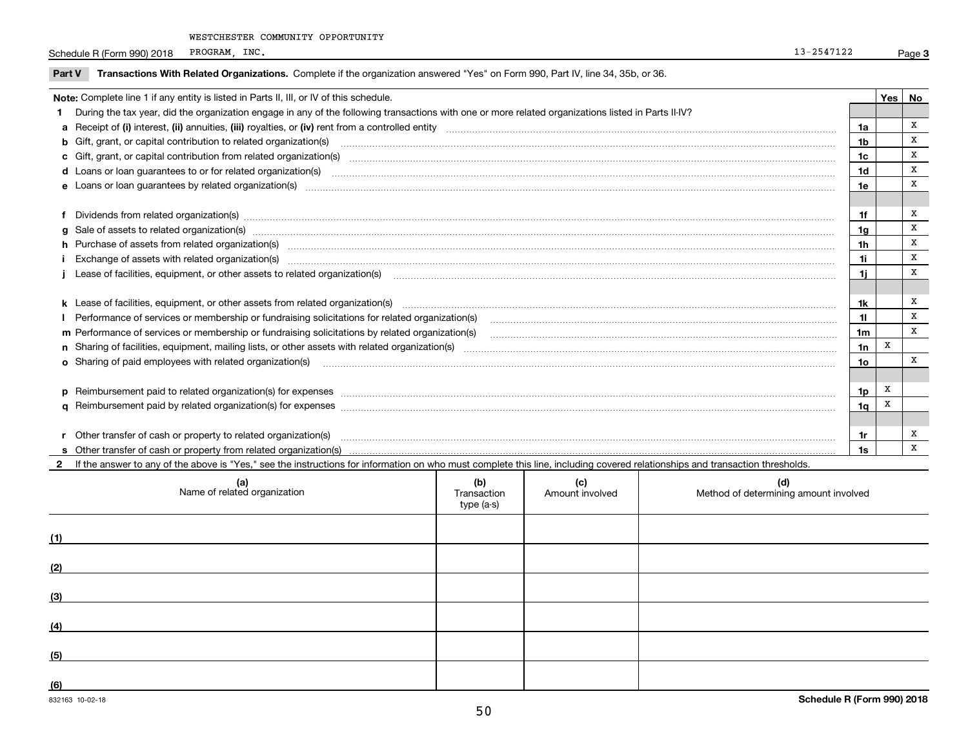Schedule R (Form 990) 2018 PROGRAM, INC. 2018 PROGRAM, INC. PROGRAM, INC. 13-2547122

| Part V | Transactions With Related Organizations. Complete if the organization answered "Yes" on Form 990, Part IV, line 34, 35b, or 36.                                                                                                |                |     |    |
|--------|--------------------------------------------------------------------------------------------------------------------------------------------------------------------------------------------------------------------------------|----------------|-----|----|
|        | Note: Complete line 1 if any entity is listed in Parts II, III, or IV of this schedule.                                                                                                                                        |                | Yes | No |
|        | During the tax year, did the organization engage in any of the following transactions with one or more related organizations listed in Parts II-IV?                                                                            |                |     |    |
|        |                                                                                                                                                                                                                                | 1a             |     | x  |
|        | <b>b</b> Gift, grant, or capital contribution to related organization(s)                                                                                                                                                       | 1b             |     | x  |
|        | c Gift, grant, or capital contribution from related organization(s) CONCORRECT CONSERVITY OF Gift, grant, or capital contribution from related organization(s)                                                                 | 1c             |     | X  |
|        | <b>d</b> Loans or loan quarantees to or for related organization(s)                                                                                                                                                            | 1d             |     | x  |
|        | e Loans or loan guarantees by related organization(s) enconversement contracts and contained and contained and contained and contained and contained and contained and contained and contained and contained and contained and | 1e             |     | x  |
|        |                                                                                                                                                                                                                                |                |     |    |
|        | Dividends from related organization(s) manufactured and contract and contract and contract and contract and contract and contract and contract and contract and contract and contract and contract and contract and contract a | 1f             |     | x  |
|        | g Sale of assets to related organization(s) www.assettion.com/www.assettion.com/www.assettion.com/www.assettion.com/www.assettion.com/www.assettion.com/www.assettion.com/www.assettion.com/www.assettion.com/www.assettion.co | 1g             |     | X  |
|        | h Purchase of assets from related organization(s) www.assettion.com/www.assettion.com/www.assettion.com/www.assettion.com/www.assettion.com/www.assettion.com/www.assettion.com/www.assettion.com/www.assettion.com/www.assett | 1 <sub>h</sub> |     | X  |
|        |                                                                                                                                                                                                                                | 1i             |     | x  |
|        |                                                                                                                                                                                                                                | 1i             |     | x  |
|        |                                                                                                                                                                                                                                |                |     |    |
|        | k Lease of facilities, equipment, or other assets from related organization(s) manufaction content and content to content and an analyzing content and an analyzing content and an analyzing content and content and content a | 1k             |     | x  |
|        | Performance of services or membership or fundraising solicitations for related organization(s)                                                                                                                                 | 11             |     | x  |
|        | m Performance of services or membership or fundraising solicitations by related organization(s)                                                                                                                                | 1 <sub>m</sub> |     | X  |
|        |                                                                                                                                                                                                                                | 1n             | X   |    |
|        | o Sharing of paid employees with related organization(s) manufactured and content to the content of the content of the content of the content of the content of the content of the content of the content of the content of th | 10             |     | X  |
|        |                                                                                                                                                                                                                                |                |     |    |
|        | p Reimbursement paid to related organization(s) for expenses [111] resummand content to content the set of the set of the set of the set of the set of the set of the set of the set of the set of the set of the set of the s | 1p             | x   |    |
|        |                                                                                                                                                                                                                                | 1q             | X   |    |
|        |                                                                                                                                                                                                                                |                |     |    |
|        | Other transfer of cash or property to related organization(s)                                                                                                                                                                  | 1r             |     | x  |
|        |                                                                                                                                                                                                                                | 1s             |     | x  |

2 If the answer to any of the above is "Yes," see the instructions for information on who must complete this line, including covered relationships and transaction thresholds.

| (a)<br>Name of related organization | (b)<br>Transaction<br>type (a-s) | (c)<br>Amount involved | (d)<br>Method of determining amount involved |
|-------------------------------------|----------------------------------|------------------------|----------------------------------------------|
| (1)                                 |                                  |                        |                                              |
| (2)                                 |                                  |                        |                                              |
| (3)                                 |                                  |                        |                                              |
| (4)                                 |                                  |                        |                                              |
| (5)                                 |                                  |                        |                                              |
| (6)                                 |                                  |                        |                                              |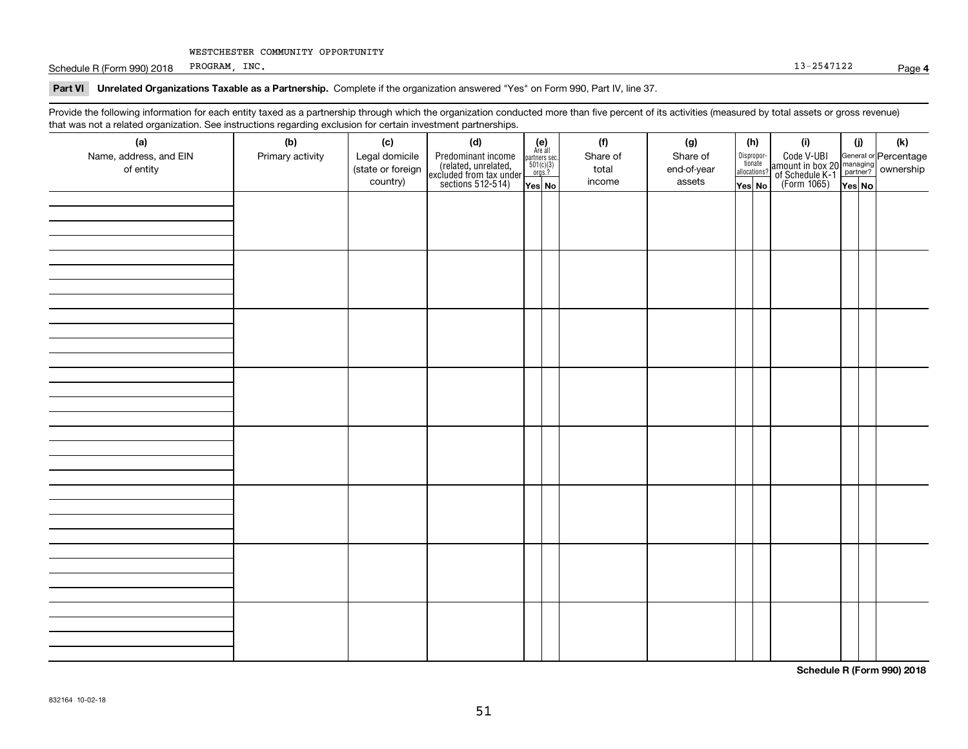Schedule R (Form 990) 2018 PROGRAM, INC. 2018 PROGRAM, INC. PROGRAM, INC.

**Part VI Unrelated Organizations Taxable as a Partnership. Complete if the organization answered "Yes" on Form 990, Part IV, line 37.** 

Provide the following information for each entity taxed as a partnership through which the organization conducted more than five percent of its activities (measured by total assets or gross revenue) that was not a related organization. See instructions regarding exclusion for certain investment partnerships.

| that was not a related erganization. See includitions regarding excludion for contain investment partnereinper<br>(a) | (b)              | (c)               | (d)                                                                                        |                                                                                                                   | (f)      | (g)         | (h)                              | (i)                                                                                                    | (i)    | $(\mathsf{k})$ |
|-----------------------------------------------------------------------------------------------------------------------|------------------|-------------------|--------------------------------------------------------------------------------------------|-------------------------------------------------------------------------------------------------------------------|----------|-------------|----------------------------------|--------------------------------------------------------------------------------------------------------|--------|----------------|
| Name, address, and EIN                                                                                                | Primary activity | Legal domicile    |                                                                                            | $\begin{array}{c} \textbf{(e)}\\ \text{Are all} \\ \text{partners sec.}\\ 501(c)(3) \\ \text{orgs.?} \end{array}$ | Share of | Share of    |                                  |                                                                                                        |        |                |
| of entity                                                                                                             |                  | (state or foreign |                                                                                            |                                                                                                                   | total    | end-of-year | Disproportionate<br>allocations? |                                                                                                        |        |                |
|                                                                                                                       |                  | country)          | Predominant income<br>(related, unrelated,<br>excluded from tax under<br>sections 512-514) | Yes No                                                                                                            | income   | assets      | Yes No                           | Code V-UBI<br>amount in box 20 managing<br>of Schedule K-1 partner? ownership<br>(Form 1065)<br>ves No | Yes No |                |
|                                                                                                                       |                  |                   |                                                                                            |                                                                                                                   |          |             |                                  |                                                                                                        |        |                |
|                                                                                                                       |                  |                   |                                                                                            |                                                                                                                   |          |             |                                  |                                                                                                        |        |                |
|                                                                                                                       |                  |                   |                                                                                            |                                                                                                                   |          |             |                                  |                                                                                                        |        |                |
|                                                                                                                       |                  |                   |                                                                                            |                                                                                                                   |          |             |                                  |                                                                                                        |        |                |
|                                                                                                                       |                  |                   |                                                                                            |                                                                                                                   |          |             |                                  |                                                                                                        |        |                |
|                                                                                                                       |                  |                   |                                                                                            |                                                                                                                   |          |             |                                  |                                                                                                        |        |                |
|                                                                                                                       |                  |                   |                                                                                            |                                                                                                                   |          |             |                                  |                                                                                                        |        |                |
|                                                                                                                       |                  |                   |                                                                                            |                                                                                                                   |          |             |                                  |                                                                                                        |        |                |
|                                                                                                                       |                  |                   |                                                                                            |                                                                                                                   |          |             |                                  |                                                                                                        |        |                |
|                                                                                                                       |                  |                   |                                                                                            |                                                                                                                   |          |             |                                  |                                                                                                        |        |                |
|                                                                                                                       |                  |                   |                                                                                            |                                                                                                                   |          |             |                                  |                                                                                                        |        |                |
|                                                                                                                       |                  |                   |                                                                                            |                                                                                                                   |          |             |                                  |                                                                                                        |        |                |
|                                                                                                                       |                  |                   |                                                                                            |                                                                                                                   |          |             |                                  |                                                                                                        |        |                |
|                                                                                                                       |                  |                   |                                                                                            |                                                                                                                   |          |             |                                  |                                                                                                        |        |                |
|                                                                                                                       |                  |                   |                                                                                            |                                                                                                                   |          |             |                                  |                                                                                                        |        |                |
|                                                                                                                       |                  |                   |                                                                                            |                                                                                                                   |          |             |                                  |                                                                                                        |        |                |
|                                                                                                                       |                  |                   |                                                                                            |                                                                                                                   |          |             |                                  |                                                                                                        |        |                |
|                                                                                                                       |                  |                   |                                                                                            |                                                                                                                   |          |             |                                  |                                                                                                        |        |                |
|                                                                                                                       |                  |                   |                                                                                            |                                                                                                                   |          |             |                                  |                                                                                                        |        |                |
|                                                                                                                       |                  |                   |                                                                                            |                                                                                                                   |          |             |                                  |                                                                                                        |        |                |
|                                                                                                                       |                  |                   |                                                                                            |                                                                                                                   |          |             |                                  |                                                                                                        |        |                |
|                                                                                                                       |                  |                   |                                                                                            |                                                                                                                   |          |             |                                  |                                                                                                        |        |                |
|                                                                                                                       |                  |                   |                                                                                            |                                                                                                                   |          |             |                                  |                                                                                                        |        |                |
|                                                                                                                       |                  |                   |                                                                                            |                                                                                                                   |          |             |                                  |                                                                                                        |        |                |
|                                                                                                                       |                  |                   |                                                                                            |                                                                                                                   |          |             |                                  |                                                                                                        |        |                |
|                                                                                                                       |                  |                   |                                                                                            |                                                                                                                   |          |             |                                  |                                                                                                        |        |                |
|                                                                                                                       |                  |                   |                                                                                            |                                                                                                                   |          |             |                                  |                                                                                                        |        |                |
|                                                                                                                       |                  |                   |                                                                                            |                                                                                                                   |          |             |                                  |                                                                                                        |        |                |
|                                                                                                                       |                  |                   |                                                                                            |                                                                                                                   |          |             |                                  |                                                                                                        |        |                |
|                                                                                                                       |                  |                   |                                                                                            |                                                                                                                   |          |             |                                  |                                                                                                        |        |                |
|                                                                                                                       |                  |                   |                                                                                            |                                                                                                                   |          |             |                                  |                                                                                                        |        |                |
|                                                                                                                       |                  |                   |                                                                                            |                                                                                                                   |          |             |                                  |                                                                                                        |        |                |
|                                                                                                                       |                  |                   |                                                                                            |                                                                                                                   |          |             |                                  |                                                                                                        |        |                |

**Schedule R (Form 990) 2018**